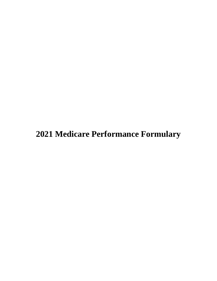**Medicare Performance Formulary**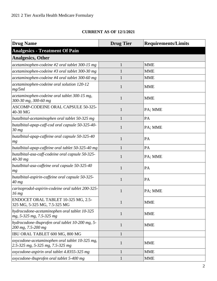# **CURRENT AS OF 12/1/2021**

| <b>Drug Name</b>                                                                   | <b>Drug Tier</b> | <b>Requirements/Limits</b> |
|------------------------------------------------------------------------------------|------------------|----------------------------|
| <b>Analgesics - Treatment Of Pain</b>                                              |                  |                            |
| <b>Analgesics, Other</b>                                                           |                  |                            |
| acetaminophen-codeine #2 oral tablet 300-15 mg                                     | 1                | <b>MME</b>                 |
| acetaminophen-codeine #3 oral tablet 300-30 mg                                     |                  | <b>MME</b>                 |
| acetaminophen-codeine #4 oral tablet 300-60 mg                                     | 1                | <b>MME</b>                 |
| acetaminophen-codeine oral solution 120-12<br>mg/5ml                               | 1                | <b>MME</b>                 |
| acetaminophen-codeine oral tablet 300-15 mg,<br>300-30 mg, 300-60 mg               | $\mathbf{1}$     | <b>MME</b>                 |
| ASCOMP-CODEINE ORAL CAPSULE 50-325-<br>40-30 MG                                    | 1                | PA; MME                    |
| butalbital-acetaminophen oral tablet 50-325 mg                                     |                  | PA                         |
| butalbital-apap-caff-cod oral capsule 50-325-40-<br>$30$ mg                        | 1                | PA; MME                    |
| butalbital-apap-caffeine oral capsule 50-325-40<br>mg                              | 1                | PA                         |
| butalbital-apap-caffeine oral tablet 50-325-40 mg                                  | 1                | PA                         |
| butalbital-asa-caff-codeine oral capsule 50-325-<br>$40 - 30$ mg                   | $\mathbf{1}$     | PA; MME                    |
| butalbital-asa-caffeine oral capsule 50-325-40<br>mg                               | 1                | PA                         |
| butalbital-aspirin-caffeine oral capsule 50-325-<br>$40$ mg                        | $\mathbf{1}$     | PA                         |
| carisoprodol-aspirin-codeine oral tablet 200-325-<br>16 <sub>mg</sub>              | 1                | PA; MME                    |
| ENDOCET ORAL TABLET 10-325 MG, 2.5-<br>325 MG, 5-325 MG, 7.5-325 MG                | $\mathbf{1}$     | <b>MME</b>                 |
| hydrocodone-acetaminophen oral tablet 10-325<br>mg, 5-325 mg, 7.5-325 mg           | $\mathbf{1}$     | <b>MME</b>                 |
| hydrocodone-ibuprofen oral tablet 10-200 mg, 5-<br>200 mg, 7.5-200 mg              | $\mathbf{1}$     | <b>MME</b>                 |
| IBU ORAL TABLET 600 MG, 800 MG                                                     | $\mathbf{1}$     |                            |
| oxycodone-acetaminophen oral tablet 10-325 mg,<br>2.5-325 mg, 5-325 mg, 7.5-325 mg | $\mathbf{1}$     | <b>MME</b>                 |
| oxycodone-aspirin oral tablet 4.8355-325 mg                                        | $\mathbf{1}$     | <b>MME</b>                 |
| oxycodone-ibuprofen oral tablet 5-400 mg                                           | $\mathbf{1}$     | <b>MME</b>                 |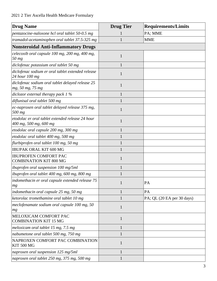| <b>Drug Name</b>                                                           | <b>Drug Tier</b> | <b>Requirements/Limits</b> |
|----------------------------------------------------------------------------|------------------|----------------------------|
| pentazocine-naloxone hcl oral tablet 50-0.5 mg                             |                  | PA; MME                    |
| tramadol-acetaminophen oral tablet 37.5-325 mg                             |                  | <b>MME</b>                 |
| <b>Nonsteroidal Anti-Inflammatory Drugs</b>                                |                  |                            |
| celecoxib oral capsule 100 mg, 200 mg, 400 mg,<br>$50$ mg                  | $\mathbf{1}$     |                            |
| diclofenac potassium oral tablet 50 mg                                     | 1                |                            |
| diclofenac sodium er oral tablet extended release<br>24 hour 100 mg        | 1                |                            |
| diclofenac sodium oral tablet delayed release 25<br>mg, 50 mg, 75 mg       | $\mathbf{1}$     |                            |
| diclozor external therapy pack $1\%$                                       | $\mathbf{1}$     |                            |
| diflunisal oral tablet 500 mg                                              |                  |                            |
| ec-naproxen oral tablet delayed release 375 mg,<br>500 mg                  | 1                |                            |
| etodolac er oral tablet extended release 24 hour<br>400 mg, 500 mg, 600 mg | $\mathbf{1}$     |                            |
| etodolac oral capsule 200 mg, 300 mg                                       | 1                |                            |
| etodolac oral tablet 400 mg, 500 mg                                        |                  |                            |
| flurbiprofen oral tablet 100 mg, 50 mg                                     |                  |                            |
| <b>IBUPAK ORAL KIT 600 MG</b>                                              |                  |                            |
| <b>IBUPROFEN COMFORT PAC</b><br><b>COMBINATION KIT 800 MG</b>              | 1                |                            |
| <i>ibuprofen oral suspension 100 mg/5ml</i>                                |                  |                            |
| ibuprofen oral tablet 400 mg, 600 mg, 800 mg                               |                  |                            |
| indomethacin er oral capsule extended release 75<br>mg                     | 1                | PA                         |
| indomethacin oral capsule 25 mg, 50 mg                                     | 1                | PA                         |
| ketorolac tromethamine oral tablet 10 mg                                   | $\mathbf{1}$     | PA; QL (20 EA per 30 days) |
| meclofenamate sodium oral capsule 100 mg, 50<br>mg                         | $\mathbf{1}$     |                            |
| MELOXICAM COMFORT PAC<br><b>COMBINATION KIT 15 MG</b>                      | 1                |                            |
| meloxicam oral tablet 15 mg, 7.5 mg                                        | 1                |                            |
| nabumetone oral tablet 500 mg, 750 mg                                      | $\mathbf{1}$     |                            |
| NAPROXEN COMFORT PAC COMBINATION<br><b>KIT 500 MG</b>                      | $\mathbf{1}$     |                            |
| naproxen oral suspension 125 mg/5ml                                        | 1                |                            |
| naproxen oral tablet 250 mg, 375 mg, 500 mg                                | $\mathbf{1}$     |                            |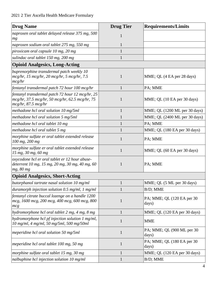| <b>Drug Name</b>                                                                                                                | <b>Drug Tier</b> | <b>Requirements/Limits</b>           |
|---------------------------------------------------------------------------------------------------------------------------------|------------------|--------------------------------------|
| naproxen oral tablet delayed release 375 mg, 500<br>mg                                                                          | 1                |                                      |
| naproxen sodium oral tablet 275 mg, 550 mg                                                                                      | $\mathbf{1}$     |                                      |
| piroxicam oral capsule 10 mg, 20 mg                                                                                             | 1                |                                      |
| sulindac oral tablet 150 mg, 200 mg                                                                                             | 1                |                                      |
| <b>Opioid Analgesics, Long-Acting</b>                                                                                           |                  |                                      |
| buprenorphine transdermal patch weekly 10<br>$mcg/hr$ , 15 $mcg/hr$ , 20 $mcg/hr$ , 5 $mcg/hr$ , 7.5<br>mcg/hr                  | $\mathbf{1}$     | MME; QL (4 EA per 28 days)           |
| fentanyl transdermal patch 72 hour 100 mcg/hr                                                                                   | 1                | PA; MME                              |
| fentanyl transdermal patch 72 hour 12 mcg/hr, 25<br>mcg/hr, 37.5 mcg/hr, 50 mcg/hr, 62.5 mcg/hr, 75<br>$mcg/hr$ , 87.5 $mcg/hr$ | 1                | MME; QL (10 EA per 30 days)          |
| methadone hcl oral solution 10 mg/5ml                                                                                           | $\mathbf{1}$     | MME; QL (1200 ML per 30 days)        |
| methadone hcl oral solution 5 mg/5ml                                                                                            | 1                | MME; QL (2400 ML per 30 days)        |
| methadone hcl oral tablet 10 mg                                                                                                 | $\mathbf{1}$     | PA; MME                              |
| methadone hcl oral tablet 5 mg                                                                                                  | 1                | MME; QL (180 EA per 30 days)         |
| morphine sulfate er oral tablet extended release<br>100 mg, 200 mg                                                              | 1                | PA; MME                              |
| morphine sulfate er oral tablet extended release<br>15 mg, 30 mg, 60 mg                                                         | 1                | MME; QL (60 EA per 30 days)          |
| oxycodone hcl er oral tablet er 12 hour abuse-<br>deterrent 10 mg, 15 mg, 20 mg, 30 mg, 40 mg, 60<br>mg, 80 mg                  | 1                | PA; MME                              |
| <b>Opioid Analgesics, Short-Acting</b>                                                                                          |                  |                                      |
| butorphanol tartrate nasal solution 10 mg/ml                                                                                    | 1                | MME; QL (5 ML per 30 days)           |
| duramorph injection solution $0.5$ mg/ml, 1 mg/ml                                                                               | 1                | B/D; MME                             |
| fentanyl citrate buccal lozenge on a handle 1200<br>mcg, 1600 mcg, 200 mcg, 400 mcg, 600 mcg, 800<br>mcg                        | $\mathbf{1}$     | PA; MME; QL (120 EA per 30<br>days)  |
| hydromorphone hcl oral tablet 2 mg, 4 mg, 8 mg                                                                                  | $\mathbf{1}$     | MME; QL (120 EA per 30 days)         |
| hydromorphone hcl pf injection solution 1 mg/ml,<br>10 mg/ml, 4 mg/ml, 50 mg/5ml, 500 mg/50ml                                   | $\mathbf{1}$     | <b>MME</b>                           |
| meperidine hcl oral solution 50 mg/5ml                                                                                          | $\mathbf{1}$     | PA; MME; QL (900 ML per 30)<br>days) |
| meperidine hcl oral tablet 100 mg, 50 mg                                                                                        | 1                | PA; MME; QL (180 EA per 30<br>days)  |
| morphine sulfate oral tablet 15 mg, 30 mg                                                                                       | $\mathbf{1}$     | MME; QL (120 EA per 30 days)         |
| nalbuphine hcl injection solution 10 mg/ml                                                                                      | $\mathbf{1}$     | B/D; MME                             |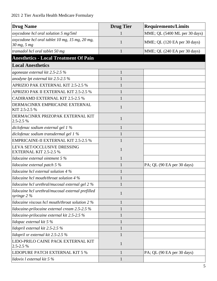| <b>Drug Name</b>                                                 | <b>Drug Tier</b> | <b>Requirements/Limits</b>    |
|------------------------------------------------------------------|------------------|-------------------------------|
| oxycodone hcl oral solution 5 mg/5ml                             |                  | MME; QL (5400 ML per 30 days) |
| oxycodone hcl oral tablet 10 mg, 15 mg, 20 mg,<br>30 mg, 5 mg    | 1                | MME; QL (120 EA per 30 days)  |
| tramadol hcl oral tablet 50 mg                                   |                  | MME; QL (240 EA per 30 days)  |
| <b>Anesthetics - Local Treatment Of Pain</b>                     |                  |                               |
| <b>Local Anesthetics</b>                                         |                  |                               |
| agoneaze external kit 2.5-2.5 %                                  |                  |                               |
| anodyne lpt external kit $2.5$ -2.5 %                            |                  |                               |
| APRIZIO PAK EXTERNAL KIT 2.5-2.5 %                               |                  |                               |
| APRIZIO PAK II EXTERNAL KIT 2.5-2.5 %                            |                  |                               |
| <b>CADIRAMD EXTERNAL KIT 2.5-2.5 %</b>                           |                  |                               |
| DERMACINRX EMPRICAINE EXTERNAL<br>KIT 2.5-2.5 %                  | 1                |                               |
| DERMACINRX PRIZOPAK EXTERNAL KIT<br>$2.5 - 2.5 %$                | 1                |                               |
| diclofenac sodium external gel 1 %                               |                  |                               |
| diclofenac sodium transdermal gel 1 %                            |                  |                               |
| <b>EMPRICAINE-II EXTERNAL KIT 2.5-2.5 %</b>                      |                  |                               |
| LEVA SET/OCCLUSIVE DRESSING<br><b>EXTERNAL KIT 2.5-2.5 %</b>     | 1                |                               |
| lidocaine external ointment $5\%$                                | 1                |                               |
| lidocaine external patch 5 %                                     |                  | PA; QL (90 EA per 30 days)    |
| lidocaine hcl external solution 4 %                              |                  |                               |
| lidocaine hcl mouth/throat solution 4 %                          |                  |                               |
| lidocaine hcl urethral/mucosal external gel 2 %                  |                  |                               |
| lidocaine hcl urethral/mucosal external prefilled<br>syringe 2 % | $\mathbf{1}$     |                               |
| lidocaine viscous hcl mouth/throat solution 2 %                  | 1                |                               |
| lidocaine-prilocaine external cream 2.5-2.5 %                    | 1                |                               |
| lidocaine-prilocaine external kit 2.5-2.5 %                      |                  |                               |
| lidopac external kit 5 %                                         | $\mathbf{1}$     |                               |
| lidopril external kit 2.5-2.5 %                                  | 1                |                               |
| lidopril xr external kit 2.5-2.5 %                               | 1                |                               |
| LIDO-PRILO CAINE PACK EXTERNAL KIT<br>2.5-2.5 %                  | $\mathbf{1}$     |                               |
| LIDOPURE PATCH EXTERNAL KIT 5 %                                  | 1                | PA; QL (90 EA per 30 days)    |
| lidovix l external kit 5 %                                       | $\mathbf{1}$     |                               |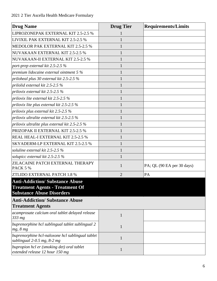| <b>Drug Name</b>                                                                                                    | <b>Drug Tier</b> | <b>Requirements/Limits</b> |
|---------------------------------------------------------------------------------------------------------------------|------------------|----------------------------|
| LIPROZONEPAK EXTERNAL KIT 2.5-2.5 %                                                                                 |                  |                            |
| LIVIXIL PAK EXTERNAL KIT 2.5-2.5 %                                                                                  | 1                |                            |
| MEDOLOR PAK EXTERNAL KIT 2.5-2.5 %                                                                                  |                  |                            |
| NUVAKAAN EXTERNAL KIT 2.5-2.5 %                                                                                     | 1                |                            |
| NUVAKAAN-II EXTERNAL KIT 2.5-2.5 %                                                                                  |                  |                            |
| port-prep external kit 2.5-2.5 %                                                                                    | 1                |                            |
| premium lidocaine external ointment 5 %                                                                             | 1                |                            |
| priloheal plus 30 external kit 2.5-2.5 %                                                                            | 1                |                            |
| prilolid external kit 2.5-2.5 %                                                                                     | 1                |                            |
| prilovix external kit 2.5-2.5 %                                                                                     | 1                |                            |
| prilovix lite external kit 2.5-2.5 %                                                                                |                  |                            |
| prilovix lite plus external kit $2.5$ -2.5 $\%$                                                                     |                  |                            |
| prilovix plus external kit 2.5-2.5 $%$                                                                              |                  |                            |
| prilovix ultralite external kit $2.5$ -2.5 %                                                                        | 1                |                            |
| prilovix ultralite plus external kit 2.5-2.5 %                                                                      | 1                |                            |
| PRIZOPAK II EXTERNAL KIT 2.5-2.5 %                                                                                  |                  |                            |
| REAL HEAL-I EXTERNAL KIT 2.5-2.5 %                                                                                  |                  |                            |
| SKYADERM-LP EXTERNAL KIT 2.5-2.5 %                                                                                  |                  |                            |
| soluline external kit 2.5-2.5 %                                                                                     | 1                |                            |
| solupicc external kit $2.5$ -2.5 $\%$                                                                               |                  |                            |
| ZILACAINE PATCH EXTERNAL THERAPY<br><b>PACK 5 %</b>                                                                 | 1                | PA; QL (90 EA per 30 days) |
| ZTLIDO EXTERNAL PATCH 1.8 %                                                                                         | $\overline{2}$   | PA                         |
| <b>Anti-Addiction/Substance Abuse</b><br><b>Treatment Agents - Treatment Of</b><br><b>Substance Abuse Disorders</b> |                  |                            |
| <b>Anti-Addiction/Substance Abuse</b><br><b>Treatment Agents</b>                                                    |                  |                            |
| acamprosate calcium oral tablet delayed release<br>333 mg                                                           | $\mathbf{1}$     |                            |
| buprenorphine hcl sublingual tablet sublingual 2<br>mg, 8 mg                                                        | $\mathbf{1}$     |                            |
| buprenorphine hcl-naloxone hcl sublingual tablet<br>sublingual 2-0.5 mg, 8-2 mg                                     | $\mathbf{1}$     |                            |
| bupropion hcl er (smoking det) oral tablet<br>extended release 12 hour 150 mg                                       | $\mathbf{1}$     |                            |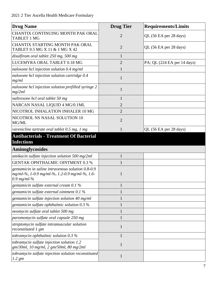| <b>Drug Name</b>                                                                                                    | <b>Drug Tier</b> | <b>Requirements/Limits</b>  |
|---------------------------------------------------------------------------------------------------------------------|------------------|-----------------------------|
| CHANTIX CONTINUING MONTH PAK ORAL<br><b>TABLET 1 MG</b>                                                             | $\overline{2}$   | QL (56 EA per 28 days)      |
| CHANTIX STARTING MONTH PAK ORAL<br>TABLET 0.5 MG X 11 & 1 MG X 42                                                   | $\overline{2}$   | QL (56 EA per 28 days)      |
| disulfiram oral tablet 250 mg, 500 mg                                                                               | 1                |                             |
| LUCEMYRA ORAL TABLET 0.18 MG                                                                                        | $\overline{2}$   | PA; QL (224 EA per 14 days) |
| naloxone hcl injection solution 0.4 mg/ml                                                                           | 1                |                             |
| naloxone hcl injection solution cartridge 0.4<br>mg/ml                                                              | $\mathbf{1}$     |                             |
| naloxone hcl injection solution prefilled syringe 2<br>mg/2ml                                                       | 1                |                             |
| naltrexone hcl oral tablet 50 mg                                                                                    | $\mathbf{1}$     |                             |
| NARCAN NASAL LIQUID 4 MG/0.1ML                                                                                      | $\overline{2}$   |                             |
| NICOTROL INHALATION INHALER 10 MG                                                                                   | $\overline{2}$   |                             |
| NICOTROL NS NASAL SOLUTION 10<br>MG/ML                                                                              | $\overline{2}$   |                             |
| varenicline tartrate oral tablet 0.5 mg, 1 mg                                                                       | 1                | QL (56 EA per 28 days)      |
| <b>Antibacterials - Treatment Of Bacterial</b><br><b>Infections</b>                                                 |                  |                             |
| Aminoglycosides                                                                                                     |                  |                             |
| amikacin sulfate injection solution 500 mg/2ml                                                                      | $\mathbf{1}$     |                             |
| <b>GENTAK OPHTHALMIC OINTMENT 0.3 %</b>                                                                             |                  |                             |
| gentamicin in saline intravenous solution 0.8-0.9<br>mg/ml-%, 1-0.9 mg/ml-%, 1.2-0.9 mg/ml-%, 1.6-<br>$0.9$ mg/ml-% |                  |                             |
| gentamicin sulfate external cream 0.1 %                                                                             |                  |                             |
| gentamicin sulfate external ointment 0.1 %                                                                          | 1                |                             |
| gentamicin sulfate injection solution 40 mg/ml                                                                      |                  |                             |
| gentamicin sulfate ophthalmic solution 0.3 %                                                                        | 1                |                             |
| neomycin sulfate oral tablet 500 mg                                                                                 | 1                |                             |
| paromomycin sulfate oral capsule 250 mg                                                                             | 1                |                             |
| streptomycin sulfate intramuscular solution<br>reconstituted 1 gm                                                   | $\mathbf{1}$     |                             |
| tobramycin ophthalmic solution $0.3\%$                                                                              |                  |                             |
| tobramycin sulfate injection solution 1.2<br>gm/30ml, 10 mg/ml, 2 gm/50ml, 80 mg/2ml                                | 1                |                             |
| tobramycin sulfate injection solution reconstituted<br>$1.2 \, \text{gm}$                                           | 1                |                             |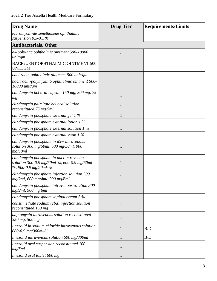| <b>Drug Name</b>                                                                                                  | <b>Drug Tier</b> | <b>Requirements/Limits</b> |
|-------------------------------------------------------------------------------------------------------------------|------------------|----------------------------|
| tobramycin-dexamethasone ophthalmic<br>suspension $0.3$ -0.1 %                                                    | 1                |                            |
| <b>Antibacterials, Other</b>                                                                                      |                  |                            |
| ak-poly-bac ophthalmic ointment 500-10000<br>unit/gm                                                              | $\mathbf{1}$     |                            |
| BACIGUENT OPHTHALMIC OINTMENT 500<br><b>UNIT/GM</b>                                                               | 1                |                            |
| bacitracin ophthalmic ointment 500 unit/gm                                                                        | 1                |                            |
| bacitracin-polymyxin b ophthalmic ointment 500-<br>$10000$ unit/gm                                                | 1                |                            |
| clindamycin hcl oral capsule 150 mg, 300 mg, 75<br>mg                                                             | 1                |                            |
| clindamycin palmitate hcl oral solution<br>reconstituted 75 mg/5ml                                                |                  |                            |
| clindamycin phosphate external gel 1 %                                                                            | $\mathbf{1}$     |                            |
| clindamycin phosphate external lotion $1\%$                                                                       | 1                |                            |
| clindamycin phosphate external solution $1\%$                                                                     | 1                |                            |
| clindamycin phosphate external swab 1 %                                                                           | 1                |                            |
| clindamycin phosphate in d5w intravenous<br>solution 300 mg/50ml, 600 mg/50ml, 900<br>mg/50ml                     | 1                |                            |
| clindamycin phosphate in nacl intravenous<br>solution 300-0.9 mg/50ml-%, 600-0.9 mg/50ml-<br>%, 900-0.9 mg/50ml-% | 1                |                            |
| clindamycin phosphate injection solution 300<br>mg/2ml, 600 mg/4ml, 900 mg/6ml                                    |                  |                            |
| clindamycin phosphate intravenous solution 300<br>$mg/2ml$ , 900 mg/6ml                                           | 1                |                            |
| clindamycin phosphate vaginal cream 2 %                                                                           |                  |                            |
| colistimethate sodium (cba) injection solution<br>reconstituted 150 mg                                            | 1                |                            |
| daptomycin intravenous solution reconstituted<br>350 mg, 500 mg                                                   | 1                |                            |
| linezolid in sodium chloride intravenous solution<br>600-0.9 mg/300ml-%                                           | 1                | B/D                        |
| linezolid intravenous solution 600 mg/300ml                                                                       | $\mathbf{1}$     | B/D                        |
| linezolid oral suspension reconstituted 100<br>mg/5ml                                                             | 1                |                            |
| linezolid oral tablet 600 mg                                                                                      | 1                |                            |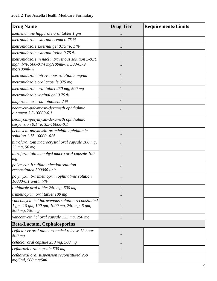| <b>Drug Name</b>                                                                                                   | <b>Drug Tier</b> | <b>Requirements/Limits</b> |
|--------------------------------------------------------------------------------------------------------------------|------------------|----------------------------|
| methenamine hippurate oral tablet 1 gm                                                                             |                  |                            |
| metronidazole external cream $0.75\%$                                                                              |                  |                            |
| metronidazole external gel 0.75 %, 1 %                                                                             |                  |                            |
| metronidazole external lotion $0.75\%$                                                                             | 1                |                            |
| metronidazole in nacl intravenous solution 5-0.79<br>mg/ml-%, 500-0.74 mg/100ml-%, 500-0.79<br>$mg/100ml-%$        | 1                |                            |
| metronidazole intravenous solution $5 \text{ mg/ml}$                                                               | $\mathbf{1}$     |                            |
| metronidazole oral capsule 375 mg                                                                                  |                  |                            |
| metronidazole oral tablet 250 mg, 500 mg                                                                           | 1                |                            |
| metronidazole vaginal gel $0.75\%$                                                                                 | $\mathbf{1}$     |                            |
| mupirocin external ointment 2 %                                                                                    |                  |                            |
| neomycin-polymyxin-dexameth ophthalmic<br>ointment 3.5-10000-0.1                                                   | $\mathbf{1}$     |                            |
| neomycin-polymyxin-dexameth ophthalmic<br>suspension 0.1 %, 3.5-10000-0.1                                          | $\mathbf{1}$     |                            |
| neomycin-polymyxin-gramicidin ophthalmic<br>solution 1.75-10000-.025                                               | $\mathbf{1}$     |                            |
| nitrofurantoin macrocrystal oral capsule 100 mg,<br>25 mg, 50 mg                                                   | 1                |                            |
| nitrofurantoin monohyd macro oral capsule 100<br>mg                                                                | 1                |                            |
| polymyxin b sulfate injection solution<br>reconstituted 500000 unit                                                | $\mathbf{1}$     |                            |
| polymyxin b-trimethoprim ophthalmic solution<br>10000-0.1 unit/ml- $\%$                                            |                  |                            |
| tinidazole oral tablet 250 mg, 500 mg                                                                              | $\mathbf{1}$     |                            |
| trimethoprim oral tablet 100 mg                                                                                    | 1                |                            |
| vancomycin hcl intravenous solution reconstituted<br>1 gm, 10 gm, 100 gm, 1000 mg, 250 mg, 5 gm,<br>500 mg, 750 mg | $\mathbf{1}$     |                            |
| vancomycin hcl oral capsule 125 mg, 250 mg                                                                         | $\mathbf{1}$     |                            |
| <b>Beta-Lactam, Cephalosporins</b>                                                                                 |                  |                            |
| cefaclor er oral tablet extended release 12 hour<br>500 mg                                                         | $\mathbf{1}$     |                            |
| cefaclor oral capsule 250 mg, 500 mg                                                                               | $\mathbf{1}$     |                            |
| cefadroxil oral capsule 500 mg                                                                                     |                  |                            |
| cefadroxil oral suspension reconstituted 250<br>$mg/5ml$ , 500 mg/5ml                                              | $\mathbf{1}$     |                            |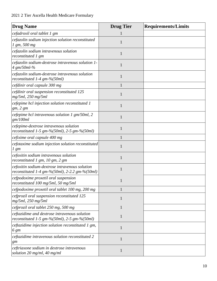| <b>Drug Name</b>                                                                                 | <b>Drug Tier</b> | <b>Requirements/Limits</b> |
|--------------------------------------------------------------------------------------------------|------------------|----------------------------|
| cefadroxil oral tablet 1 gm                                                                      |                  |                            |
| cefazolin sodium injection solution reconstituted<br>$1 \, \text{gm}, \, 500 \, \text{mg}$       | 1                |                            |
| cefazolin sodium intravenous solution<br>reconstituted 1 gm                                      | $\mathbf{1}$     |                            |
| cefazolin sodium-dextrose intravenous solution 1-<br>4 gm/50ml-%                                 | $\mathbf{1}$     |                            |
| cefazolin sodium-dextrose intravenous solution<br>reconstituted $1-4$ gm-%(50ml)                 | 1                |                            |
| cefdinir oral capsule 300 mg                                                                     | $\mathbf{1}$     |                            |
| cefdinir oral suspension reconstituted 125<br>$mg/5ml$ , 250 mg/5ml                              | 1                |                            |
| cefepime hcl injection solution reconstituted 1<br>gm, 2 gm                                      | 1                |                            |
| cefepime hcl intravenous solution 1 $gm/50ml$ , 2<br>gm/100ml                                    | $\mathbf{1}$     |                            |
| cefepime-dextrose intravenous solution<br>reconstituted 1-5 gm-%(50ml), 2-5 gm-%(50ml)           | $\mathbf{1}$     |                            |
| cefixime oral capsule 400 mg                                                                     | 1                |                            |
| cefotaxime sodium injection solution reconstituted<br>$1 \, \text{gm}$                           | 1                |                            |
| cefoxitin sodium intravenous solution<br>reconstituted 1 gm, 10 gm, 2 gm                         | 1                |                            |
| cefoxitin sodium-dextrose intravenous solution<br>reconstituted 1-4 gm-%(50ml), 2-2.2 gm-%(50ml) | 1                |                            |
| cefpodoxime proxetil oral suspension<br>reconstituted 100 mg/5ml, 50 mg/5ml                      |                  |                            |
| cefpodoxime proxetil oral tablet 100 mg, 200 mg                                                  | 1                |                            |
| cefprozil oral suspension reconstituted 125<br>$mg/5ml$ , 250 mg/5ml                             | $\mathbf{1}$     |                            |
| cefprozil oral tablet 250 mg, 500 mg                                                             | $\mathbf{1}$     |                            |
| ceftazidime and dextrose intravenous solution<br>reconstituted 1-5 gm-%(50ml), 2-5 gm-%(50ml)    | $\mathbf{1}$     |                            |
| ceftazidime injection solution reconstituted 1 gm,<br>6 gm                                       | 1                |                            |
| ceftazidime intravenous solution reconstituted 2<br>gm                                           | $\mathbf{1}$     |                            |
| ceftriaxone sodium in dextrose intravenous<br>solution 20 mg/ml, 40 mg/ml                        | $\mathbf{1}$     |                            |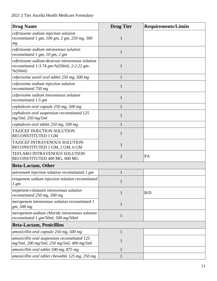| <b>Drug Name</b>                                                                                                | <b>Drug Tier</b> | <b>Requirements/Limits</b> |
|-----------------------------------------------------------------------------------------------------------------|------------------|----------------------------|
| ceftriaxone sodium injection solution<br>reconstituted 1 gm, $100$ gm, $2$ gm, $250$ mg, $500$<br>mg            | 1                |                            |
| ceftriaxone sodium intravenous solution<br>reconstituted 1 gm, 10 gm, 2 gm                                      | $\mathbf{1}$     |                            |
| ceftriaxone sodium-dextrose intravenous solution<br>reconstituted 1-3.74 gm-% $(50ml)$ , 2-2.22 gm-<br>% (50ml) | 1                |                            |
| cefuroxime axetil oral tablet 250 mg, 500 mg                                                                    | $\mathbf{1}$     |                            |
| cefuroxime sodium injection solution<br>reconstituted 750 mg                                                    | $\mathbf{1}$     |                            |
| cefuroxime sodium intravenous solution<br>reconstituted 1.5 gm                                                  | 1                |                            |
| cephalexin oral capsule 250 mg, 500 mg                                                                          | $\mathbf{1}$     |                            |
| cephalexin oral suspension reconstituted 125<br>$mg/5ml$ , 250 mg/5ml                                           | 1                |                            |
| cephalexin oral tablet 250 mg, 500 mg                                                                           | $\mathbf{1}$     |                            |
| <b>TAZICEF INJECTION SOLUTION</b><br>RECONSTITUTED 1 GM                                                         | $\mathbf{1}$     |                            |
| <b>TAZICEF INTRAVENOUS SOLUTION</b><br>RECONSTITUTED 1 GM, 2 GM, 6 GM                                           | $\mathbf{1}$     |                            |
| TEFLARO INTRAVENOUS SOLUTION<br>RECONSTITUTED 400 MG, 600 MG                                                    | $\overline{2}$   | PA                         |
| <b>Beta-Lactam, Other</b>                                                                                       |                  |                            |
| aztreonam injection solution reconstituted 1 gm                                                                 | 1                |                            |
| ertapenem sodium injection solution reconstituted<br>$1 \, \text{gm}$                                           | $\mathbf{1}$     |                            |
| imipenem-cilastatin intravenous solution<br>reconstituted 250 mg, 500 mg                                        | $\mathbf{1}$     | B/D                        |
| meropenem intravenous solution reconstituted 1<br>gm, 500 mg                                                    | $\mathbf{1}$     |                            |
| meropenem-sodium chloride intravenous solution<br>reconstituted 1 gm/50ml, 500 mg/50ml                          | 1                |                            |
| <b>Beta-Lactam, Penicillins</b>                                                                                 |                  |                            |
| amoxicillin oral capsule 250 mg, 500 mg                                                                         | 1                |                            |
| amoxicillin oral suspension reconstituted 125<br>mg/5ml, 200 mg/5ml, 250 mg/5ml, 400 mg/5ml                     | 1                |                            |
| amoxicillin oral tablet 500 mg, 875 mg                                                                          | 1                |                            |
| amoxicillin oral tablet chewable 125 mg, 250 mg                                                                 | 1                |                            |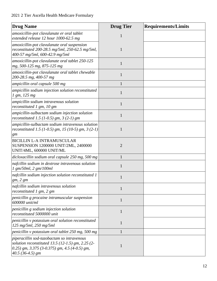| <b>Drug Name</b>                                                                                                                                                              | <b>Drug Tier</b> | <b>Requirements/Limits</b> |
|-------------------------------------------------------------------------------------------------------------------------------------------------------------------------------|------------------|----------------------------|
| amoxicillin-pot clavulanate er oral tablet<br>extended release 12 hour 1000-62.5 mg                                                                                           | 1                |                            |
| amoxicillin-pot clavulanate oral suspension<br>reconstituted 200-28.5 mg/5ml, 250-62.5 mg/5ml,<br>400-57 mg/5ml, 600-42.9 mg/5ml                                              | 1                |                            |
| amoxicillin-pot clavulanate oral tablet 250-125<br>mg, 500-125 mg, 875-125 mg                                                                                                 |                  |                            |
| amoxicillin-pot clavulanate oral tablet chewable<br>200-28.5 mg, 400-57 mg                                                                                                    | 1                |                            |
| ampicillin oral capsule 500 mg                                                                                                                                                |                  |                            |
| ampicillin sodium injection solution reconstituted<br>1 gm, 125 mg                                                                                                            | 1                |                            |
| ampicillin sodium intravenous solution<br>reconstituted 1 gm, 10 gm                                                                                                           | 1                |                            |
| ampicillin-sulbactam sodium injection solution<br>reconstituted 1.5 (1-0.5) gm, $3(2-1)$ gm                                                                                   | 1                |                            |
| ampicillin-sulbactam sodium intravenous solution<br>reconstituted 1.5 (1-0.5) gm, 15 (10-5) gm, 3 (2-1)<br>gm                                                                 | 1                |                            |
| <b>BICILLIN L-A INTRAMUSCULAR</b><br>SUSPENSION 1200000 UNIT/2ML, 2400000<br>UNIT/4ML, 600000 UNIT/ML                                                                         | $\overline{2}$   |                            |
| dicloxacillin sodium oral capsule 250 mg, 500 mg                                                                                                                              |                  |                            |
| nafcillin sodium in dextrose intravenous solution<br>1 gm/50ml, 2 gm/100ml                                                                                                    | 1                |                            |
| nafcillin sodium injection solution reconstituted 1<br>gm, 2 gm                                                                                                               |                  |                            |
| nafcillin sodium intravenous solution<br>reconstituted 1 gm, 2 gm                                                                                                             | $\mathbf{1}$     |                            |
| penicillin g procaine intramuscular suspension<br>600000 unit/ml                                                                                                              | $\mathbf{1}$     |                            |
| penicillin g sodium injection solution<br>reconstituted 5000000 unit                                                                                                          | $\mathbf{1}$     |                            |
| penicillin v potassium oral solution reconstituted<br>125 mg/5ml, 250 mg/5ml                                                                                                  | 1                |                            |
| penicillin v potassium oral tablet 250 mg, 500 mg                                                                                                                             | 1                |                            |
| piperacillin sod-tazobactam so intravenous<br>solution reconstituted $13.5 (12-1.5)$ gm, $2.25 (2-1.5)$<br>0.25) gm, 3.375 (3-0.375) gm, 4.5 (4-0.5) gm,<br>$40.5(36-4.5)$ gm | 1                |                            |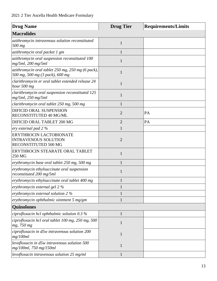| <b>Drug Name</b>                                                                     | <b>Drug Tier</b> | <b>Requirements/Limits</b> |
|--------------------------------------------------------------------------------------|------------------|----------------------------|
| <b>Macrolides</b>                                                                    |                  |                            |
| azithromycin intravenous solution reconstituted<br>500 mg                            | $\mathbf{1}$     |                            |
| azithromycin oral packet 1 gm                                                        | $\mathbf{1}$     |                            |
| azithromycin oral suspension reconstituted 100<br>$mg/5ml$ , 200 mg/5ml              | $\mathbf{1}$     |                            |
| azithromycin oral tablet 250 mg, 250 mg (6 pack),<br>500 mg, 500 mg (3 pack), 600 mg | 1                |                            |
| clarithromycin er oral tablet extended release 24<br>hour 500 mg                     | 1                |                            |
| clarithromycin oral suspension reconstituted 125<br>mg/5ml, 250 mg/5ml               | $\mathbf{1}$     |                            |
| clarithromycin oral tablet 250 mg, 500 mg                                            | $\mathbf{1}$     |                            |
| DIFICID ORAL SUSPENSION<br>RECONSTITUTED 40 MG/ML                                    | $\overline{2}$   | PA                         |
| DIFICID ORAL TABLET 200 MG                                                           | $\overline{2}$   | PA                         |
| ery external pad 2 %                                                                 | 1                |                            |
| ERYTHROCIN LACTOBIONATE<br><b>INTRAVENOUS SOLUTION</b><br>RECONSTITUTED 500 MG       | $\overline{2}$   |                            |
| ERYTHROCIN STEARATE ORAL TABLET<br>250 MG                                            | $\mathbf{1}$     |                            |
| erythromycin base oral tablet 250 mg, 500 mg                                         | 1                |                            |
| erythromycin ethylsuccinate oral suspension<br>reconstituted 200 mg/5ml              | 1                |                            |
| erythromycin ethylsuccinate oral tablet 400 mg                                       |                  |                            |
| erythromycin external gel 2 %                                                        | 1                |                            |
| erythromycin external solution 2 %                                                   |                  |                            |
| erythromycin ophthalmic ointment 5 mg/gm                                             | $\mathbf{1}$     |                            |
| <b>Quinolones</b>                                                                    |                  |                            |
| ciprofloxacin hcl ophthalmic solution $0.3\%$                                        | $\mathbf{1}$     |                            |
| ciprofloxacin hcl oral tablet 100 mg, 250 mg, 500<br>mg, 750 mg                      | $\mathbf{1}$     |                            |
| ciprofloxacin in d5w intravenous solution 200<br>mg/100ml                            | $\mathbf{1}$     |                            |
| levofloxacin in d5w intravenous solution 500<br>mg/100ml, 750 mg/150ml               | $\mathbf{1}$     |                            |
| levofloxacin intravenous solution 25 mg/ml                                           | $\mathbf{1}$     |                            |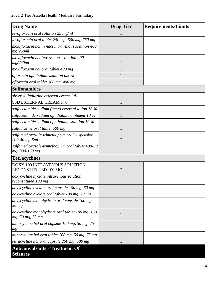| <b>Drug Name</b>                                                    | <b>Drug Tier</b> | <b>Requirements/Limits</b> |
|---------------------------------------------------------------------|------------------|----------------------------|
| levofloxacin oral solution 25 mg/ml                                 |                  |                            |
| levofloxacin oral tablet 250 mg, 500 mg, 750 mg                     | 1                |                            |
| moxifloxacin hcl in nacl intravenous solution 400<br>mg/250ml       | 1                |                            |
| moxifloxacin hcl intravenous solution 400<br>mg/250ml               | 1                |                            |
| moxifloxacin hcl oral tablet 400 mg                                 | 1                |                            |
| ofloxacin ophthalmic solution $0.3\%$                               |                  |                            |
| ofloxacin oral tablet 300 mg, 400 mg                                | 1                |                            |
| <b>Sulfonamides</b>                                                 |                  |                            |
| silver sulfadiazine external cream $1\%$                            | $\mathbf{1}$     |                            |
| <b>SSD EXTERNAL CREAM 1 %</b>                                       |                  |                            |
| sulfacetamide sodium (acne) external lotion 10 %                    |                  |                            |
| sulfacetamide sodium ophthalmic ointment 10 %                       |                  |                            |
| sulfacetamide sodium ophthalmic solution 10 %                       |                  |                            |
| sulfadiazine oral tablet 500 mg                                     |                  |                            |
| sulfamethoxazole-trimethoprim oral suspension<br>200-40 mg/5ml      | 1                |                            |
| sulfamethoxazole-trimethoprim oral tablet 400-80<br>mg, 800-160 mg  |                  |                            |
| <b>Tetracyclines</b>                                                |                  |                            |
| <b>DOXY 100 INTRAVENOUS SOLUTION</b><br>RECONSTITUTED 100 MG        | 1                |                            |
| doxycycline hyclate intravenous solution<br>reconstituted 100 mg    | 1                |                            |
| doxycycline hyclate oral capsule 100 mg, 50 mg                      | $\mathbf{1}$     |                            |
| doxycycline hyclate oral tablet 100 mg, 20 mg                       | $\mathbf{1}$     |                            |
| doxycycline monohydrate oral capsule 100 mg,<br>50 mg               | $\mathbf{1}$     |                            |
| doxycycline monohydrate oral tablet 100 mg, 150<br>mg, 50 mg, 75 mg | $\mathbf{1}$     |                            |
| minocycline hcl oral capsule 100 mg, 50 mg, 75<br>mg                | $\mathbf{1}$     |                            |
| minocycline hcl oral tablet 100 mg, 50 mg, 75 mg                    | 1                |                            |
| tetracycline hcl oral capsule 250 mg, 500 mg                        | $\mathbf{1}$     |                            |
| <b>Anticonvulsants - Treatment Of</b><br><b>Seizures</b>            |                  |                            |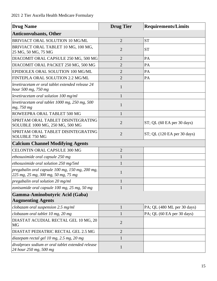| <b>Drug Name</b>                                                                       | <b>Drug Tier</b> | <b>Requirements/Limits</b>    |
|----------------------------------------------------------------------------------------|------------------|-------------------------------|
| <b>Anticonvulsants, Other</b>                                                          |                  |                               |
| BRIVIACT ORAL SOLUTION 10 MG/ML                                                        | $\overline{2}$   | <b>ST</b>                     |
| BRIVIACT ORAL TABLET 10 MG, 100 MG,<br>25 MG, 50 MG, 75 MG                             | $\overline{2}$   | <b>ST</b>                     |
| DIACOMIT ORAL CAPSULE 250 MG, 500 MG                                                   | $\overline{2}$   | PA                            |
| DIACOMIT ORAL PACKET 250 MG, 500 MG                                                    | $\overline{2}$   | PA                            |
| EPIDIOLEX ORAL SOLUTION 100 MG/ML                                                      | $\overline{2}$   | PA                            |
| FINTEPLA ORAL SOLUTION 2.2 MG/ML                                                       | $\overline{2}$   | PA                            |
| levetiracetam er oral tablet extended release 24<br>hour 500 mg, 750 mg                | $\mathbf{1}$     |                               |
| levetiracetam oral solution 100 mg/ml                                                  | $\mathbf{1}$     |                               |
| levetiracetam oral tablet 1000 mg, 250 mg, 500<br>mg, 750 mg                           | $\mathbf{1}$     |                               |
| ROWEEPRA ORAL TABLET 500 MG                                                            | $\mathbf{1}$     |                               |
| SPRITAM ORAL TABLET DISINTEGRATING<br>SOLUBLE 1000 MG, 250 MG, 500 MG                  | $\overline{2}$   | $ST$ ; QL (60 EA per 30 days) |
| SPRITAM ORAL TABLET DISINTEGRATING<br>SOLUBLE 750 MG                                   | $\overline{2}$   | ST; QL (120 EA per 30 days)   |
| <b>Calcium Channel Modifying Agents</b>                                                |                  |                               |
| CELONTIN ORAL CAPSULE 300 MG                                                           | $\overline{2}$   |                               |
| ethosuximide oral capsule 250 mg                                                       | 1                |                               |
| ethosuximide oral solution 250 mg/5ml                                                  | 1                |                               |
| pregabalin oral capsule 100 mg, 150 mg, 200 mg,<br>225 mg, 25 mg, 300 mg, 50 mg, 75 mg | 1                |                               |
| pregabalin oral solution 20 mg/ml                                                      | $\mathbf{1}$     |                               |
| zonisamide oral capsule 100 mg, 25 mg, 50 mg                                           | $\mathbf{1}$     |                               |
| Gamma-Aminobutyric Acid (Gaba)<br><b>Augmenting Agents</b>                             |                  |                               |
| clobazam oral suspension 2.5 mg/ml                                                     | $\mathbf{1}$     | PA; QL (480 ML per 30 days)   |
| clobazam oral tablet 10 mg, 20 mg                                                      | 1                | PA; QL (60 EA per 30 days)    |
| DIASTAT ACUDIAL RECTAL GEL 10 MG, 20<br>MG                                             | $\overline{2}$   |                               |
| DIASTAT PEDIATRIC RECTAL GEL 2.5 MG                                                    | $\overline{2}$   |                               |
| diazepam rectal gel 10 mg, 2.5 mg, 20 mg                                               | $\mathbf{1}$     |                               |
| divalproex sodium er oral tablet extended release<br>24 hour 250 mg, 500 mg            | $\mathbf{1}$     |                               |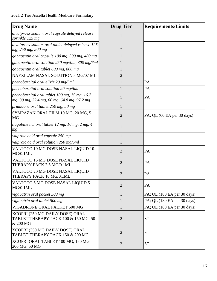| <b>Drug Name</b>                                                                             | <b>Drug Tier</b> | <b>Requirements/Limits</b>  |
|----------------------------------------------------------------------------------------------|------------------|-----------------------------|
| divalproex sodium oral capsule delayed release<br>sprinkle 125 mg                            | 1                |                             |
| divalproex sodium oral tablet delayed release 125<br>mg, 250 mg, 500 mg                      | 1                |                             |
| gabapentin oral capsule 100 mg, 300 mg, 400 mg                                               | $\mathbf{1}$     |                             |
| gabapentin oral solution 250 mg/5ml, 300 mg/6ml                                              | 1                |                             |
| gabapentin oral tablet 600 mg, 800 mg                                                        | 1                |                             |
| NAYZILAM NASAL SOLUTION 5 MG/0.1ML                                                           | $\overline{2}$   |                             |
| phenobarbital oral elixir 20 mg/5ml                                                          | $\mathbf{1}$     | PA                          |
| phenobarbital oral solution 20 mg/5ml                                                        | 1                | PA                          |
| phenobarbital oral tablet 100 mg, 15 mg, 16.2<br>mg, 30 mg, 32.4 mg, 60 mg, 64.8 mg, 97.2 mg | 1                | PA                          |
| primidone oral tablet 250 mg, 50 mg                                                          | 1                |                             |
| SYMPAZAN ORAL FILM 10 MG, 20 MG, 5<br><b>MG</b>                                              | $\overline{2}$   | PA; QL (60 EA per 30 days)  |
| tiagabine hcl oral tablet 12 mg, 16 mg, 2 mg, 4<br>mg                                        | $\mathbf{1}$     |                             |
| valproic acid oral capsule 250 mg                                                            |                  |                             |
| valproic acid oral solution 250 mg/5ml                                                       | 1                |                             |
| VALTOCO 10 MG DOSE NASAL LIQUID 10<br>MG/0.1ML                                               | $\overline{2}$   | PA                          |
| VALTOCO 15 MG DOSE NASAL LIQUID<br>THERAPY PACK 7.5 MG/0.1ML                                 | $\overline{2}$   | PA                          |
| VALTOCO 20 MG DOSE NASAL LIQUID<br>THERAPY PACK 10 MG/0.1ML                                  | $\overline{2}$   | PA                          |
| VALTOCO 5 MG DOSE NASAL LIQUID 5<br>MG/0.1ML                                                 | $\overline{2}$   | PA                          |
| vigabatrin oral packet 500 mg                                                                | $\mathbf{1}$     | PA; QL (180 EA per 30 days) |
| vigabatrin oral tablet 500 mg                                                                | $\mathbf{1}$     | PA; QL (180 EA per 30 days) |
| VIGADRONE ORAL PACKET 500 MG                                                                 | $\mathbf{1}$     | PA; QL (180 EA per 30 days) |
| XCOPRI (250 MG DAILY DOSE) ORAL<br>TABLET THERAPY PACK 100 & 150 MG, 50<br>& 200 MG          | $\overline{2}$   | <b>ST</b>                   |
| XCOPRI (350 MG DAILY DOSE) ORAL<br>TABLET THERAPY PACK 150 & 200 MG                          | $\overline{2}$   | <b>ST</b>                   |
| XCOPRI ORAL TABLET 100 MG, 150 MG,<br>200 MG, 50 MG                                          | $\overline{2}$   | <b>ST</b>                   |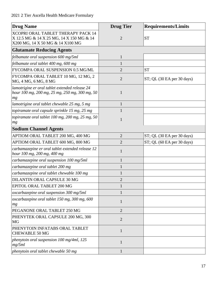| <b>Drug Name</b>                                                                                                          | <b>Drug Tier</b> | <b>Requirements/Limits</b>    |
|---------------------------------------------------------------------------------------------------------------------------|------------------|-------------------------------|
| <b>XCOPRI ORAL TABLET THERAPY PACK 14</b><br>X 12.5 MG & 14 X 25 MG, 14 X 150 MG & 14<br>X200 MG, 14 X 50 MG & 14 X100 MG | $\overline{2}$   | <b>ST</b>                     |
| <b>Glutamate Reducing Agents</b>                                                                                          |                  |                               |
| felbamate oral suspension 600 mg/5ml                                                                                      | $\mathbf{1}$     |                               |
| felbamate oral tablet 400 mg, 600 mg                                                                                      | 1                |                               |
| FYCOMPA ORAL SUSPENSION 0.5 MG/ML                                                                                         | $\overline{2}$   | <b>ST</b>                     |
| FYCOMPA ORAL TABLET 10 MG, 12 MG, 2<br>MG, 4 MG, 6 MG, 8 MG                                                               | $\overline{2}$   | $ST$ ; QL (30 EA per 30 days) |
| lamotrigine er oral tablet extended release 24<br>hour 100 mg, 200 mg, 25 mg, 250 mg, 300 mg, 50<br>mg                    | 1                |                               |
| lamotrigine oral tablet chewable 25 mg, 5 mg                                                                              | $\mathbf{1}$     |                               |
| topiramate oral capsule sprinkle 15 mg, 25 mg                                                                             |                  |                               |
| topiramate oral tablet 100 mg, 200 mg, 25 mg, 50<br>mg                                                                    | $\mathbf{1}$     |                               |
| <b>Sodium Channel Agents</b>                                                                                              |                  |                               |
| APTIOM ORAL TABLET 200 MG, 400 MG                                                                                         | $\overline{2}$   | ST; QL (30 EA per 30 days)    |
| APTIOM ORAL TABLET 600 MG, 800 MG                                                                                         | $\overline{2}$   | $ST$ ; QL (60 EA per 30 days) |
| carbamazepine er oral tablet extended release 12<br>hour 100 mg, 200 mg, 400 mg                                           | $\mathbf{1}$     |                               |
| carbamazepine oral suspension 100 mg/5ml                                                                                  | $\mathbf{1}$     |                               |
| carbamazepine oral tablet 200 mg                                                                                          | $\mathbf{1}$     |                               |
| carbamazepine oral tablet chewable 100 mg                                                                                 | 1                |                               |
| DILANTIN ORAL CAPSULE 30 MG                                                                                               | $\overline{c}$   |                               |
| EPITOL ORAL TABLET 200 MG                                                                                                 | $\mathbf{1}$     |                               |
| oxcarbazepine oral suspension 300 mg/5ml                                                                                  |                  |                               |
| oxcarbazepine oral tablet 150 mg, 300 mg, 600<br>mg                                                                       | $\mathbf{1}$     |                               |
| PEGANONE ORAL TABLET 250 MG                                                                                               | $\overline{2}$   |                               |
| PHENYTEK ORAL CAPSULE 200 MG, 300<br>MG                                                                                   | $\overline{2}$   |                               |
| PHENYTOIN INFATABS ORAL TABLET<br><b>CHEWABLE 50 MG</b>                                                                   | $\mathbf{1}$     |                               |
| phenytoin oral suspension 100 mg/4ml, 125<br>mg/5ml                                                                       | 1                |                               |
| phenytoin oral tablet chewable 50 mg                                                                                      | $\mathbf{1}$     |                               |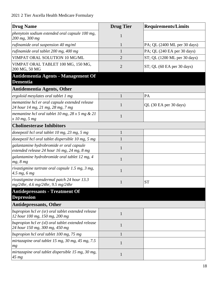| <b>Drug Name</b>                                                                        | <b>Drug Tier</b> | <b>Requirements/Limits</b>   |
|-----------------------------------------------------------------------------------------|------------------|------------------------------|
| phenytoin sodium extended oral capsule 100 mg,<br>200 mg, 300 mg                        | $\mathbf{1}$     |                              |
| rufinamide oral suspension 40 mg/ml                                                     | $\mathbf{1}$     | PA; QL (2400 ML per 30 days) |
| rufinamide oral tablet 200 mg, 400 mg                                                   | 1                | PA; QL (240 EA per 30 days)  |
| VIMPAT ORAL SOLUTION 10 MG/ML                                                           | $\overline{2}$   | ST; QL (1200 ML per 30 days) |
| VIMPAT ORAL TABLET 100 MG, 150 MG,<br>200 MG, 50 MG                                     | $\overline{2}$   | ST; QL (60 EA per 30 days)   |
| Antidementia Agents - Management Of<br><b>Dementia</b>                                  |                  |                              |
| <b>Antidementia Agents, Other</b>                                                       |                  |                              |
| ergoloid mesylates oral tablet 1 mg                                                     | 1                | PA                           |
| memantine hcl er oral capsule extended release<br>24 hour 14 mg, 21 mg, 28 mg, 7 mg     | 1                | QL (30 EA per 30 days)       |
| memantine hcl oral tablet 10 mg, $28 \times 5$ mg $\& 21$<br>x 10 mg, 5 mg              | $\mathbf{1}$     |                              |
| <b>Cholinesterase Inhibitors</b>                                                        |                  |                              |
| donepezil hcl oral tablet 10 mg, 23 mg, 5 mg                                            | $\mathbf{1}$     |                              |
| donepezil hcl oral tablet dispersible 10 mg, 5 mg                                       |                  |                              |
| galantamine hydrobromide er oral capsule<br>extended release 24 hour 16 mg, 24 mg, 8 mg | 1                |                              |
| galantamine hydrobromide oral tablet 12 mg, 4<br>mg, 8 mg                               | 1                |                              |
| rivastigmine tartrate oral capsule 1.5 mg, 3 mg,<br>4.5 mg, 6 mg                        | 1                |                              |
| rivastigmine transdermal patch 24 hour 13.3<br>mg/24hr, 4.6 mg/24hr, 9.5 mg/24hr        | $\mathbf{I}$     | $\operatorname{ST}$          |
| <b>Antidepressants - Treatment Of</b><br><b>Depression</b>                              |                  |                              |
| <b>Antidepressants, Other</b>                                                           |                  |                              |
| bupropion hcl er (sr) oral tablet extended release<br>12 hour 100 mg, 150 mg, 200 mg    | $\mathbf{1}$     |                              |
| bupropion hcl $er(xl)$ oral tablet extended release<br>24 hour 150 mg, 300 mg, 450 mg   | $\mathbf{1}$     |                              |
| bupropion hcl oral tablet 100 mg, 75 mg                                                 | $\mathbf{1}$     |                              |
| mirtazapine oral tablet 15 mg, 30 mg, 45 mg, 7.5<br>mg                                  | $\mathbf{1}$     |                              |
| mirtazapine oral tablet dispersible 15 mg, 30 mg,<br>45 mg                              | $\mathbf{1}$     |                              |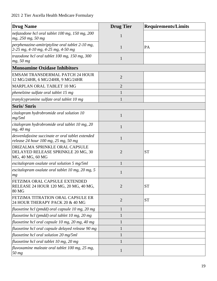| <b>Drug Name</b>                                                                         | <b>Drug Tier</b> | <b>Requirements/Limits</b> |
|------------------------------------------------------------------------------------------|------------------|----------------------------|
| nefazodone hcl oral tablet 100 mg, 150 mg, 200<br>mg, 250 mg, 50 mg                      | 1                |                            |
| perphenazine-amitriptyline oral tablet 2-10 mg,<br>2-25 mg, 4-10 mg, 4-25 mg, 4-50 mg    | 1                | PA                         |
| trazodone hcl oral tablet 100 mg, 150 mg, 300<br>mg, 50 mg                               | 1                |                            |
| <b>Monoamine Oxidase Inhibitors</b>                                                      |                  |                            |
| <b>EMSAM TRANSDERMAL PATCH 24 HOUR</b><br>12 MG/24HR, 6 MG/24HR, 9 MG/24HR               | $\overline{2}$   |                            |
| MARPLAN ORAL TABLET 10 MG                                                                | $\overline{2}$   |                            |
| phenelzine sulfate oral tablet 15 mg                                                     | 1                |                            |
| tranylcypromine sulfate oral tablet 10 mg                                                | $\mathbf{1}$     |                            |
| <b>Ssris/Snris</b>                                                                       |                  |                            |
| citalopram hydrobromide oral solution 10<br>mg/5ml                                       | $\mathbf{1}$     |                            |
| citalopram hydrobromide oral tablet 10 mg, 20<br>mg, 40 mg                               | 1                |                            |
| desvenlafaxine succinate er oral tablet extended<br>release 24 hour 100 mg, 25 mg, 50 mg | 1                |                            |
| DRIZALMA SPRINKLE ORAL CAPSULE<br>DELAYED RELEASE SPRINKLE 20 MG, 30<br>MG, 40 MG, 60 MG | $\overline{2}$   | <b>ST</b>                  |
| escitalopram oxalate oral solution 5 mg/5ml                                              | 1                |                            |
| escitalopram oxalate oral tablet 10 mg, 20 mg, 5<br>mg                                   | 1                |                            |
| FETZIMA ORAL CAPSULE EXTENDED<br>RELEASE 24 HOUR 120 MG, 20 MG, 40 MG,<br><b>80 MG</b>   | $\overline{2}$   | <b>ST</b>                  |
| FETZIMA TITRATION ORAL CAPSULE ER<br>24 HOUR THERAPY PACK 20 & 40 MG                     | $\overline{2}$   | <b>ST</b>                  |
| fluoxetine hcl (pmdd) oral capsule 10 mg, 20 mg                                          | $\mathbf{1}$     |                            |
| fluoxetine hcl (pmdd) oral tablet 10 mg, 20 mg                                           | $\mathbf{1}$     |                            |
| fluoxetine hcl oral capsule 10 mg, 20 mg, 40 mg                                          | $\mathbf{1}$     |                            |
| fluoxetine hcl oral capsule delayed release 90 mg                                        | $\mathbf{1}$     |                            |
| fluoxetine hcl oral solution 20 mg/5ml                                                   | $\mathbf{1}$     |                            |
| fluoxetine hcl oral tablet 10 mg, 20 mg                                                  | $\mathbf{1}$     |                            |
| fluvoxamine maleate oral tablet 100 mg, 25 mg,<br>50 <sub>mg</sub>                       | $\mathbf{1}$     |                            |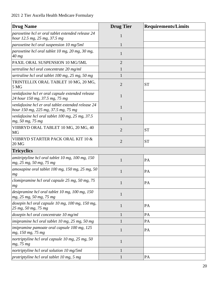| <b>Drug Name</b>                                                                          | <b>Drug Tier</b> | <b>Requirements/Limits</b> |
|-------------------------------------------------------------------------------------------|------------------|----------------------------|
| paroxetine hcl er oral tablet extended release 24<br>hour 12.5 mg, 25 mg, 37.5 mg         | 1                |                            |
| paroxetine hcl oral suspension 10 mg/5ml                                                  | 1                |                            |
| paroxetine hcl oral tablet 10 mg, 20 mg, 30 mg,<br>$40$ mg                                | 1                |                            |
| PAXIL ORAL SUSPENSION 10 MG/5ML                                                           | $\overline{2}$   |                            |
| sertraline hcl oral concentrate 20 mg/ml                                                  | 1                |                            |
| sertraline hcl oral tablet 100 mg, 25 mg, 50 mg                                           |                  |                            |
| TRINTELLIX ORAL TABLET 10 MG, 20 MG,<br>5 MG                                              | $\overline{2}$   | <b>ST</b>                  |
| venlafaxine hcl er oral capsule extended release<br>24 hour 150 mg, 37.5 mg, 75 mg        | 1                |                            |
| venlafaxine hcl er oral tablet extended release 24<br>hour 150 mg, 225 mg, 37.5 mg, 75 mg | $\mathbf{1}$     |                            |
| venlafaxine hcl oral tablet 100 mg, 25 mg, 37.5<br>mg, 50 mg, 75 mg                       | 1                |                            |
| VIIBRYD ORAL TABLET 10 MG, 20 MG, 40<br><b>MG</b>                                         | $\overline{2}$   | <b>ST</b>                  |
| VIIBRYD STARTER PACK ORAL KIT 10 &<br>20 MG                                               | $\overline{2}$   | <b>ST</b>                  |
| <b>Tricyclics</b>                                                                         |                  |                            |
| amitriptyline hcl oral tablet 10 mg, 100 mg, 150<br>mg, 25 mg, 50 mg, 75 mg               | $\mathbf{1}$     | PA                         |
| amoxapine oral tablet $100$ mg, $150$ mg, $25$ mg, $50$<br>mg                             | 1                | PA                         |
| clomipramine hcl oral capsule 25 mg, 50 mg, 75<br>mg                                      |                  | PA                         |
| desipramine hcl oral tablet 10 mg, 100 mg, 150<br>mg, 25 mg, 50 mg, 75 mg                 | $\mathbf{1}$     |                            |
| doxepin hcl oral capsule 10 mg, 100 mg, 150 mg,<br>25 mg, 50 mg, 75 mg                    | $\mathbf{1}$     | PA                         |
| doxepin hcl oral concentrate 10 mg/ml                                                     | 1                | PA                         |
| imipramine hcl oral tablet 10 mg, 25 mg, 50 mg                                            | 1                | PA                         |
| imipramine pamoate oral capsule 100 mg, 125<br>mg, 150 mg, 75 mg                          | $\mathbf{1}$     | PA                         |
| nortriptyline hcl oral capsule 10 mg, 25 mg, 50<br>mg, 75 mg                              | $\mathbf{1}$     |                            |
| nortriptyline hcl oral solution 10 mg/5ml                                                 | 1                |                            |
| protriptyline hcl oral tablet 10 mg, 5 mg                                                 | 1                | PA                         |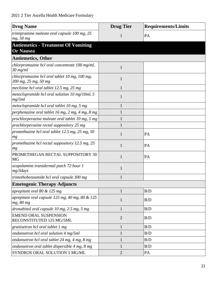| <b>Drug Name</b>                                                      | <b>Drug Tier</b> | <b>Requirements/Limits</b> |
|-----------------------------------------------------------------------|------------------|----------------------------|
| trimipramine maleate oral capsule 100 mg, 25<br>mg, 50 mg             | 1                | PA                         |
| <b>Antiemetics - Treatment Of Vomiting</b><br><b>Or Nausea</b>        |                  |                            |
| <b>Antiemetics, Other</b>                                             |                  |                            |
| chlorpromazine hcl oral concentrate 100 mg/ml,<br>30 mg/ml            | 1                |                            |
| chlorpromazine hcl oral tablet 10 mg, 100 mg,<br>200 mg, 25 mg, 50 mg | 1                |                            |
| meclizine hcl oral tablet 12.5 mg, 25 mg                              |                  |                            |
| metoclopramide hcl oral solution 10 mg/10ml, 5<br>mg/5ml              | 1                |                            |
| metoclopramide hcl oral tablet 10 mg, 5 mg                            |                  |                            |
| perphenazine oral tablet 16 mg, 2 mg, 4 mg, 8 mg                      | 1                |                            |
| prochlorperazine maleate oral tablet 10 mg, 5 mg                      |                  |                            |
| prochlorperazine rectal suppository 25 mg                             | 1                |                            |
| promethazine hcl oral tablet 12.5 mg, 25 mg, 50<br>mg                 | 1                | PA                         |
| promethazine hcl rectal suppository 12.5 mg, 25<br>mg                 | $\mathbf{1}$     | PA                         |
| PROMETHEGAN RECTAL SUPPOSITORY 50<br><b>MG</b>                        | 1                | PA                         |
| scopolamine transdermal patch 72 hour 1<br>mg/3 days                  | 1                |                            |
| trimethobenzamide hcl oral capsule 300 mg                             |                  |                            |
| <b>Emetogenic Therapy Adjuncts</b>                                    |                  |                            |
| aprepitant oral 80 & 125 mg                                           | $\mathbf{1}$     | B/D                        |
| aprepitant oral capsule 125 mg, 40 mg, 80 & 125<br>mg, 80 mg          | $\mathbf{1}$     | B/D                        |
| dronabinol oral capsule $10$ mg, $2.5$ mg, $5$ mg                     | $\mathbf{1}$     | B/D                        |
| <b>EMEND ORAL SUSPENSION</b><br>RECONSTITUTED 125 MG/5ML              | $\overline{2}$   | B/D                        |
| granisetron hcl oral tablet 1 mg                                      | $\mathbf{1}$     | B/D                        |
| ondansetron hcl oral solution 4 mg/5ml                                | $\mathbf{1}$     | B/D                        |
| ondansetron hcl oral tablet 24 mg, 4 mg, 8 mg                         | 1                | B/D                        |
| ondansetron oral tablet dispersible 4 mg, 8 mg                        | 1                | B/D                        |
| SYNDROS ORAL SOLUTION 5 MG/ML                                         | $\overline{2}$   | PA                         |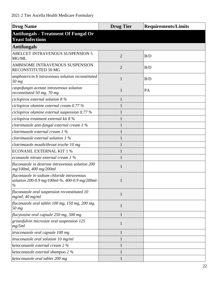| <b>Drug Name</b>                                                                                     | <b>Drug Tier</b> | <b>Requirements/Limits</b> |
|------------------------------------------------------------------------------------------------------|------------------|----------------------------|
| <b>Antifungals - Treatment Of Fungal Or</b><br><b>Yeast Infections</b>                               |                  |                            |
| <b>Antifungals</b>                                                                                   |                  |                            |
| ABELCET INTRAVENOUS SUSPENSION 5<br>MG/ML                                                            | $\overline{2}$   | B/D                        |
| AMBISOME INTRAVENOUS SUSPENSION<br>RECONSTITUTED 50 MG                                               | $\overline{2}$   | B/D                        |
| amphotericin b intravenous solution reconstituted<br>50 mg                                           | 1                | B/D                        |
| caspofungin acetate intravenous solution<br>reconstituted 50 mg, 70 mg                               | 1                | PA                         |
| ciclopirox external solution $8\%$                                                                   |                  |                            |
| ciclopirox olamine external cream 0.77 %                                                             |                  |                            |
| ciclopirox olamine external suspension $0.77\%$                                                      |                  |                            |
| ciclopirox treatment external kit 8 %                                                                |                  |                            |
| clotrimazole anti-fungal external cream 1 %                                                          |                  |                            |
| clotrimazole external cream 1 %                                                                      |                  |                            |
| clotrimazole external solution 1 %                                                                   |                  |                            |
| clotrimazole mouth/throat troche 10 mg                                                               |                  |                            |
| <b>ECONASIL EXTERNAL KIT 1 %</b>                                                                     |                  |                            |
| econazole nitrate external cream 1 %                                                                 |                  |                            |
| fluconazole in dextrose intravenous solution 200<br>mg/100ml, 400 mg/200ml                           | 1                |                            |
| fluconazole in sodium chloride intravenous<br>solution 200-0.9 mg/100ml-%, 400-0.9 mg/200ml-<br>$\%$ | 1                |                            |
| fluconazole oral suspension reconstituted 10<br>$mg/ml$ , 40 mg/ml                                   | 1                |                            |
| fluconazole oral tablet 100 mg, 150 mg, 200 mg,<br>50 mg                                             | 1                |                            |
| flucytosine oral capsule 250 mg, 500 mg                                                              |                  |                            |
| griseofulvin microsize oral suspension 125<br>mg/5ml                                                 | 1                |                            |
| itraconazole oral capsule 100 mg                                                                     | 1                |                            |
| itraconazole oral solution 10 mg/ml                                                                  |                  |                            |
| ketoconazole external cream 2 %                                                                      |                  |                            |
| ketoconazole external shampoo 2 %                                                                    |                  |                            |
| ketoconazole oral tablet 200 mg                                                                      |                  |                            |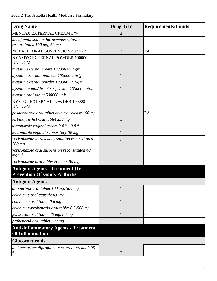| <b>Drug Name</b>                                                              | <b>Drug Tier</b> | <b>Requirements/Limits</b> |
|-------------------------------------------------------------------------------|------------------|----------------------------|
| MENTAX EXTERNAL CREAM 1 %                                                     | 2                |                            |
| micafungin sodium intravenous solution<br>reconstituted 100 mg, 50 mg         | 1                |                            |
| NOXAFIL ORAL SUSPENSION 40 MG/ML                                              | $\overline{2}$   | PA                         |
| NYAMYC EXTERNAL POWDER 100000<br><b>UNIT/GM</b>                               | 1                |                            |
| nystatin external cream 100000 unit/gm                                        | $\mathbf{1}$     |                            |
| nystatin external ointment 100000 unit/gm                                     | 1                |                            |
| nystatin external powder 100000 unit/gm                                       | $\mathbf{1}$     |                            |
| nystatin mouth/throat suspension 100000 unit/ml                               | 1                |                            |
| nystatin oral tablet 500000 unit                                              | 1                |                            |
| NYSTOP EXTERNAL POWDER 100000<br>UNIT/GM                                      | 1                |                            |
| posaconazole oral tablet delayed release 100 mg                               | $\mathbf{1}$     | PA                         |
| terbinafine hcl oral tablet 250 mg                                            | $\mathbf{1}$     |                            |
| terconazole vaginal cream $0.4\%$ , $0.8\%$                                   | $\mathbf{1}$     |                            |
| terconazole vaginal suppository 80 mg                                         | $\mathbf{1}$     |                            |
| voriconazole intravenous solution reconstituted<br>$200$ mg                   | $\mathbf{1}$     |                            |
| voriconazole oral suspension reconstituted 40<br>mg/ml                        | 1                |                            |
| voriconazole oral tablet 200 mg, 50 mg                                        | 1                |                            |
| <b>Antigout Agents - Treatment Or</b><br><b>Prevention Of Gouty Arthritis</b> |                  |                            |
| <b>Antigout Agents</b>                                                        |                  |                            |
| allopurinol oral tablet 100 mg, 300 mg                                        | $\mathbf{1}$     |                            |
| colchicine oral capsule 0.6 mg                                                | $\mathbf{1}$     |                            |
| colchicine oral tablet 0.6 mg                                                 | 1                |                            |
| colchicine-probenecid oral tablet 0.5-500 mg                                  | 1                |                            |
| febuxostat oral tablet 40 mg, 80 mg                                           |                  | <b>ST</b>                  |
| probenecid oral tablet 500 mg                                                 |                  |                            |
| <b>Anti-Inflammatory Agents - Treatment</b><br><b>Of Inflammation</b>         |                  |                            |
| <b>Glucocorticoids</b>                                                        |                  |                            |
| alclometasone dipropionate external cream 0.05<br>$\%$                        | $\mathbf{1}$     |                            |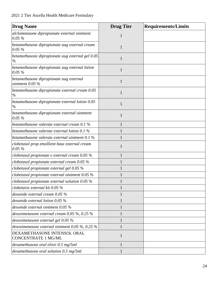| <b>Drug Name</b>                                           | <b>Drug Tier</b> | <b>Requirements/Limits</b> |
|------------------------------------------------------------|------------------|----------------------------|
| alclometasone dipropionate external ointment<br>$0.05\%$   | 1                |                            |
| betamethasone dipropionate aug external cream<br>$0.05\%$  | 1                |                            |
| betamethasone dipropionate aug external gel 0.05<br>$\%$   | 1                |                            |
| betamethasone dipropionate aug external lotion<br>$0.05\%$ | 1                |                            |
| betamethasone dipropionate aug external<br>ointment 0.05 % | 1                |                            |
| betamethasone dipropionate external cream 0.05<br>$\%$     |                  |                            |
| betamethasone dipropionate external lotion 0.05<br>$\%$    | 1                |                            |
| betamethasone dipropionate external ointment<br>$0.05\%$   | 1                |                            |
| betamethasone valerate external cream $0.1\%$              |                  |                            |
| betamethasone valerate external lotion 0.1 $\%$            |                  |                            |
| betamethasone valerate external ointment 0.1 $\%$          |                  |                            |
| clobetasol prop emollient base external cream<br>$0.05\%$  |                  |                            |
| clobetasol propionate e external cream $0.05\%$            | 1                |                            |
| clobetasol propionate external cream $0.05\%$              |                  |                            |
| clobetasol propionate external gel 0.05 %                  |                  |                            |
| clobetasol propionate external ointment $0.05\%$           |                  |                            |
| clobetasol propionate external solution $0.05\%$           | $\mathbf{1}$     |                            |
| clobetavix external kit $0.05\%$                           | 1                |                            |
| desonide external cream $0.05\%$                           |                  |                            |
| desonide external lotion 0.05 %                            | $\mathbf{1}$     |                            |
| desonide external ointment 0.05 %                          |                  |                            |
| desoximetasone external cream $0.05\%$ , $0.25\%$          |                  |                            |
| desoximetasone external gel $0.05\%$                       |                  |                            |
| desoximetasone external ointment 0.05 %, 0.25 %            |                  |                            |
| DEXAMETHASONE INTENSOL ORAL<br><b>CONCENTRATE 1 MG/ML</b>  | 1                |                            |
| dexamethasone oral elixir 0.5 mg/5ml                       | 1                |                            |
| dexamethasone oral solution 0.5 mg/5ml                     | 1                |                            |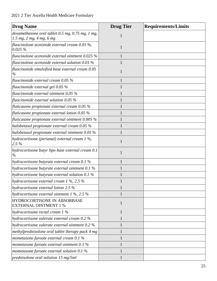| <b>Drug Name</b>                                                             | <b>Drug Tier</b> | <b>Requirements/Limits</b> |
|------------------------------------------------------------------------------|------------------|----------------------------|
| dexamethasone oral tablet 0.5 mg, 0.75 mg, 1 mg,<br>1.5 mg, 2 mg, 4 mg, 6 mg |                  |                            |
| fluocinolone acetonide external cream $0.01\%$ ,<br>0.025%                   | 1                |                            |
| fluocinolone acetonide external ointment $0.025\%$                           |                  |                            |
| fluocinolone acetonide external solution 0.01 $%$                            |                  |                            |
| fluocinonide emulsified base external cream 0.05<br>$\%$                     |                  |                            |
| fluocinonide external cream $0.05\%$                                         |                  |                            |
| fluocinonide external gel $0.05\%$                                           |                  |                            |
| fluocinonide external ointment $0.05\%$                                      |                  |                            |
| fluocinonide external solution $0.05\%$                                      |                  |                            |
| $\beta$ fluticasone propionate external cream 0.05 %                         |                  |                            |
| fluticasone propionate external lotion 0.05 $\%$                             |                  |                            |
| fluticasone propionate external ointment 0.005 $\%$                          |                  |                            |
| halobetasol propionate external cream 0.05 %                                 |                  |                            |
| halobetasol propionate external ointment 0.05 %                              |                  |                            |
| hydrocortisone (perianal) external cream $1\%$ ,<br>$2.5\%$                  | 1                |                            |
| hydrocortisone butyr lipo base external cream 0.1<br>$\%$                    |                  |                            |
| hydrocortisone butyrate external cream 0.1 %                                 |                  |                            |
| hydrocortisone butyrate external ointment 0.1 %                              |                  |                            |
| hydrocortisone butyrate external solution 0.1 %                              |                  |                            |
| hydrocortisone external cream $1\%$ , 2.5 $\%$                               | $\mathbf{1}$     |                            |
| hydrocortisone external lotion 2.5 %                                         | 1                |                            |
| hydrocortisone external ointment $1\%$ , 2.5 $\%$                            |                  |                            |
| HYDROCORTISONE IN ABSORBASE<br><b>EXTERNAL OINTMENT 1 %</b>                  | $\mathbf{1}$     |                            |
| hydrocortisone rectal cream $1\%$                                            | 1                |                            |
| hydrocortisone valerate external cream 0.2 %                                 |                  |                            |
| hydrocortisone valerate external ointment 0.2 %                              |                  |                            |
| methylprednisolone oral tablet therapy pack 4 mg                             |                  |                            |
| mometasone furoate external cream 0.1 %                                      | 1                |                            |
| mometasone furoate external ointment 0.1 %                                   |                  |                            |
| mometasone furoate external solution $0.1\%$                                 | $\mathbf{1}$     |                            |
| prednisolone oral solution 15 mg/5ml                                         | $\mathbf{1}$     |                            |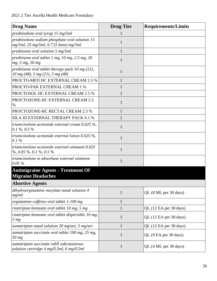| <b>Drug Name</b>                                                                            | <b>Drug Tier</b> | <b>Requirements/Limits</b> |
|---------------------------------------------------------------------------------------------|------------------|----------------------------|
| prednisolone oral syrup 15 mg/5ml                                                           |                  |                            |
| prednisolone sodium phosphate oral solution 15<br>$mg/5ml$ , 25 mg/5ml, 6.7 (5 base) mg/5ml | 1                |                            |
| prednisone oral solution 5 mg/5ml                                                           | 1                |                            |
| prednisone oral tablet $1$ mg, $10$ mg, $2.5$ mg, $20$<br>mg, 5 mg, 50 mg                   | 1                |                            |
| prednisone oral tablet therapy pack $10$ mg $(21)$ ,<br>10 mg (48), 5 mg (21), 5 mg (48)    | $\mathbf{1}$     |                            |
| PROCTO-MED HC EXTERNAL CREAM 2.5 %                                                          |                  |                            |
| PROCTO-PAK EXTERNAL CREAM 1 %                                                               | 1                |                            |
| PROCTOSOL HC EXTERNAL CREAM 2.5 %                                                           |                  |                            |
| PROCTOZONE-HC EXTERNAL CREAM 2.5<br>%                                                       | $\mathbf{1}$     |                            |
| PROCTOZONE-HC RECTAL CREAM 2.5 %                                                            | $\mathbf{1}$     |                            |
| SILA III EXTERNAL THERAPY PACK 0.1 %                                                        | 1                |                            |
| triamcinolone acetonide external cream $0.025\%$ ,<br>0.1 %, 0.5 %                          | $\mathbf{1}$     |                            |
| triamcinolone acetonide external lotion $0.025\%$ ,<br>0.1%                                 | 1                |                            |
| triamcinolone acetonide external ointment 0.025<br>$\%$ , 0.05 %, 0.1 %, 0.5 %              | $\mathbf{1}$     |                            |
| triamcinolone in absorbase external ointment<br>$0.05\%$                                    | 1                |                            |
| <b>Antimigraine Agents - Treatment Of</b><br><b>Migraine Headaches</b>                      |                  |                            |
| <b>Abortive Agents</b>                                                                      |                  |                            |
| dihydroergotamine mesylate nasal solution 4<br>mg/ml                                        | $\mathbf{1}$     | QL (8 ML per 30 days)      |
| ergotamine-caffeine oral tablet 1-100 mg                                                    | $\mathbf{1}$     |                            |
| rizatriptan benzoate oral tablet 10 mg, 5 mg                                                | $\mathbf{1}$     | QL (12 EA per 30 days)     |
| rizatriptan benzoate oral tablet dispersible 10 mg,<br>5 <sub>mg</sub>                      | $\mathbf{1}$     | QL (12 EA per 30 days)     |
| sumatriptan nasal solution 20 mg/act, 5 mg/act                                              | $\mathbf{1}$     | QL (12 EA per 30 days)     |
| sumatriptan succinate oral tablet 100 mg, 25 mg,<br>$50$ mg                                 | $\mathbf{1}$     | QL (9 EA per 30 days)      |
| sumatriptan succinate refill subcutaneous<br>solution cartridge 4 mg/0.5ml, 6 mg/0.5ml      | $\mathbf{1}$     | QL (4 ML per 30 days)      |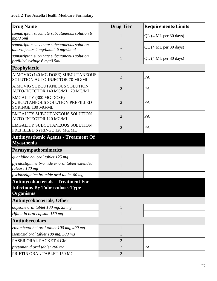| <b>Drug Name</b>                                                                                        | <b>Drug Tier</b> | <b>Requirements/Limits</b> |
|---------------------------------------------------------------------------------------------------------|------------------|----------------------------|
| sumatriptan succinate subcutaneous solution 6<br>mg/0.5ml                                               | $\mathbf{1}$     | QL (4 ML per 30 days)      |
| sumatriptan succinate subcutaneous solution<br>auto-injector 4 mg/0.5ml, 6 mg/0.5ml                     | $\mathbf{1}$     | QL (4 ML per 30 days)      |
| sumatriptan succinate subcutaneous solution<br>prefilled syringe 6 mg/0.5ml                             | $\mathbf{1}$     | QL (4 ML per 30 days)      |
| Prophylactic                                                                                            |                  |                            |
| AIMOVIG (140 MG DOSE) SUBCUTANEOUS<br>SOLUTION AUTO-INJECTOR 70 MG/ML                                   | $\overline{2}$   | PA                         |
| AIMOVIG SUBCUTANEOUS SOLUTION<br>AUTO-INJECTOR 140 MG/ML, 70 MG/ML                                      | $\overline{2}$   | PA                         |
| EMGALITY (300 MG DOSE)<br>SUBCUTANEOUS SOLUTION PREFILLED<br>SYRINGE 100 MG/ML                          | $\overline{2}$   | PA                         |
| <b>EMGALITY SUBCUTANEOUS SOLUTION</b><br><b>AUTO-INJECTOR 120 MG/ML</b>                                 | $\overline{2}$   | PA                         |
| <b>EMGALITY SUBCUTANEOUS SOLUTION</b><br>PREFILLED SYRINGE 120 MG/ML                                    | $\overline{2}$   | PA                         |
| <b>Antimyasthenic Agents - Treatment Of</b>                                                             |                  |                            |
| <b>Myasthenia</b><br><b>Parasympathomimetics</b>                                                        |                  |                            |
| guanidine hcl oral tablet 125 mg                                                                        | $\mathbf{1}$     |                            |
| pyridostigmine bromide er oral tablet extended<br>release 180 mg                                        | $\mathbf{1}$     |                            |
| pyridostigmine bromide oral tablet 60 mg                                                                | $\mathbf{1}$     |                            |
| <b>Antimycobacterials - Treatment For</b><br><b>Infections By Tuberculosis-Type</b><br><b>Organisms</b> |                  |                            |
| <b>Antimycobacterials, Other</b>                                                                        |                  |                            |
| dapsone oral tablet 100 mg, 25 mg                                                                       | $\mathbf{1}$     |                            |
| rifabutin oral capsule 150 mg                                                                           | $\mathbf{1}$     |                            |
| <b>Antituberculars</b>                                                                                  |                  |                            |
| ethambutol hcl oral tablet 100 mg, 400 mg                                                               | $\mathbf{1}$     |                            |
| isoniazid oral tablet 100 mg, 300 mg                                                                    | $\mathbf{1}$     |                            |
| PASER ORAL PACKET 4 GM                                                                                  | $\overline{2}$   |                            |
| pretomanid oral tablet 200 mg                                                                           | $\overline{2}$   | PA                         |
| PRIFTIN ORAL TABLET 150 MG                                                                              | $\overline{2}$   |                            |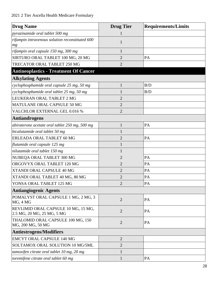| <b>Drug Name</b>                                                  | <b>Drug Tier</b> | <b>Requirements/Limits</b> |
|-------------------------------------------------------------------|------------------|----------------------------|
| pyrazinamide oral tablet 500 mg                                   |                  |                            |
| rifampin intravenous solution reconstituted 600<br>mg             | 1                |                            |
| rifampin oral capsule 150 mg, 300 mg                              | 1                |                            |
| SIRTURO ORAL TABLET 100 MG, 20 MG                                 | $\overline{2}$   | PA                         |
| TRECATOR ORAL TABLET 250 MG                                       | $\overline{2}$   |                            |
| <b>Antineoplastics - Treatment Of Cancer</b>                      |                  |                            |
| <b>Alkylating Agents</b>                                          |                  |                            |
| cyclophosphamide oral capsule 25 mg, 50 mg                        | 1                | B/D                        |
| cyclophosphamide oral tablet 25 mg, 50 mg                         | 1                | B/D                        |
| LEUKERAN ORAL TABLET 2 MG                                         | $\overline{2}$   |                            |
| MATULANE ORAL CAPSULE 50 MG                                       | $\overline{2}$   |                            |
| <b>VALCHLOR EXTERNAL GEL 0.016 %</b>                              | $\overline{2}$   |                            |
| <b>Antiandrogens</b>                                              |                  |                            |
| abiraterone acetate oral tablet 250 mg, 500 mg                    | $\mathbf{1}$     | PA                         |
| bicalutamide oral tablet 50 mg                                    | 1                |                            |
| ERLEADA ORAL TABLET 60 MG                                         | $\overline{2}$   | PA                         |
| flutamide oral capsule 125 mg                                     | 1                |                            |
| nilutamide oral tablet 150 mg                                     | 1                |                            |
| NUBEQA ORAL TABLET 300 MG                                         | $\overline{2}$   | PA                         |
| ORGOVYX ORAL TABLET 120 MG                                        | $\overline{2}$   | PA                         |
| XTANDI ORAL CAPSULE 40 MG                                         | $\overline{2}$   | PA                         |
| XTANDI ORAL TABLET 40 MG, 80 MG                                   | $\overline{2}$   | PA                         |
| YONSA ORAL TABLET 125 MG                                          | $\overline{2}$   | PA                         |
| <b>Antiangiogenic Agents</b>                                      |                  |                            |
| POMALYST ORAL CAPSULE 1 MG, 2 MG, 3<br>MG, 4 MG                   | $\overline{2}$   | PA                         |
| REVLIMID ORAL CAPSULE 10 MG, 15 MG,<br>2.5 MG, 20 MG, 25 MG, 5 MG | $\overline{2}$   | PA                         |
| THALOMID ORAL CAPSULE 100 MG, 150<br>MG, 200 MG, 50 MG            | $\overline{2}$   | PA                         |
| Antiestrogens/Modifiers                                           |                  |                            |
| <b>EMCYT ORAL CAPSULE 140 MG</b>                                  | $\overline{2}$   |                            |
| SOLTAMOX ORAL SOLUTION 10 MG/5ML                                  | $\overline{2}$   |                            |
| tamoxifen citrate oral tablet 10 mg, 20 mg                        | $\mathbf{1}$     |                            |
| toremifene citrate oral tablet 60 mg                              | $\mathbf{1}$     | PA                         |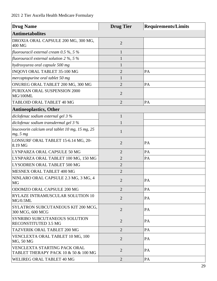| <b>Drug Name</b>                                                     | <b>Drug Tier</b> | <b>Requirements/Limits</b> |
|----------------------------------------------------------------------|------------------|----------------------------|
| <b>Antimetabolites</b>                                               |                  |                            |
| DROXIA ORAL CAPSULE 200 MG, 300 MG,<br>400 MG                        | $\overline{2}$   |                            |
| fluorouracil external cream $0.5\%$ , 5%                             | $\mathbf{1}$     |                            |
| fluorouracil external solution $2\%$ , $5\%$                         | 1                |                            |
| hydroxyurea oral capsule 500 mg                                      | $\mathbf{1}$     |                            |
| INQOVI ORAL TABLET 35-100 MG                                         | $\overline{2}$   | PA                         |
| mercaptopurine oral tablet 50 mg                                     | $\mathbf{1}$     |                            |
| ONUREG ORAL TABLET 200 MG, 300 MG                                    | $\overline{2}$   | PA                         |
| PURIXAN ORAL SUSPENSION 2000<br>MG/100ML                             | $\overline{2}$   |                            |
| TABLOID ORAL TABLET 40 MG                                            | $\overline{2}$   | PA                         |
| <b>Antineoplastics, Other</b>                                        |                  |                            |
| diclofenac sodium external gel 3 %                                   | $\mathbf{1}$     |                            |
| diclofenac sodium transdermal gel 3 %                                | $\mathbf{1}$     |                            |
| leucovorin calcium oral tablet 10 mg, 15 mg, 25<br>mg, 5 mg          | $\mathbf{1}$     |                            |
| LONSURF ORAL TABLET 15-6.14 MG, 20-<br>8.19 MG                       | $\overline{2}$   | PA                         |
| LYNPARZA ORAL CAPSULE 50 MG                                          | $\overline{2}$   | PA                         |
| LYNPARZA ORAL TABLET 100 MG, 150 MG                                  | $\overline{2}$   | PA                         |
| LYSODREN ORAL TABLET 500 MG                                          | $\overline{2}$   |                            |
| MESNEX ORAL TABLET 400 MG                                            | $\overline{2}$   |                            |
| NINLARO ORAL CAPSULE 2.3 MG, 3 MG, 4<br><b>MG</b>                    | $\overline{2}$   | PA                         |
| ODOMZO ORAL CAPSULE 200 MG                                           | $\overline{2}$   | PA                         |
| RYLAZE INTRAMUSCULAR SOLUTION 10<br>MG/0.5ML                         | $\overline{2}$   | PA                         |
| SYLATRON SUBCUTANEOUS KIT 200 MCG,<br>300 MCG, 600 MCG               | $\overline{2}$   | PA                         |
| SYNRIBO SUBCUTANEOUS SOLUTION<br>RECONSTITUTED 3.5 MG                | $\overline{2}$   | PA                         |
| TAZVERIK ORAL TABLET 200 MG                                          | $\overline{2}$   | PA                         |
| VENCLEXTA ORAL TABLET 10 MG, 100<br>MG, 50 MG                        | $\overline{2}$   | PA                         |
| VENCLEXTA STARTING PACK ORAL<br>TABLET THERAPY PACK 10 & 50 & 100 MG | $\overline{2}$   | PA                         |
| WELIREG ORAL TABLET 40 MG                                            | $\overline{2}$   | PA                         |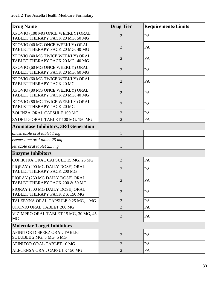| <b>Drug Name</b>                                                     | <b>Drug Tier</b>            | <b>Requirements/Limits</b> |
|----------------------------------------------------------------------|-----------------------------|----------------------------|
| XPOVIO (100 MG ONCE WEEKLY) ORAL<br>TABLET THERAPY PACK 20 MG, 50 MG | $\overline{2}$              | PA                         |
| XPOVIO (40 MG ONCE WEEKLY) ORAL<br>TABLET THERAPY PACK 20 MG, 40 MG  | $\overline{2}$              | PA                         |
| XPOVIO (40 MG TWICE WEEKLY) ORAL<br>TABLET THERAPY PACK 20 MG, 40 MG | $\overline{2}$              | PA                         |
| XPOVIO (60 MG ONCE WEEKLY) ORAL<br>TABLET THERAPY PACK 20 MG, 60 MG  | $\overline{2}$              | PA                         |
| XPOVIO (60 MG TWICE WEEKLY) ORAL<br><b>TABLET THERAPY PACK 20 MG</b> | $\overline{2}$              | PA                         |
| XPOVIO (80 MG ONCE WEEKLY) ORAL<br>TABLET THERAPY PACK 20 MG, 40 MG  | $\overline{2}$              | PA                         |
| XPOVIO (80 MG TWICE WEEKLY) ORAL<br>TABLET THERAPY PACK 20 MG        | $\overline{2}$              | PA                         |
| ZOLINZA ORAL CAPSULE 100 MG                                          | $\overline{2}$              | PA                         |
| ZYDELIG ORAL TABLET 100 MG, 150 MG                                   | $\overline{2}$              | PA                         |
| <b>Aromatase Inhibitors, 3Rd Generation</b>                          |                             |                            |
| anastrozole oral tablet 1 mg                                         | $\mathbf{1}$                |                            |
| exemestane oral tablet 25 mg                                         | 1                           |                            |
| letrozole oral tablet 2.5 mg                                         | 1                           |                            |
| <b>Enzyme Inhibitors</b>                                             |                             |                            |
| COPIKTRA ORAL CAPSULE 15 MG, 25 MG                                   | $\overline{2}$              | PA                         |
| PIQRAY (200 MG DAILY DOSE) ORAL<br><b>TABLET THERAPY PACK 200 MG</b> | $\overline{2}$              | PA                         |
| PIQRAY (250 MG DAILY DOSE) ORAL<br>TABLET THERAPY PACK 200 & 50 MG   | $\mathcal{D}_{\mathcal{L}}$ | PA                         |
| PIQRAY (300 MG DAILY DOSE) ORAL<br>TABLET THERAPY PACK 2 X 150 MG    | $\overline{2}$              | PA                         |
| TALZENNA ORAL CAPSULE 0.25 MG, 1 MG                                  | $\overline{2}$              | PA                         |
| <b>UKONIQ ORAL TABLET 200 MG</b>                                     | $\overline{2}$              | PA                         |
| VIZIMPRO ORAL TABLET 15 MG, 30 MG, 45<br>MG                          | $\overline{2}$              | PA                         |
| <b>Molecular Target Inhibitors</b>                                   |                             |                            |
| AFINITOR DISPERZ ORAL TABLET<br>SOLUBLE 2 MG, 3 MG, 5 MG             | $\overline{2}$              | PA                         |
| AFINITOR ORAL TABLET 10 MG                                           | $\overline{2}$              | PA                         |
| ALECENSA ORAL CAPSULE 150 MG                                         | $\overline{2}$              | PA                         |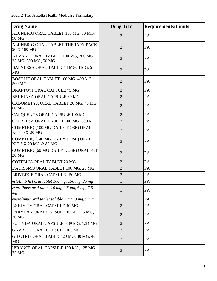| <b>Drug Name</b>                                              | <b>Drug Tier</b> | <b>Requirements/Limits</b> |
|---------------------------------------------------------------|------------------|----------------------------|
| ALUNBRIG ORAL TABLET 180 MG, 30 MG,<br>90 MG                  | $\overline{2}$   | PA                         |
| ALUNBRIG ORAL TABLET THERAPY PACK<br>90 & 180 MG              | $\overline{2}$   | PA                         |
| AYVAKIT ORAL TABLET 100 MG, 200 MG,<br>25 MG, 300 MG, 50 MG   | $\overline{2}$   | PA                         |
| BALVERSA ORAL TABLET 3 MG, 4 MG, 5<br><b>MG</b>               | $\overline{2}$   | PA                         |
| BOSULIF ORAL TABLET 100 MG, 400 MG,<br>500 MG                 | $\overline{2}$   | PA                         |
| <b>BRAFTOVI ORAL CAPSULE 75 MG</b>                            | $\overline{2}$   | PA                         |
| <b>BRUKINSA ORAL CAPSULE 80 MG</b>                            | $\overline{2}$   | PA                         |
| CABOMETYX ORAL TABLET 20 MG, 40 MG,<br>60 MG                  | $\overline{2}$   | PA                         |
| CALQUENCE ORAL CAPSULE 100 MG                                 | $\overline{2}$   | PA                         |
| CAPRELSA ORAL TABLET 100 MG, 300 MG                           | $\overline{2}$   | PA                         |
| COMETRIQ (100 MG DAILY DOSE) ORAL<br>KIT 80 & 20 MG           | $\overline{2}$   | PA                         |
| COMETRIQ (140 MG DAILY DOSE) ORAL<br>KIT 3 X 20 MG & 80 MG    | $\overline{2}$   | PA                         |
| COMETRIQ (60 MG DAILY DOSE) ORAL KIT<br>20 MG                 | $\overline{2}$   | PA                         |
| <b>COTELLIC ORAL TABLET 20 MG</b>                             | $\overline{2}$   | PA                         |
| DAURISMO ORAL TABLET 100 MG, 25 MG                            | $\overline{2}$   | PA                         |
| ERIVEDGE ORAL CAPSULE 150 MG                                  | $\overline{2}$   | PA                         |
| erlotinib hcl oral tablet 100 mg, 150 mg, 25 mg               | $\mathbf{1}$     | PA                         |
| everolimus oral tablet $10$ mg, $2.5$ mg, $5$ mg, $7.5$<br>mg | $\mathbf{1}$     | PA                         |
| everolimus oral tablet soluble 2 mg, 3 mg, 5 mg               | $\mathbf{1}$     | PA                         |
| EXKIVITY ORAL CAPSULE 40 MG                                   | $\overline{2}$   | PA                         |
| FARYDAK ORAL CAPSULE 10 MG, 15 MG,<br>20 MG                   | $\overline{2}$   | PA                         |
| FOTIVDA ORAL CAPSULE 0.89 MG, 1.34 MG                         | $\overline{2}$   | PA                         |
| <b>GAVRETO ORAL CAPSULE 100 MG</b>                            | $\overline{2}$   | PA                         |
| GILOTRIF ORAL TABLET 20 MG, 30 MG, 40<br>MG                   | $\overline{2}$   | PA                         |
| IBRANCE ORAL CAPSULE 100 MG, 125 MG,<br>75 MG                 | $\overline{2}$   | PA                         |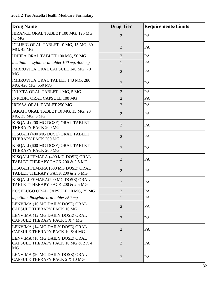| <b>Drug Name</b>                                                                   | <b>Drug Tier</b> | <b>Requirements/Limits</b> |
|------------------------------------------------------------------------------------|------------------|----------------------------|
| IBRANCE ORAL TABLET 100 MG, 125 MG,<br><b>75 MG</b>                                | $\overline{2}$   | PA                         |
| ICLUSIG ORAL TABLET 10 MG, 15 MG, 30<br>MG, 45 MG                                  | $\overline{2}$   | PA                         |
| IDHIFA ORAL TABLET 100 MG, 50 MG                                                   | $\overline{2}$   | PA                         |
| imatinib mesylate oral tablet 100 mg, 400 mg                                       | 1                | PA                         |
| IMBRUVICA ORAL CAPSULE 140 MG, 70<br><b>MG</b>                                     | $\overline{2}$   | PA                         |
| <b>IMBRUVICA ORAL TABLET 140 MG, 280</b><br>MG, 420 MG, 560 MG                     | $\overline{2}$   | PA                         |
| <b>INLYTA ORAL TABLET 1 MG, 5 MG</b>                                               | $\overline{2}$   | PA                         |
| <b>INREBIC ORAL CAPSULE 100 MG</b>                                                 | $\overline{2}$   | PA                         |
| <b>IRESSA ORAL TABLET 250 MG</b>                                                   | $\overline{2}$   | PA                         |
| JAKAFI ORAL TABLET 10 MG, 15 MG, 20<br>MG, 25 MG, 5 MG                             | $\overline{2}$   | PA                         |
| KISQALI (200 MG DOSE) ORAL TABLET<br>THERAPY PACK 200 MG                           | $\overline{2}$   | PA                         |
| KISQALI (400 MG DOSE) ORAL TABLET<br>THERAPY PACK 200 MG                           | $\overline{2}$   | PA                         |
| KISQALI (600 MG DOSE) ORAL TABLET<br>THERAPY PACK 200 MG                           | $\overline{2}$   | PA                         |
| KISQALI FEMARA (400 MG DOSE) ORAL<br>TABLET THERAPY PACK 200 & 2.5 MG              | $\overline{2}$   | PA                         |
| KISQALI FEMARA (600 MG DOSE) ORAL<br>TABLET THERAPY PACK 200 & 2.5 MG              | $\overline{2}$   | PA                         |
| KISQALI FEMARA(200 MG DOSE) ORAL<br>TABLET THERAPY PACK 200 & 2.5 MG               | 2                | PA                         |
| KOSELUGO ORAL CAPSULE 10 MG, 25 MG                                                 | $\overline{2}$   | PA                         |
| lapatinib ditosylate oral tablet 250 mg                                            |                  | PA                         |
| LENVIMA (10 MG DAILY DOSE) ORAL<br><b>CAPSULE THERAPY PACK 10 MG</b>               | $\overline{2}$   | PA                         |
| LENVIMA (12 MG DAILY DOSE) ORAL<br>CAPSULE THERAPY PACK 3 X 4 MG                   | $\overline{2}$   | PA                         |
| LENVIMA (14 MG DAILY DOSE) ORAL<br>CAPSULE THERAPY PACK 10 & 4 MG                  | $\overline{2}$   | PA                         |
| LENVIMA (18 MG DAILY DOSE) ORAL<br>CAPSULE THERAPY PACK 10 MG & 2 X 4<br><b>MG</b> | $\overline{2}$   | PA                         |
| LENVIMA (20 MG DAILY DOSE) ORAL<br>CAPSULE THERAPY PACK 2 X 10 MG                  | $\overline{2}$   | PA                         |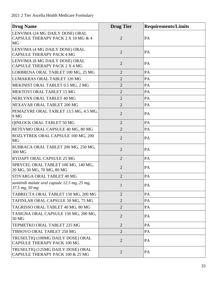| <b>Drug Name</b>                                                            | <b>Drug Tier</b> | <b>Requirements/Limits</b> |
|-----------------------------------------------------------------------------|------------------|----------------------------|
| LENVIMA (24 MG DAILY DOSE) ORAL<br>CAPSULE THERAPY PACK 2 X 10 MG & 4<br>MG | $\overline{2}$   | PA                         |
| LENVIMA (4 MG DAILY DOSE) ORAL<br><b>CAPSULE THERAPY PACK 4 MG</b>          | $\overline{2}$   | PA                         |
| LENVIMA (8 MG DAILY DOSE) ORAL<br>CAPSULE THERAPY PACK 2 X 4 MG             | $\overline{2}$   | PA                         |
| LORBRENA ORAL TABLET 100 MG, 25 MG                                          | $\overline{2}$   | PA                         |
| LUMAKRAS ORAL TABLET 120 MG                                                 | $\overline{2}$   | PA                         |
| MEKINIST ORAL TABLET 0.5 MG, 2 MG                                           | $\overline{2}$   | PA                         |
| MEKTOVI ORAL TABLET 15 MG                                                   | $\overline{2}$   | PA                         |
| NERLYNX ORAL TABLET 40 MG                                                   | $\overline{2}$   | PA                         |
| NEXAVAR ORAL TABLET 200 MG                                                  | $\overline{2}$   | PA                         |
| PEMAZYRE ORAL TABLET 13.5 MG, 4.5 MG,<br>9 MG                               | $\overline{2}$   | PA                         |
| QINLOCK ORAL TABLET 50 MG                                                   | $\overline{2}$   | PA                         |
| RETEVMO ORAL CAPSULE 40 MG, 80 MG                                           | $\overline{2}$   | PA                         |
| ROZLYTREK ORAL CAPSULE 100 MG, 200<br><b>MG</b>                             | $\overline{2}$   | PA                         |
| RUBRACA ORAL TABLET 200 MG, 250 MG,<br>300 MG                               | $\overline{2}$   | PA                         |
| <b>RYDAPT ORAL CAPSULE 25 MG</b>                                            | $\overline{2}$   | PA                         |
| SPRYCEL ORAL TABLET 100 MG, 140 MG,<br>20 MG, 50 MG, 70 MG, 80 MG           | $\overline{2}$   | PA                         |
| STIVARGA ORAL TABLET 40 MG                                                  | $\overline{2}$   | PA                         |
| sunitinib malate oral capsule 12.5 mg, 25 mg,<br>$37.5$ mg, 50 mg           | $\mathbf{1}$     | PA                         |
| TABRECTA ORAL TABLET 150 MG, 200 MG                                         | $\overline{2}$   | PA                         |
| TAFINLAR ORAL CAPSULE 50 MG, 75 MG                                          | $\overline{2}$   | PA                         |
| TAGRISSO ORAL TABLET 40 MG, 80 MG                                           | $\overline{2}$   | PA                         |
| TASIGNA ORAL CAPSULE 150 MG, 200 MG,<br>50 MG                               | $\overline{2}$   | PA                         |
| TEPMETKO ORAL TABLET 225 MG                                                 | $\overline{2}$   | PA                         |
| TIBSOVO ORAL TABLET 250 MG                                                  | $\overline{2}$   | PA                         |
| TRUSELTIQ (100MG DAILY DOSE) ORAL<br><b>CAPSULE THERAPY PACK 100 MG</b>     | $\overline{2}$   | PA                         |
| TRUSELTIQ (125MG DAILY DOSE) ORAL<br>CAPSULE THERAPY PACK 100 & 25 MG       | $\overline{2}$   | PA                         |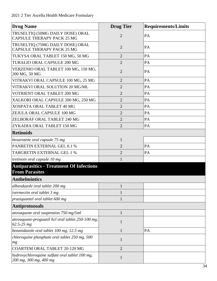| <b>Drug Name</b>                                                         | <b>Drug Tier</b> | <b>Requirements/Limits</b> |
|--------------------------------------------------------------------------|------------------|----------------------------|
| TRUSELTIQ (50MG DAILY DOSE) ORAL<br><b>CAPSULE THERAPY PACK 25 MG</b>    | $\overline{2}$   | PA                         |
| TRUSELTIQ (75MG DAILY DOSE) ORAL<br><b>CAPSULE THERAPY PACK 25 MG</b>    | $\overline{2}$   | PA                         |
| TUKYSA ORAL TABLET 150 MG, 50 MG                                         | $\overline{2}$   | PA                         |
| TURALIO ORAL CAPSULE 200 MG                                              | $\overline{2}$   | PA                         |
| VERZENIO ORAL TABLET 100 MG, 150 MG,<br>200 MG, 50 MG                    | $\overline{2}$   | PA                         |
| VITRAKVI ORAL CAPSULE 100 MG, 25 MG                                      | $\overline{2}$   | PA                         |
| VITRAKVI ORAL SOLUTION 20 MG/ML                                          | $\overline{2}$   | PA                         |
| VOTRIENT ORAL TABLET 200 MG                                              | $\overline{2}$   | PA                         |
| XALKORI ORAL CAPSULE 200 MG, 250 MG                                      | $\overline{2}$   | PA                         |
| XOSPATA ORAL TABLET 40 MG                                                | $\overline{2}$   | PA                         |
| ZEJULA ORAL CAPSULE 100 MG                                               | $\overline{2}$   | PA                         |
| <b>ZELBORAF ORAL TABLET 240 MG</b>                                       | $\overline{2}$   | PA                         |
| ZYKADIA ORAL TABLET 150 MG                                               | $\overline{2}$   | PA                         |
| <b>Retinoids</b>                                                         |                  |                            |
| bexarotene oral capsule 75 mg                                            | $\mathbf{1}$     |                            |
| PANRETIN EXTERNAL GEL 0.1 %                                              | $\overline{2}$   | PA                         |
| TARGRETIN EXTERNAL GEL 1 %                                               | $\overline{2}$   | PA                         |
| tretinoin oral capsule 10 mg                                             | 1                |                            |
| <b>Antiparasitics - Treatment Of Infections</b><br><b>From Parasites</b> |                  |                            |
| <b>Anthelmintics</b>                                                     |                  |                            |
| albendazole oral tablet 200 mg                                           | 1                |                            |
| <i>ivermectin oral tablet 3 mg</i>                                       | 1                |                            |
| praziquantel oral tablet 600 mg                                          | 1                |                            |
| <b>Antiprotozoals</b>                                                    |                  |                            |
| atovaquone oral suspension 750 mg/5ml                                    | $\mathbf{1}$     |                            |
| atovaquone-proguanil hcl oral tablet 250-100 mg,<br>$62.5 - 25 mg$       | 1                |                            |
| benznidazole oral tablet 100 mg, 12.5 mg                                 | 1                | PA                         |
| chloroquine phosphate oral tablet 250 mg, 500<br>mg                      | 1                |                            |
| <b>COARTEM ORAL TABLET 20-120 MG</b>                                     | $\overline{2}$   |                            |
| hydroxychloroquine sulfate oral tablet 100 mg,<br>200 mg, 300 mg, 400 mg | 1                |                            |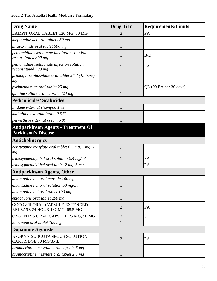| <b>Drug Name</b>                                                         | <b>Drug Tier</b> | <b>Requirements/Limits</b> |
|--------------------------------------------------------------------------|------------------|----------------------------|
| LAMPIT ORAL TABLET 120 MG, 30 MG                                         | 2                | PA                         |
| mefloquine hcl oral tablet 250 mg                                        |                  |                            |
| nitazoxanide oral tablet 500 mg                                          |                  |                            |
| pentamidine isethionate inhalation solution<br>reconstituted 300 mg      | 1                | B/D                        |
| pentamidine isethionate injection solution<br>reconstituted 300 mg       | 1                | PA                         |
| primaquine phosphate oral tablet 26.3 (15 base)<br>mg                    | $\mathbf{1}$     |                            |
| pyrimethamine oral tablet 25 mg                                          | 1                | QL (90 EA per 30 days)     |
| quinine sulfate oral capsule 324 mg                                      | $\mathbf{1}$     |                            |
| <b>Pediculicides/Scabicides</b>                                          |                  |                            |
| lindane external shampoo $1\%$                                           | $\mathbf{1}$     |                            |
| malathion external lotion $0.5\%$                                        |                  |                            |
| permethrin external cream 5 %                                            |                  |                            |
| <b>Antiparkinson Agents - Treatment Of</b><br><b>Parkinson's Disease</b> |                  |                            |
| <b>Anticholinergics</b>                                                  |                  |                            |
| benztropine mesylate oral tablet 0.5 mg, 1 mg, 2<br>mg                   | 1                |                            |
| trihexyphenidyl hcl oral solution 0.4 mg/ml                              | 1                | PA                         |
| trihexyphenidyl hcl oral tablet 2 mg, 5 mg                               |                  | PA                         |
| <b>Antiparkinson Agents, Other</b>                                       |                  |                            |
| amantadine hcl oral capsule 100 mg                                       | $\mathbf{1}$     |                            |
| amantadine hcl oral solution 50 mg/5ml                                   | $\mathbf{1}$     |                            |
| amantadine hcl oral tablet 100 mg                                        | 1                |                            |
| entacapone oral tablet 200 mg                                            | 1                |                            |
| <b>GOCOVRI ORAL CAPSULE EXTENDED</b><br>RELEASE 24 HOUR 137 MG, 68.5 MG  | $\overline{2}$   | PA                         |
| ONGENTYS ORAL CAPSULE 25 MG, 50 MG                                       | $\overline{2}$   | <b>ST</b>                  |
| tolcapone oral tablet 100 mg                                             | $\mathbf{1}$     |                            |
| <b>Dopamine Agonists</b>                                                 |                  |                            |
| APOKYN SUBCUTANEOUS SOLUTION<br><b>CARTRIDGE 30 MG/3ML</b>               | $\overline{2}$   | PA                         |
| bromocriptine mesylate oral capsule 5 mg                                 | 1                |                            |
| bromocriptine mesylate oral tablet 2.5 mg                                | $\mathbf{1}$     |                            |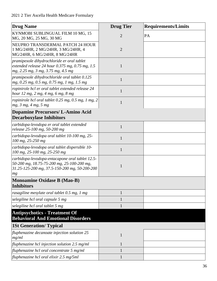| <b>Drug Name</b>                                                                                                                                     | <b>Drug Tier</b> | <b>Requirements/Limits</b> |
|------------------------------------------------------------------------------------------------------------------------------------------------------|------------------|----------------------------|
| KYNMOBI SUBLINGUAL FILM 10 MG, 15<br>MG, 20 MG, 25 MG, 30 MG                                                                                         | $\overline{2}$   | PA                         |
| NEUPRO TRANSDERMAL PATCH 24 HOUR<br>1 MG/24HR, 2 MG/24HR, 3 MG/24HR, 4<br>MG/24HR, 6 MG/24HR, 8 MG/24HR                                              | $\overline{2}$   |                            |
| pramipexole dihydrochloride er oral tablet<br>extended release 24 hour $0.375$ mg, $0.75$ mg, $1.5$<br>mg, 2.25 mg, 3 mg, 3.75 mg, 4.5 mg            | 1                |                            |
| pramipexole dihydrochloride oral tablet 0.125<br>mg, 0.25 mg, 0.5 mg, 0.75 mg, 1 mg, 1.5 mg                                                          | $\mathbf{1}$     |                            |
| ropinirole hcl er oral tablet extended release 24<br>hour 12 mg, 2 mg, 4 mg, 6 mg, 8 mg                                                              | $\mathbf{1}$     |                            |
| ropinirole hcl oral tablet 0.25 mg, 0.5 mg, 1 mg, 2<br>mg, 3 mg, 4 mg, 5 mg                                                                          | 1                |                            |
| <b>Dopamine Precursors/L-Amino Acid</b><br><b>Decarboxylase Inhibitors</b>                                                                           |                  |                            |
| carbidopa-levodopa er oral tablet extended<br>release 25-100 mg, 50-200 mg                                                                           | 1                |                            |
| carbidopa-levodopa oral tablet 10-100 mg, 25-<br>100 mg, 25-250 mg                                                                                   | $\mathbf{1}$     |                            |
| carbidopa-levodopa oral tablet dispersible 10-<br>100 mg, 25-100 mg, 25-250 mg                                                                       | $\mathbf{1}$     |                            |
| carbidopa-levodopa-entacapone oral tablet 12.5-<br>50-200 mg, 18.75-75-200 mg, 25-100-200 mg,<br>31.25-125-200 mg, 37.5-150-200 mg, 50-200-200<br>mg | 1                |                            |
| <b>Monoamine Oxidase B (Mao-B)</b>                                                                                                                   |                  |                            |
| <b>Inhibitors</b>                                                                                                                                    |                  |                            |
| rasagiline mesylate oral tablet 0.5 mg, 1 mg                                                                                                         | 1                |                            |
| selegiline hcl oral capsule 5 mg                                                                                                                     |                  |                            |
| selegiline hcl oral tablet 5 mg                                                                                                                      |                  |                            |
| <b>Antipsychotics - Treatment Of</b><br><b>Behavioral And Emotional Disorders</b>                                                                    |                  |                            |
| <b>1St Generation/Typical</b>                                                                                                                        |                  |                            |
| fluphenazine decanoate injection solution 25<br>mg/ml                                                                                                | $\mathbf{1}$     |                            |
| fluphenazine hcl injection solution 2.5 mg/ml                                                                                                        |                  |                            |
| fluphenazine hcl oral concentrate 5 mg/ml                                                                                                            |                  |                            |
| fluphenazine hcl oral elixir 2.5 mg/5ml                                                                                                              |                  |                            |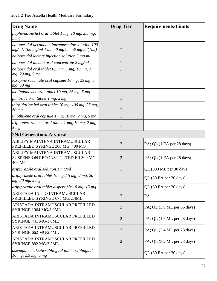| <b>Drug Name</b>                                                                                      | <b>Drug Tier</b> | <b>Requirements/Limits</b>                      |
|-------------------------------------------------------------------------------------------------------|------------------|-------------------------------------------------|
| fluphenazine hcl oral tablet $1 \text{ mg}$ , $10 \text{ mg}$ , $2.5 \text{ mg}$ ,<br>5 <sub>mg</sub> | 1                |                                                 |
| haloperidol decanoate intramuscular solution 100<br>$mg/ml$ , 100 mg/ml 1 ml, 50 mg/ml, 50 mg/ml(1ml) | $\mathbf{1}$     |                                                 |
| haloperidol lactate injection solution 5 mg/ml                                                        | 1                |                                                 |
| haloperidol lactate oral concentrate 2 mg/ml                                                          |                  |                                                 |
| haloperidol oral tablet 0.5 mg, 1 mg, 10 mg, 2<br>mg, 20 mg, 5 mg                                     | $\mathbf{1}$     |                                                 |
| loxapine succinate oral capsule 10 mg, 25 mg, 5<br>mg, 50 mg                                          | $\mathbf{1}$     |                                                 |
| molindone hcl oral tablet 10 mg, 25 mg, 5 mg                                                          | $\mathbf{1}$     |                                                 |
| pimozide oral tablet 1 mg, 2 mg                                                                       | 1                |                                                 |
| thioridazine hcl oral tablet 10 mg, 100 mg, 25 mg,<br>50 mg                                           | $\mathbf{1}$     |                                                 |
| thiothixene oral capsule 1 mg, 10 mg, 2 mg, 5 mg                                                      | 1                |                                                 |
| trifluoperazine hcl oral tablet 1 mg, 10 mg, 2 mg,<br>5 <sub>mg</sub>                                 | $\mathbf{1}$     |                                                 |
| <b>2Nd Generation/ Atypical</b>                                                                       |                  |                                                 |
| ABILIFY MAINTENA INTRAMUSCULAR<br>PREFILLED SYRINGE 300 MG, 400 MG                                    | $\overline{2}$   | $PA$ ; QL $(1 \text{ EA per } 28 \text{ days})$ |
| ABILIFY MAINTENA INTRAMUSCULAR<br>SUSPENSION RECONSTITUTED ER 300 MG,<br>400 MG                       | $\overline{2}$   | PA; QL (1 EA per 28 days)                       |
| aripiprazole oral solution 1 mg/ml                                                                    | $\mathbf{1}$     | QL (900 ML per 30 days)                         |
| aripiprazole oral tablet 10 mg, 15 mg, 2 mg, 20<br>mg, 30 mg, 5 mg                                    |                  | QL (30 EA per 30 days)                          |
| aripiprazole oral tablet dispersible 10 mg, 15 mg                                                     | 1                | QL (60 EA per 30 days)                          |
| ARISTADA INITIO INTRAMUSCULAR<br>PREFILLED SYRINGE 675 MG/2.4ML                                       | $\overline{2}$   | PA                                              |
| ARISTADA INTRAMUSCULAR PREFILLED<br>SYRINGE 1064 MG/3.9ML                                             | $\overline{2}$   | $PA$ ; QL (3.9 ML per 56 days)                  |
| ARISTADA INTRAMUSCULAR PREFILLED<br>SYRINGE 441 MG/1.6ML                                              | $\overline{2}$   | $PA$ ; QL $(1.6$ ML per 28 days)                |
| ARISTADA INTRAMUSCULAR PREFILLED<br>SYRINGE 662 MG/2.4ML                                              | $\overline{2}$   | $PA$ ; QL $(2.4$ ML per 28 days)                |
| ARISTADA INTRAMUSCULAR PREFILLED<br>SYRINGE 882 MG/3.2ML                                              | $\overline{2}$   | $PA$ ; QL $(3.2$ ML per 28 days)                |
| asenapine maleate sublingual tablet sublingual<br>10 mg, 2.5 mg, 5 mg                                 | $\mathbf{1}$     | QL (60 EA per 30 days)                          |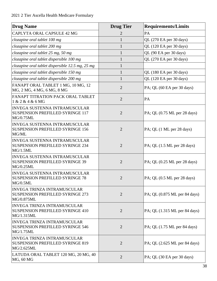| <b>Drug Name</b>                                                                             | <b>Drug Tier</b> | <b>Requirements/Limits</b>                          |
|----------------------------------------------------------------------------------------------|------------------|-----------------------------------------------------|
| CAPLYTA ORAL CAPSULE 42 MG                                                                   | 2                | PA                                                  |
| clozapine oral tablet 100 mg                                                                 | $\mathbf{1}$     | QL (270 EA per 30 days)                             |
| clozapine oral tablet 200 mg                                                                 | 1                | QL (120 EA per 30 days)                             |
| clozapine oral tablet 25 mg, 50 mg                                                           | $\mathbf{1}$     | QL (90 EA per 30 days)                              |
| clozapine oral tablet dispersible 100 mg                                                     | 1                | QL (270 EA per 30 days)                             |
| clozapine oral tablet dispersible 12.5 mg, 25 mg                                             | $\mathbf{1}$     |                                                     |
| clozapine oral tablet dispersible 150 mg                                                     | $\mathbf{1}$     | QL (180 EA per 30 days)                             |
| clozapine oral tablet dispersible 200 mg                                                     | $\mathbf{1}$     | QL (120 EA per 30 days)                             |
| FANAPT ORAL TABLET 1 MG, 10 MG, 12<br>MG, 2 MG, 4 MG, 6 MG, 8 MG                             | $\overline{2}$   | PA; QL (60 EA per 30 days)                          |
| FANAPT TITRATION PACK ORAL TABLET<br>1 & 2 & 4 & 6 MG                                        | $\overline{2}$   | PA                                                  |
| <b>INVEGA SUSTENNA INTRAMUSCULAR</b><br><b>SUSPENSION PREFILLED SYRINGE 117</b><br>MG/0.75ML | $\overline{2}$   | PA; QL $(0.75 \text{ ML per } 28 \text{ days})$     |
| <b>INVEGA SUSTENNA INTRAMUSCULAR</b><br><b>SUSPENSION PREFILLED SYRINGE 156</b><br>MG/ML     | $\overline{2}$   | $PA$ ; QL $(1 \text{ ML per } 28 \text{ days})$     |
| <b>INVEGA SUSTENNA INTRAMUSCULAR</b><br><b>SUSPENSION PREFILLED SYRINGE 234</b><br>MG/1.5ML  | $\overline{2}$   | $PA$ ; QL $(1.5$ ML per 28 days)                    |
| <b>INVEGA SUSTENNA INTRAMUSCULAR</b><br><b>SUSPENSION PREFILLED SYRINGE 39</b><br>MG/0.25ML  | $\overline{2}$   | PA; QL (0.25 ML per 28 days)                        |
| <b>INVEGA SUSTENNA INTRAMUSCULAR</b><br><b>SUSPENSION PREFILLED SYRINGE 78</b><br>MG/0.5ML   | $\overline{2}$   | $PA$ ; QL $(0.5$ ML per 28 days)                    |
| <b>INVEGA TRINZA INTRAMUSCULAR</b><br><b>SUSPENSION PREFILLED SYRINGE 273</b><br>MG/0.875ML  | $\overline{2}$   | $PA$ ; QL $(0.875$ ML per 84 days)                  |
| <b>INVEGA TRINZA INTRAMUSCULAR</b><br><b>SUSPENSION PREFILLED SYRINGE 410</b><br>MG/1.315ML  | $\overline{2}$   | $PA$ ; QL $(1.315 \text{ ML per } 84 \text{ days})$ |
| <b>INVEGA TRINZA INTRAMUSCULAR</b><br><b>SUSPENSION PREFILLED SYRINGE 546</b><br>MG/1.75ML   | $\overline{2}$   | PA; QL (1.75 ML per 84 days)                        |
| <b>INVEGA TRINZA INTRAMUSCULAR</b><br><b>SUSPENSION PREFILLED SYRINGE 819</b><br>MG/2.625ML  | $\overline{2}$   | $PA$ ; QL $(2.625 \text{ ML})$ per 84 days)         |
| LATUDA ORAL TABLET 120 MG, 20 MG, 40<br>MG, 60 MG                                            | $\overline{2}$   | PA; QL (30 EA per 30 days)                          |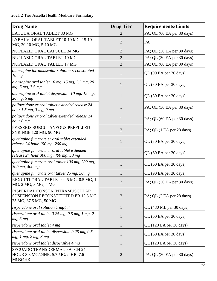| <b>Drug Name</b>                                                                                | <b>Drug Tier</b> | <b>Requirements/Limits</b>    |
|-------------------------------------------------------------------------------------------------|------------------|-------------------------------|
| LATUDA ORAL TABLET 80 MG                                                                        | 2                | PA; QL (60 EA per 30 days)    |
| LYBALVI ORAL TABLET 10-10 MG, 15-10<br>MG, 20-10 MG, 5-10 MG                                    | $\overline{2}$   | PA                            |
| NUPLAZID ORAL CAPSULE 34 MG                                                                     | $\overline{2}$   | PA; QL (30 EA per 30 days)    |
| NUPLAZID ORAL TABLET 10 MG                                                                      | $\overline{2}$   | PA; QL (30 EA per 30 days)    |
| NUPLAZID ORAL TABLET 17 MG                                                                      | $\overline{2}$   | PA; QL (60 EA per 30 days)    |
| olanzapine intramuscular solution reconstituted<br>10 mg                                        | $\mathbf{1}$     | QL (90 EA per 30 days)        |
| olanzapine oral tablet 10 mg, 15 mg, 2.5 mg, 20<br>mg, 5 mg, 7.5 mg                             | $\mathbf{1}$     | QL (30 EA per 30 days)        |
| olanzapine oral tablet dispersible 10 mg, 15 mg,<br>20 mg, 5 mg                                 | $\mathbf{1}$     | QL (30 EA per 30 days)        |
| paliperidone er oral tablet extended release 24<br>hour 1.5 mg, 3 mg, 9 mg                      | $\mathbf{1}$     | PA; QL (30 EA per 30 days)    |
| paliperidone er oral tablet extended release 24<br>hour 6 mg                                    | $\mathbf{1}$     | PA; QL (60 EA per 30 days)    |
| PERSERIS SUBCUTANEOUS PREFILLED<br>SYRINGE 120 MG, 90 MG                                        | $\overline{2}$   | PA; QL (1 EA per 28 days)     |
| quetiapine fumarate er oral tablet extended<br>release 24 hour 150 mg, 200 mg                   | $\mathbf{1}$     | QL (30 EA per 30 days)        |
| quetiapine fumarate er oral tablet extended<br>release 24 hour 300 mg, 400 mg, 50 mg            | $\mathbf{1}$     | QL (60 EA per 30 days)        |
| quetiapine fumarate oral tablet 100 mg, 200 mg,<br>300 mg, 400 mg                               | $\mathbf{1}$     | QL (60 EA per 30 days)        |
| quetiapine fumarate oral tablet 25 mg, 50 mg                                                    | $\mathbf{1}$     | QL (90 EA per 30 days)        |
| REXULTI ORAL TABLET 0.25 MG, 0.5 MG, 1<br>MG, 2 MG, 3 MG, 4 MG                                  |                  | PA; QL (30 EA per 30 days)    |
| RISPERDAL CONSTA INTRAMUSCULAR<br>SUSPENSION RECONSTITUTED ER 12.5 MG,<br>25 MG, 37.5 MG, 50 MG | $\overline{2}$   | PA; QL (2 EA per 28 days)     |
| risperidone oral solution 1 mg/ml                                                               | $\mathbf{1}$     | QL (480 ML per 30 days)       |
| risperidone oral tablet 0.25 mg, 0.5 mg, 1 mg, 2<br>mg, 3 mg                                    | $\mathbf{1}$     | QL (60 EA per 30 days)        |
| risperidone oral tablet 4 mg                                                                    | $\mathbf{1}$     | QL (120 EA per 30 days)       |
| risperidone oral tablet dispersible 0.25 mg, 0.5<br>mg, 1 mg, 2 mg, 3 mg                        | $\mathbf{1}$     | QL (60 EA per 30 days)        |
| risperidone oral tablet dispersible 4 mg                                                        | $\mathbf{1}$     | QL (120 EA per 30 days)       |
| SECUADO TRANSDERMAL PATCH 24<br>HOUR 3.8 MG/24HR, 5.7 MG/24HR, 7.6<br>MG/24HR                   | $\overline{2}$   | $PA$ ; QL (30 EA per 30 days) |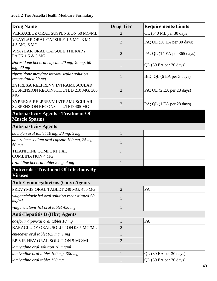| <b>Drug Name</b>                                                                    | <b>Drug Tier</b> | <b>Requirements/Limits</b>   |
|-------------------------------------------------------------------------------------|------------------|------------------------------|
| VERSACLOZ ORAL SUSPENSION 50 MG/ML                                                  | 2                | QL (540 ML per 30 days)      |
| VRAYLAR ORAL CAPSULE 1.5 MG, 3 MG,<br>4.5 MG, 6 MG                                  | $\overline{2}$   | PA; QL (30 EA per 30 days)   |
| VRAYLAR ORAL CAPSULE THERAPY<br>PACK 1.5 & 3 MG                                     | $\overline{2}$   | PA; QL (14 EA per 365 days)  |
| ziprasidone hcl oral capsule 20 mg, 40 mg, 60<br>mg, 80 mg                          | $\mathbf{1}$     | QL (60 EA per 30 days)       |
| ziprasidone mesylate intramuscular solution<br>reconstituted 20 mg                  | $\mathbf{1}$     | $B/D$ ; QL (6 EA per 3 days) |
| ZYPREXA RELPREVV INTRAMUSCULAR<br>SUSPENSION RECONSTITUTED 210 MG, 300<br><b>MG</b> | $\overline{2}$   | PA; QL (2 EA per 28 days)    |
| ZYPREXA RELPREVV INTRAMUSCULAR<br><b>SUSPENSION RECONSTITUTED 405 MG</b>            | $\overline{2}$   | PA; QL (1 EA per 28 days)    |
| <b>Antispasticity Agents - Treatment Of</b><br><b>Muscle Spasms</b>                 |                  |                              |
| <b>Antispasticity Agents</b>                                                        |                  |                              |
| baclofen oral tablet 10 mg, 20 mg, 5 mg                                             | $\mathbf{1}$     |                              |
| dantrolene sodium oral capsule 100 mg, 25 mg,<br>50 mg                              | 1                |                              |
| <b>TIZANIDINE COMFORT PAC</b><br><b>COMBINATION 4 MG</b>                            | $\mathbf{1}$     |                              |
| tizanidine hcl oral tablet 2 mg, 4 mg                                               | $\mathbf{1}$     |                              |
| <b>Antivirals - Treatment Of Infections By</b><br><b>Viruses</b>                    |                  |                              |
| Anti-Cytomegalovirus (Cmv) Agents                                                   |                  |                              |
| PREVYMIS ORAL TABLET 240 MG, 480 MG                                                 | $\overline{2}$   | PA                           |
| valganciclovir hcl oral solution reconstituted 50<br>mg/ml                          | $\mathbf{1}$     |                              |
| valganciclovir hcl oral tablet 450 mg                                               | $\mathbf{1}$     |                              |
| <b>Anti-Hepatitis B (Hbv) Agents</b>                                                |                  |                              |
| adefovir dipivoxil oral tablet 10 mg                                                | $\mathbf{1}$     | PA                           |
| BARACLUDE ORAL SOLUTION 0.05 MG/ML                                                  | $\overline{2}$   |                              |
| entecavir oral tablet 0.5 mg, 1 mg                                                  | $\mathbf{1}$     |                              |
| EPIVIR HBV ORAL SOLUTION 5 MG/ML                                                    | $\overline{2}$   |                              |
| lamivudine oral solution 10 mg/ml                                                   | $\mathbf{1}$     |                              |
| lamivudine oral tablet 100 mg, 300 mg                                               | $\mathbf{1}$     | QL (30 EA per 30 days)       |
| lamivudine oral tablet 150 mg                                                       | $\mathbf{1}$     | QL (60 EA per 30 days)       |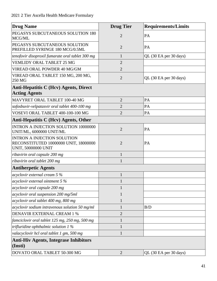| <b>Drug Name</b>                                                                                          | <b>Drug Tier</b> | <b>Requirements/Limits</b> |
|-----------------------------------------------------------------------------------------------------------|------------------|----------------------------|
| PEGASYS SUBCUTANEOUS SOLUTION 180<br>MCG/ML                                                               | $\overline{2}$   | PA                         |
| PEGASYS SUBCUTANEOUS SOLUTION<br>PREFILLED SYRINGE 180 MCG/0.5ML                                          | $\overline{2}$   | PA                         |
| tenofovir disoproxil fumarate oral tablet 300 mg                                                          | $\mathbf{1}$     | QL (30 EA per 30 days)     |
| <b>VEMLIDY ORAL TABLET 25 MG</b>                                                                          | $\overline{2}$   |                            |
| VIREAD ORAL POWDER 40 MG/GM                                                                               | $\overline{2}$   |                            |
| VIREAD ORAL TABLET 150 MG, 200 MG,<br>250 MG                                                              | $\overline{2}$   | QL (30 EA per 30 days)     |
| Anti-Hepatitis C (Hcv) Agents, Direct<br><b>Acting Agents</b>                                             |                  |                            |
| MAVYRET ORAL TABLET 100-40 MG                                                                             | $\overline{2}$   | PA                         |
| sofosbuvir-velpatasvir oral tablet 400-100 mg                                                             | $\overline{2}$   | PA                         |
| VOSEVI ORAL TABLET 400-100-100 MG                                                                         | $\overline{2}$   | PA                         |
| Anti-Hepatitis C (Hcv) Agents, Other                                                                      |                  |                            |
| INTRON A INJECTION SOLUTION 10000000<br>UNIT/ML, 6000000 UNIT/ML                                          | $\overline{2}$   | PA                         |
| <b>INTRON A INJECTION SOLUTION</b><br>RECONSTITUTED 10000000 UNIT, 18000000<br><b>UNIT, 50000000 UNIT</b> | $\overline{2}$   | PA                         |
| ribavirin oral capsule 200 mg                                                                             | $\mathbf{1}$     |                            |
| ribavirin oral tablet 200 mg                                                                              | $\mathbf{1}$     |                            |
| <b>Antiherpetic Agents</b>                                                                                |                  |                            |
| acyclovir external cream $5\%$                                                                            | $\mathbf{1}$     |                            |
| acyclovir external ointment $5%$                                                                          | $\mathbf{1}$     |                            |
| acyclovir oral capsule 200 mg                                                                             | $\mathbf{1}$     |                            |
| acyclovir oral suspension 200 mg/5ml                                                                      | $\mathbf{1}$     |                            |
| acyclovir oral tablet 400 mg, 800 mg                                                                      | $\mathbf{1}$     |                            |
| acyclovir sodium intravenous solution 50 mg/ml                                                            | $\mathbf{1}$     | B/D                        |
| <b>DENAVIR EXTERNAL CREAM 1 %</b>                                                                         | $\overline{2}$   |                            |
| famciclovir oral tablet 125 mg, 250 mg, 500 mg                                                            | $\mathbf{1}$     |                            |
| trifluridine ophthalmic solution $1\%$                                                                    | $\mathbf{1}$     |                            |
| valacyclovir hcl oral tablet 1 gm, 500 mg                                                                 | $\mathbf{1}$     |                            |
| <b>Anti-Hiv Agents, Integrase Inhibitors</b><br>(Insti)                                                   |                  |                            |
| DOVATO ORAL TABLET 50-300 MG                                                                              | $\overline{2}$   | QL (30 EA per 30 days)     |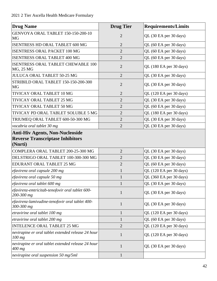| <b>Drug Name</b>                                                                             | <b>Drug Tier</b> | <b>Requirements/Limits</b> |
|----------------------------------------------------------------------------------------------|------------------|----------------------------|
| GENVOYA ORAL TABLET 150-150-200-10<br>MG                                                     | $\overline{2}$   | QL (30 EA per 30 days)     |
| ISENTRESS HD ORAL TABLET 600 MG                                                              | $\overline{2}$   | QL (60 EA per 30 days)     |
| <b>ISENTRESS ORAL PACKET 100 MG</b>                                                          | $\overline{2}$   | QL (60 EA per 30 days)     |
| <b>ISENTRESS ORAL TABLET 400 MG</b>                                                          | $\overline{2}$   | QL (60 EA per 30 days)     |
| ISENTRESS ORAL TABLET CHEWABLE 100<br>MG, 25 MG                                              | $\overline{2}$   | QL (180 EA per 30 days)    |
| JULUCA ORAL TABLET 50-25 MG                                                                  | $\overline{2}$   | QL (30 EA per 30 days)     |
| STRIBILD ORAL TABLET 150-150-200-300<br>MG                                                   | $\overline{2}$   | QL (30 EA per 30 days)     |
| TIVICAY ORAL TABLET 10 MG                                                                    | $\overline{2}$   | QL (120 EA per 30 days)    |
| TIVICAY ORAL TABLET 25 MG                                                                    | $\overline{2}$   | QL (30 EA per 30 days)     |
| TIVICAY ORAL TABLET 50 MG                                                                    | $\overline{2}$   | QL (60 EA per 30 days)     |
| TIVICAY PD ORAL TABLET SOLUBLE 5 MG                                                          | $\overline{2}$   | QL (180 EA per 30 days)    |
| TRIUMEQ ORAL TABLET 600-50-300 MG                                                            | $\overline{2}$   | QL (30 EA per 30 days)     |
| vocabria oral tablet 30 mg                                                                   | $\overline{2}$   | QL (30 EA per 30 days)     |
| <b>Anti-Hiv Agents, Non-Nucleoside</b><br><b>Reverse Transcriptase Inhibitors</b><br>(Nnrti) |                  |                            |
| COMPLERA ORAL TABLET 200-25-300 MG                                                           | $\overline{2}$   | QL (30 EA per 30 days)     |
| DELSTRIGO ORAL TABLET 100-300-300 MG                                                         | $\overline{2}$   | QL (30 EA per 30 days)     |
| EDURANT ORAL TABLET 25 MG                                                                    | $\overline{2}$   | QL (60 EA per 30 days)     |
| efavirenz oral capsule 200 mg                                                                | $\mathbf{1}$     | QL (120 EA per 30 days)    |
| efavirenz oral capsule 50 mg                                                                 | $\mathbf{1}$     | QL (360 EA per 30 days)    |
| efavirenz oral tablet 600 mg                                                                 | $\mathbf{1}$     | QL (30 EA per 30 days)     |
| efavirenz-emtricitab-tenofovir oral tablet 600-<br>200-300 mg                                | $\mathbf{1}$     | QL (30 EA per 30 days)     |
| efavirenz-lamivudine-tenofovir oral tablet 400-<br>300-300 mg                                | $\mathbf{1}$     | QL (30 EA per 30 days)     |
| etravirine oral tablet 100 mg                                                                | $\mathbf{1}$     | QL (120 EA per 30 days)    |
| etravirine oral tablet 200 mg                                                                | $\mathbf{1}$     | QL (60 EA per 30 days)     |
| <b>INTELENCE ORAL TABLET 25 MG</b>                                                           | $\overline{2}$   | QL (120 EA per 30 days)    |
| nevirapine er oral tablet extended release 24 hour<br>$100$ mg                               | $\mathbf{1}$     | QL (120 EA per 30 days)    |
| nevirapine er oral tablet extended release 24 hour<br>400 mg                                 | $\mathbf{1}$     | QL (30 EA per 30 days)     |
| nevirapine oral suspension 50 mg/5ml                                                         | $\mathbf{1}$     |                            |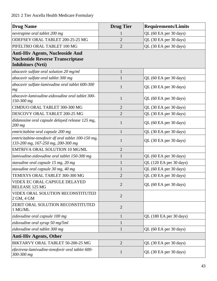| <b>Drug Name</b>                                                                                              | <b>Drug Tier</b> | <b>Requirements/Limits</b> |
|---------------------------------------------------------------------------------------------------------------|------------------|----------------------------|
| nevirapine oral tablet 200 mg                                                                                 |                  | QL (60 EA per 30 days)     |
| ODEFSEY ORAL TABLET 200-25-25 MG                                                                              | $\overline{2}$   | QL (30 EA per 30 days)     |
| PIFELTRO ORAL TABLET 100 MG                                                                                   | $\overline{2}$   | QL (30 EA per 30 days)     |
| <b>Anti-Hiv Agents, Nucleoside And</b><br><b>Nucleotide Reverse Transcriptase</b><br><b>Inhibitors (Nrti)</b> |                  |                            |
| abacavir sulfate oral solution 20 mg/ml                                                                       | $\mathbf{1}$     |                            |
| abacavir sulfate oral tablet 300 mg                                                                           | $\mathbf{1}$     | QL (60 EA per 30 days)     |
| abacavir sulfate-lamivudine oral tablet 600-300<br>mg                                                         | $\mathbf{1}$     | QL (30 EA per 30 days)     |
| abacavir-lamivudine-zidovudine oral tablet 300-<br>150-300 mg                                                 | $\mathbf{1}$     | QL (60 EA per 30 days)     |
| CIMDUO ORAL TABLET 300-300 MG                                                                                 | $\overline{2}$   | QL (30 EA per 30 days)     |
| DESCOVY ORAL TABLET 200-25 MG                                                                                 | $\overline{2}$   | QL (30 EA per 30 days)     |
| didanosine oral capsule delayed release 125 mg,<br>$200$ mg                                                   | $\mathbf{1}$     | QL (60 EA per 30 days)     |
| emtricitabine oral capsule 200 mg                                                                             | $\mathbf{1}$     | QL (30 EA per 30 days)     |
| emtricitabine-tenofovir df oral tablet 100-150 mg,<br>133-200 mg, 167-250 mg, 200-300 mg                      | $\mathbf{1}$     | QL (30 EA per 30 days)     |
| EMTRIVA ORAL SOLUTION 10 MG/ML                                                                                | $\overline{c}$   |                            |
| lamivudine-zidovudine oral tablet 150-300 mg                                                                  | $\mathbf{1}$     | QL (60 EA per 30 days)     |
| stavudine oral capsule 15 mg, 20 mg                                                                           | $\mathbf{1}$     | QL (120 EA per 30 days)    |
| stavudine oral capsule 30 mg, 40 mg                                                                           | $\mathbf{1}$     | QL (60 EA per 30 days)     |
| TEMIXYS ORAL TABLET 300-300 MG                                                                                | $\overline{2}$   | QL (30 EA per 30 days)     |
| VIDEX EC ORAL CAPSULE DELAYED<br>RELEASE 125 MG                                                               | $\overline{2}$   | QL (60 EA per 30 days)     |
| VIDEX ORAL SOLUTION RECONSTITUTED<br>2 GM, 4 GM                                                               | $\overline{2}$   |                            |
| ZERIT ORAL SOLUTION RECONSTITUTED<br>1 MG/ML                                                                  | $\overline{2}$   |                            |
| zidovudine oral capsule 100 mg                                                                                | $\mathbf{1}$     | QL (180 EA per 30 days)    |
| zidovudine oral syrup 50 mg/5ml                                                                               | $\mathbf{1}$     |                            |
| zidovudine oral tablet 300 mg                                                                                 | $\mathbf{1}$     | QL (60 EA per 30 days)     |
| <b>Anti-Hiv Agents, Other</b>                                                                                 |                  |                            |
| BIKTARVY ORAL TABLET 50-200-25 MG                                                                             | $\overline{2}$   | QL (30 EA per 30 days)     |
| efavirenz-lamivudine-tenofovir oral tablet 600-<br>300-300 mg                                                 | $\mathbf{1}$     | QL (30 EA per 30 days)     |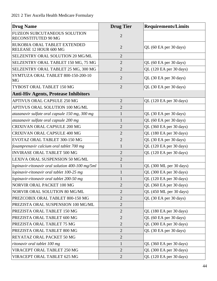| <b>Drug Name</b>                                       | <b>Drug Tier</b> | <b>Requirements/Limits</b> |
|--------------------------------------------------------|------------------|----------------------------|
| FUZEON SUBCUTANEOUS SOLUTION<br>RECONSTITUTED 90 MG    | $\overline{2}$   |                            |
| RUKOBIA ORAL TABLET EXTENDED<br>RELEASE 12 HOUR 600 MG | $\overline{2}$   | QL (60 EA per 30 days)     |
| SELZENTRY ORAL SOLUTION 20 MG/ML                       | $\overline{2}$   |                            |
| SELZENTRY ORAL TABLET 150 MG, 75 MG                    | $\overline{2}$   | QL (60 EA per 30 days)     |
| SELZENTRY ORAL TABLET 25 MG, 300 MG                    | $\overline{2}$   | QL (120 EA per 30 days)    |
| SYMTUZA ORAL TABLET 800-150-200-10<br><b>MG</b>        | $\overline{2}$   | QL (30 EA per 30 days)     |
| TYBOST ORAL TABLET 150 MG                              | $\overline{2}$   | QL (30 EA per 30 days)     |
| <b>Anti-Hiv Agents, Protease Inhibitors</b>            |                  |                            |
| APTIVUS ORAL CAPSULE 250 MG                            | $\overline{2}$   | QL (120 EA per 30 days)    |
| APTIVUS ORAL SOLUTION 100 MG/ML                        | $\overline{2}$   |                            |
| atazanavir sulfate oral capsule 150 mg, 300 mg         | $\mathbf{1}$     | QL (30 EA per 30 days)     |
| atazanavir sulfate oral capsule 200 mg                 | $\mathbf{1}$     | QL (60 EA per 30 days)     |
| <b>CRIXIVAN ORAL CAPSULE 200 MG</b>                    | $\overline{2}$   | QL (360 EA per 30 days)    |
| <b>CRIXIVAN ORAL CAPSULE 400 MG</b>                    | $\overline{2}$   | QL (180 EA per 30 days)    |
| EVOTAZ ORAL TABLET 300-150 MG                          | $\overline{2}$   | QL (30 EA per 30 days)     |
| fosamprenavir calcium oral tablet 700 mg               | $\mathbf{1}$     | QL (120 EA per 30 days)    |
| <b>INVIRASE ORAL TABLET 500 MG</b>                     | $\overline{2}$   | QL (120 EA per 30 days)    |
| LEXIVA ORAL SUSPENSION 50 MG/ML                        | $\overline{2}$   |                            |
| lopinavir-ritonavir oral solution 400-100 mg/5ml       | $\mathbf{1}$     | QL (300 ML per 30 days)    |
| lopinavir-ritonavir oral tablet 100-25 mg              | $\mathbf{1}$     | QL (300 EA per 30 days)    |
| lopinavir-ritonavir oral tablet 200-50 mg              | $\mathbf{1}$     | QL (120 EA per 30 days)    |
| NORVIR ORAL PACKET 100 MG                              | $\overline{2}$   | QL (360 EA per 30 days)    |
| NORVIR ORAL SOLUTION 80 MG/ML                          | $\overline{2}$   | QL (450 ML per 30 days)    |
| PREZCOBIX ORAL TABLET 800-150 MG                       | $\overline{2}$   | QL (30 EA per 30 days)     |
| PREZISTA ORAL SUSPENSION 100 MG/ML                     | $\overline{2}$   |                            |
| PREZISTA ORAL TABLET 150 MG                            | $\overline{2}$   | QL (180 EA per 30 days)    |
| PREZISTA ORAL TABLET 600 MG                            | $\sqrt{2}$       | QL (60 EA per 30 days)     |
| PREZISTA ORAL TABLET 75 MG                             | $\overline{2}$   | QL (300 EA per 30 days)    |
| PREZISTA ORAL TABLET 800 MG                            | $\overline{2}$   | QL (30 EA per 30 days)     |
| REYATAZ ORAL PACKET 50 MG                              | $\overline{2}$   |                            |
| ritonavir oral tablet 100 mg                           | $\mathbf{1}$     | QL (360 EA per 30 days)    |
| VIRACEPT ORAL TABLET 250 MG                            | $\overline{2}$   | QL (300 EA per 30 days)    |
| VIRACEPT ORAL TABLET 625 MG                            | $\overline{2}$   | QL (120 EA per 30 days)    |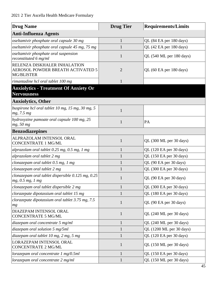| <b>Drug Name</b>                                                                       | <b>Drug Tier</b> | <b>Requirements/Limits</b> |
|----------------------------------------------------------------------------------------|------------------|----------------------------|
| <b>Anti-Influenza Agents</b>                                                           |                  |                            |
| oseltamivir phosphate oral capsule 30 mg                                               | $\mathbf{1}$     | QL (84 EA per 180 days)    |
| oseltamivir phosphate oral capsule 45 mg, 75 mg                                        | $\mathbf{1}$     | QL (42 EA per 180 days)    |
| oseltamivir phosphate oral suspension<br>reconstituted 6 mg/ml                         | $\mathbf{1}$     | QL (540 ML per 180 days)   |
| RELENZA DISKHALER INHALATION<br>AEROSOL POWDER BREATH ACTIVATED 5<br><b>MG/BLISTER</b> | $\overline{2}$   | QL (60 EA per 180 days)    |
| rimantadine hcl oral tablet 100 mg                                                     | $\mathbf{1}$     |                            |
| <b>Anxiolytics - Treatment Of Anxiety Or</b><br><b>Nervousness</b>                     |                  |                            |
| <b>Anxiolytics, Other</b>                                                              |                  |                            |
| buspirone hcl oral tablet 10 mg, 15 mg, 30 mg, 5<br>mg, 7.5 mg                         | $\mathbf{1}$     |                            |
| hydroxyzine pamoate oral capsule 100 mg, 25<br>mg, 50 mg                               | 1                | PA                         |
| <b>Benzodiazepines</b>                                                                 |                  |                            |
| ALPRAZOLAM INTENSOL ORAL<br><b>CONCENTRATE 1 MG/ML</b>                                 | $\mathbf{1}$     | QL (300 ML per 30 days)    |
| alprazolam oral tablet 0.25 mg, 0.5 mg, 1 mg                                           | $\mathbf{1}$     | QL (120 EA per 30 days)    |
| alprazolam oral tablet 2 mg                                                            | 1                | QL (150 EA per 30 days)    |
| clonazepam oral tablet 0.5 mg, 1 mg                                                    | $\mathbf{1}$     | QL (90 EA per 30 days)     |
| clonazepam oral tablet 2 mg                                                            | 1                | QL (300 EA per 30 days)    |
| clonazepam oral tablet dispersible $0.125$ mg, $0.25$<br>mg, 0.5 mg, 1 mg              | 1                | QL (90 EA per 30 days)     |
| clonazepam oral tablet dispersible 2 mg                                                | $\mathbf{1}$     | QL (300 EA per 30 days)    |
| clorazepate dipotassium oral tablet 15 mg                                              | 1                | QL (180 EA per 30 days)    |
| clorazepate dipotassium oral tablet 3.75 mg, 7.5<br>mg                                 | $\mathbf{1}$     | QL (90 EA per 30 days)     |
| DIAZEPAM INTENSOL ORAL<br><b>CONCENTRATE 5 MG/ML</b>                                   | $\mathbf{1}$     | QL (240 ML per 30 days)    |
| diazepam oral concentrate 5 mg/ml                                                      | $\mathbf{1}$     | QL (240 ML per 30 days)    |
| diazepam oral solution 5 mg/5ml                                                        | $\mathbf{1}$     | QL (1200 ML per 30 days)   |
| diazepam oral tablet 10 mg, 2 mg, 5 mg                                                 | $\mathbf{1}$     | QL (120 EA per 30 days)    |
| LORAZEPAM INTENSOL ORAL<br><b>CONCENTRATE 2 MG/ML</b>                                  | $\mathbf{1}$     | QL (150 ML per 30 days)    |
| lorazepam oral concentrate 1 mg/0.5ml                                                  | $\mathbf{1}$     | QL (150 EA per 30 days)    |
| lorazepam oral concentrate 2 mg/ml                                                     | $\mathbf{1}$     | QL (150 ML per 30 days)    |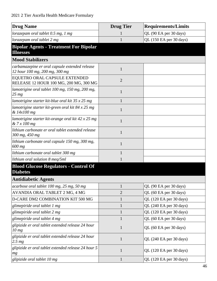| <b>Drug Name</b>                                                                 | <b>Drug Tier</b> | <b>Requirements/Limits</b> |
|----------------------------------------------------------------------------------|------------------|----------------------------|
| lorazepam oral tablet 0.5 mg, 1 mg                                               |                  | QL (90 EA per 30 days)     |
| lorazepam oral tablet 2 mg                                                       |                  | QL (150 EA per 30 days)    |
| <b>Bipolar Agents - Treatment For Bipolar</b>                                    |                  |                            |
| <b>Illnesses</b>                                                                 |                  |                            |
| <b>Mood Stabilizers</b>                                                          |                  |                            |
| carbamazepine er oral capsule extended release<br>12 hour 100 mg, 200 mg, 300 mg | $\mathbf{1}$     |                            |
| EQUETRO ORAL CAPSULE EXTENDED<br>RELEASE 12 HOUR 100 MG, 200 MG, 300 MG          | $\overline{2}$   |                            |
| lamotrigine oral tablet 100 mg, 150 mg, 200 mg,<br>$25 \, mg$                    | 1                |                            |
| lamotrigine starter kit-blue oral kit 35 x 25 mg                                 |                  |                            |
| lamotrigine starter kit-green oral kit 84 x 25 mg<br>& 14x100 mg                 | 1                |                            |
| lamotrigine starter kit-orange oral kit 42 x 25 mg<br>& 7x100 mg                 | 1                |                            |
| lithium carbonate er oral tablet extended release<br>300 mg, 450 mg              | 1                |                            |
| lithium carbonate oral capsule 150 mg, 300 mg,<br>600 mg                         | 1                |                            |
| lithium carbonate oral tablet 300 mg                                             |                  |                            |
| lithium oral solution 8 meq/5ml                                                  |                  |                            |
| <b>Blood Glucose Regulators - Control Of</b><br><b>Diabetes</b>                  |                  |                            |
| <b>Antidiabetic Agents</b>                                                       |                  |                            |
| acarbose oral tablet 100 mg, 25 mg, 50 mg                                        | 1                | QL (90 EA per 30 days)     |
| AVANDIA ORAL TABLET 2 MG, 4 MG                                                   | $\overline{2}$   | QL (60 EA per 30 days)     |
| D-CARE DM2 COMBINATION KIT 500 MG                                                | $\mathbf{1}$     | QL (120 EA per 30 days)    |
| glimepiride oral tablet 1 mg                                                     | $\mathbf{1}$     | QL (240 EA per 30 days)    |
| glimepiride oral tablet 2 mg                                                     | $\mathbf{1}$     | QL (120 EA per 30 days)    |
| glimepiride oral tablet 4 mg                                                     |                  | QL (60 EA per 30 days)     |
| glipizide er oral tablet extended release 24 hour<br>10 <sub>mg</sub>            | $\mathbf{1}$     | QL (60 EA per 30 days)     |
| glipizide er oral tablet extended release 24 hour<br>2.5 <sub>mg</sub>           | $\mathbf{1}$     | QL (240 EA per 30 days)    |
| glipizide er oral tablet extended release 24 hour 5<br>mg                        | $\mathbf{1}$     | QL (120 EA per 30 days)    |
| glipizide oral tablet 10 mg                                                      | $\mathbf{1}$     | QL (120 EA per 30 days)    |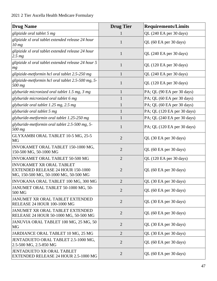| <b>Drug Name</b>                                                                                                     | <b>Drug Tier</b> | <b>Requirements/Limits</b>  |
|----------------------------------------------------------------------------------------------------------------------|------------------|-----------------------------|
| glipizide oral tablet 5 mg                                                                                           |                  | QL (240 EA per 30 days)     |
| glipizide xl oral tablet extended release 24 hour<br>10 mg                                                           | 1                | QL (60 EA per 30 days)      |
| glipizide xl oral tablet extended release 24 hour<br>2.5 <sub>mg</sub>                                               | $\mathbf{1}$     | QL (240 EA per 30 days)     |
| glipizide xl oral tablet extended release 24 hour 5<br>mg                                                            | $\mathbf{1}$     | QL (120 EA per 30 days)     |
| glipizide-metformin hcl oral tablet 2.5-250 mg                                                                       | $\mathbf{1}$     | QL (240 EA per 30 days)     |
| glipizide-metformin hcl oral tablet 2.5-500 mg, 5-<br>500 mg                                                         | 1                | QL (120 EA per 30 days)     |
| glyburide micronized oral tablet 1.5 mg, 3 mg                                                                        | $\mathbf{1}$     | PA; QL (90 EA per 30 days)  |
| glyburide micronized oral tablet 6 mg                                                                                | $\mathbf{1}$     | PA; QL (60 EA per 30 days)  |
| glyburide oral tablet 1.25 mg, 2.5 mg                                                                                | $\mathbf{1}$     | PA; QL (60 EA per 30 days)  |
| glyburide oral tablet 5 mg                                                                                           | $\mathbf{1}$     | PA; QL (120 EA per 30 days) |
| glyburide-metformin oral tablet 1.25-250 mg                                                                          | 1                | PA; QL (240 EA per 30 days) |
| glyburide-metformin oral tablet 2.5-500 mg, 5-<br>500 mg                                                             | $\mathbf{1}$     | PA; QL (120 EA per 30 days) |
| GLYXAMBI ORAL TABLET 10-5 MG, 25-5<br>MG                                                                             | $\overline{2}$   | QL (30 EA per 30 days)      |
| INVOKAMET ORAL TABLET 150-1000 MG,<br>150-500 MG, 50-1000 MG                                                         | $\overline{2}$   | QL (60 EA per 30 days)      |
| INVOKAMET ORAL TABLET 50-500 MG                                                                                      | $\overline{2}$   | QL (120 EA per 30 days)     |
| <b>INVOKAMET XR ORAL TABLET</b><br><b>EXTENDED RELEASE 24 HOUR 150-1000</b><br>MG, 150-500 MG, 50-1000 MG, 50-500 MG | $\overline{2}$   | QL (60 EA per 30 days)      |
| INVOKANA ORAL TABLET 100 MG, 300 MG                                                                                  | $\overline{2}$   | $QL$ (30 EA per 30 days)    |
| JANUMET ORAL TABLET 50-1000 MG, 50-<br>500 MG                                                                        | $\overline{2}$   | QL (60 EA per 30 days)      |
| <b>JANUMET XR ORAL TABLET EXTENDED</b><br>RELEASE 24 HOUR 100-1000 MG                                                | $\overline{2}$   | QL (30 EA per 30 days)      |
| JANUMET XR ORAL TABLET EXTENDED<br>RELEASE 24 HOUR 50-1000 MG, 50-500 MG                                             | $\overline{2}$   | QL (60 EA per 30 days)      |
| JANUVIA ORAL TABLET 100 MG, 25 MG, 50<br>MG                                                                          | $\overline{2}$   | QL (30 EA per 30 days)      |
| JARDIANCE ORAL TABLET 10 MG, 25 MG                                                                                   | $\overline{2}$   | QL (30 EA per 30 days)      |
| JENTADUETO ORAL TABLET 2.5-1000 MG,<br>2.5-500 MG, 2.5-850 MG                                                        | $\overline{2}$   | QL (60 EA per 30 days)      |
| JENTADUETO XR ORAL TABLET<br>EXTENDED RELEASE 24 HOUR 2.5-1000 MG                                                    | $\overline{2}$   | QL (60 EA per 30 days)      |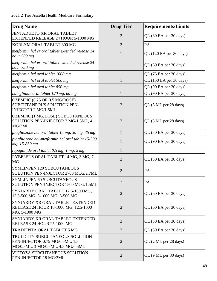| <b>Drug Name</b>                                                                                         | <b>Drug Tier</b> | <b>Requirements/Limits</b> |
|----------------------------------------------------------------------------------------------------------|------------------|----------------------------|
| JENTADUETO XR ORAL TABLET<br>EXTENDED RELEASE 24 HOUR 5-1000 MG                                          | $\overline{2}$   | QL (30 EA per 30 days)     |
| KORLYM ORAL TABLET 300 MG                                                                                | $\overline{2}$   | PA                         |
| metformin hcl er oral tablet extended release 24<br>hour 500 mg                                          | $\mathbf{1}$     | QL (120 EA per 30 days)    |
| metformin hcl er oral tablet extended release 24<br>hour 750 mg                                          | $\mathbf{1}$     | QL (60 EA per 30 days)     |
| metformin hcl oral tablet 1000 mg                                                                        | $\mathbf{1}$     | QL (75 EA per 30 days)     |
| metformin hcl oral tablet 500 mg                                                                         | $\mathbf{1}$     | QL (150 EA per 30 days)    |
| metformin hcl oral tablet 850 mg                                                                         | $\mathbf{1}$     | QL (90 EA per 30 days)     |
| nateglinide oral tablet 120 mg, 60 mg                                                                    | 1                | QL (90 EA per 30 days)     |
| OZEMPIC (0.25 OR 0.5 MG/DOSE)<br>SUBCUTANEOUS SOLUTION PEN-<br><b>INJECTOR 2 MG/1.5ML</b>                | $\overline{2}$   | QL (3 ML per 28 days)      |
| OZEMPIC (1 MG/DOSE) SUBCUTANEOUS<br>SOLUTION PEN-INJECTOR 2 MG/1.5ML, 4<br>MG/3ML                        | $\overline{2}$   | QL (3 ML per 28 days)      |
| pioglitazone hcl oral tablet 15 mg, 30 mg, 45 mg                                                         | $\mathbf{1}$     | QL (30 EA per 30 days)     |
| pioglitazone hcl-metformin hcl oral tablet 15-500<br>mg, 15-850 mg                                       | $\mathbf{1}$     | QL (90 EA per 30 days)     |
| repaglinide oral tablet 0.5 mg, 1 mg, 2 mg                                                               | $\mathbf{1}$     |                            |
| RYBELSUS ORAL TABLET 14 MG, 3 MG, 7<br>MG                                                                | $\overline{2}$   | QL (30 EA per 30 days)     |
| <b>SYMLINPEN 120 SUBCUTANEOUS</b><br>SOLUTION PEN-INJECTOR 2700 MCG/2.7ML                                | $\overline{2}$   | PA                         |
| SYMLINPEN 60 SUBCUTANEOUS<br>SOLUTION PEN-INJECTOR 1500 MCG/1.5ML                                        | $\overline{2}$   | PA                         |
| SYNJARDY ORAL TABLET 12.5-1000 MG,<br>12.5-500 MG, 5-1000 MG, 5-500 MG                                   | $\overline{2}$   | QL (60 EA per 30 days)     |
| SYNJARDY XR ORAL TABLET EXTENDED<br>RELEASE 24 HOUR 10-1000 MG, 12.5-1000<br>MG, 5-1000 MG               | $\overline{2}$   | QL (60 EA per 30 days)     |
| SYNJARDY XR ORAL TABLET EXTENDED<br>RELEASE 24 HOUR 25-1000 MG                                           | $\overline{2}$   | QL (30 EA per 30 days)     |
| TRADJENTA ORAL TABLET 5 MG                                                                               | $\overline{2}$   | QL (30 EA per 30 days)     |
| TRULICITY SUBCUTANEOUS SOLUTION<br>PEN-INJECTOR 0.75 MG/0.5ML, 1.5<br>MG/0.5ML, 3 MG/0.5ML, 4.5 MG/0.5ML | $\overline{2}$   | QL (2 ML per 28 days)      |
| VICTOZA SUBCUTANEOUS SOLUTION<br>PEN-INJECTOR 18 MG/3ML                                                  | $\overline{2}$   | QL (9 ML per 30 days)      |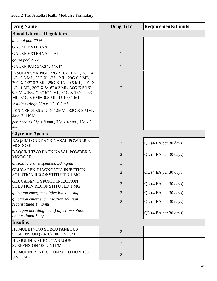| <b>Drug Name</b>                                                                                                                                                                                                                                                   | <b>Drug Tier</b> | <b>Requirements/Limits</b> |
|--------------------------------------------------------------------------------------------------------------------------------------------------------------------------------------------------------------------------------------------------------------------|------------------|----------------------------|
| <b>Blood Glucose Regulators</b>                                                                                                                                                                                                                                    |                  |                            |
| alcohol pad 70 %                                                                                                                                                                                                                                                   | $\mathbf{1}$     |                            |
| <b>GAUZE EXTERNAL</b>                                                                                                                                                                                                                                              | $\mathbf{1}$     |                            |
| <b>GAUZE EXTERNAL PAD</b>                                                                                                                                                                                                                                          | $\mathbf{1}$     |                            |
| gauze pad 2"x2"                                                                                                                                                                                                                                                    | $\mathbf{1}$     |                            |
| GAUZE PAD 2"X2", 4"X4"                                                                                                                                                                                                                                             | $\mathbf{1}$     |                            |
| INSULIN SYRINGE 27G X 1/2" 1 ML, 28G X<br>1/2" 0.5 ML, 28G X 1/2" 1 ML, 29G 0.3 ML,<br>29G X 1/2" 0.3 ML, 29G X 1/2" 0.5 ML, 29G X<br>1/2" 1 ML, 30G X 5/16" 0.3 ML, 30G X 5/16"<br>0.5 ML, 30G X 5/16" 1 ML, 31G X 15/64" 0.3<br>ML, 31G X 6MM 0.5 ML, U-100 1 ML | 1                |                            |
| insulin syringe $28g \times 1/2$ " 0.5 ml                                                                                                                                                                                                                          | $\mathbf{1}$     |                            |
| PEN NEEDLES 29G X 12MM, 30G X 8 MM,<br>32G X 4 MM                                                                                                                                                                                                                  | $\mathbf{1}$     |                            |
| pen needles $31g \times 8mm$ , $32g \times 4mm$ , $32g \times 5$<br>mm                                                                                                                                                                                             | $\mathbf{1}$     |                            |
| <b>Glycemic Agents</b>                                                                                                                                                                                                                                             |                  |                            |
| <b>BAQSIMI ONE PACK NASAL POWDER 3</b><br>MG/DOSE                                                                                                                                                                                                                  | $\overline{2}$   | QL (4 EA per 30 days)      |
| <b>BAQSIMI TWO PACK NASAL POWDER 3</b><br>MG/DOSE                                                                                                                                                                                                                  | $\overline{2}$   | QL (4 EA per 30 days)      |
| diazoxide oral suspension 50 mg/ml                                                                                                                                                                                                                                 | $\mathbf{1}$     |                            |
| <b>GLUCAGEN DIAGNOSTIC INJECTION</b><br>SOLUTION RECONSTITUTED 1 MG                                                                                                                                                                                                | $\overline{2}$   | QL (4 EA per 30 days)      |
| <b>GLUCAGEN HYPOKIT INJECTION</b><br>SOLUTION RECONSTITUTED 1 MG                                                                                                                                                                                                   | $\overline{2}$   | QL (4 EA per 30 days)      |
| glucagon emergency injection kit 1 mg                                                                                                                                                                                                                              | $\overline{2}$   | QL (4 EA per 30 days)      |
| glucagon emergency injection solution<br>reconstituted 1 mg/ml                                                                                                                                                                                                     | $\overline{2}$   | QL (4 EA per 30 days)      |
| glucagon hcl (diagnostic) injection solution<br>reconstituted 1 mg                                                                                                                                                                                                 | $\mathbf{1}$     | QL (4 EA per 30 days)      |
| <b>Insulins</b>                                                                                                                                                                                                                                                    |                  |                            |
| <b>HUMULIN 70/30 SUBCUTANEOUS</b><br>SUSPENSION (70-30) 100 UNIT/ML                                                                                                                                                                                                | $\overline{2}$   |                            |
| <b>HUMULIN N SUBCUTANEOUS</b><br>SUSPENSION 100 UNIT/ML                                                                                                                                                                                                            | $\overline{2}$   |                            |
| HUMULIN R INJECTION SOLUTION 100<br>UNIT/ML                                                                                                                                                                                                                        | $\overline{2}$   |                            |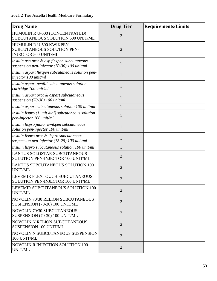| <b>Drug Name</b>                                                                           | <b>Drug Tier</b> | <b>Requirements/Limits</b> |
|--------------------------------------------------------------------------------------------|------------------|----------------------------|
| HUMULIN R U-500 (CONCENTRATED)<br>SUBCUTANEOUS SOLUTION 500 UNIT/ML                        | $\overline{2}$   |                            |
| HUMULIN R U-500 KWIKPEN<br>SUBCUTANEOUS SOLUTION PEN-<br><b>INJECTOR 500 UNIT/ML</b>       | $\overline{2}$   |                            |
| insulin asp prot & asp flexpen subcutaneous<br>suspension pen-injector (70-30) 100 unit/ml | 1                |                            |
| insulin aspart flexpen subcutaneous solution pen-<br>injector 100 unit/ml                  | $\mathbf{1}$     |                            |
| insulin aspart penfill subcutaneous solution<br>cartridge 100 unit/ml                      | $\mathbf{1}$     |                            |
| insulin aspart prot & aspart subcutaneous<br>suspension $(70-30)$ 100 unit/ml              | 1                |                            |
| insulin aspart subcutaneous solution 100 unit/ml                                           | $\mathbf{1}$     |                            |
| insulin lispro (1 unit dial) subcutaneous solution<br>pen-injector 100 unit/ml             | $\mathbf{1}$     |                            |
| insulin lispro junior kwikpen subcutaneous<br>solution pen-injector 100 unit/ml            | $\mathbf{1}$     |                            |
| insulin lispro prot & lispro subcutaneous<br>suspension pen-injector (75-25) 100 unit/ml   | 1                |                            |
| insulin lispro subcutaneous solution 100 unit/ml                                           | 1                |                            |
| LANTUS SOLOSTAR SUBCUTANEOUS<br>SOLUTION PEN-INJECTOR 100 UNIT/ML                          | $\overline{2}$   |                            |
| <b>LANTUS SUBCUTANEOUS SOLUTION 100</b><br><b>UNIT/ML</b>                                  | $\overline{2}$   |                            |
| LEVEMIR FLEXTOUCH SUBCUTANEOUS<br>SOLUTION PEN-INJECTOR 100 UNIT/ML                        | $\overline{2}$   |                            |
| LEVEMIR SUBCUTANEOUS SOLUTION 100<br><b>UNIT/ML</b>                                        | $\overline{2}$   |                            |
| <b>NOVOLIN 70/30 RELION SUBCUTANEOUS</b><br>SUSPENSION (70-30) 100 UNIT/ML                 | $\overline{2}$   |                            |
| <b>NOVOLIN 70/30 SUBCUTANEOUS</b><br>SUSPENSION (70-30) 100 UNIT/ML                        | $\overline{2}$   |                            |
| <b>NOVOLIN N RELION SUBCUTANEOUS</b><br>SUSPENSION 100 UNIT/ML                             | $\overline{2}$   |                            |
| NOVOLIN N SUBCUTANEOUS SUSPENSION<br>100 UNIT/ML                                           | $\overline{2}$   |                            |
| <b>NOVOLIN R INJECTION SOLUTION 100</b><br>UNIT/ML                                         | $\overline{2}$   |                            |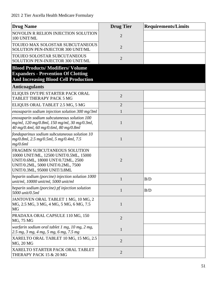| <b>Drug Name</b>                                                                                                                                                                   | <b>Drug Tier</b> | <b>Requirements/Limits</b> |
|------------------------------------------------------------------------------------------------------------------------------------------------------------------------------------|------------------|----------------------------|
| NOVOLIN R RELION INJECTION SOLUTION<br>100 UNIT/ML                                                                                                                                 | $\overline{2}$   |                            |
| TOUJEO MAX SOLOSTAR SUBCUTANEOUS<br>SOLUTION PEN-INJECTOR 300 UNIT/ML                                                                                                              | $\overline{2}$   |                            |
| TOUJEO SOLOSTAR SUBCUTANEOUS<br>SOLUTION PEN-INJECTOR 300 UNIT/ML                                                                                                                  | $\overline{2}$   |                            |
| <b>Blood Products/Modifiers/Volume</b>                                                                                                                                             |                  |                            |
| <b>Expanders - Prevention Of Clotting</b>                                                                                                                                          |                  |                            |
| <b>And Increasing Blood Cell Production</b>                                                                                                                                        |                  |                            |
| <b>Anticoagulants</b>                                                                                                                                                              |                  |                            |
| ELIQUIS DVT/PE STARTER PACK ORAL<br><b>TABLET THERAPY PACK 5 MG</b>                                                                                                                | $\overline{2}$   |                            |
| ELIQUIS ORAL TABLET 2.5 MG, 5 MG                                                                                                                                                   | $\overline{2}$   |                            |
| enoxaparin sodium injection solution 300 mg/3ml                                                                                                                                    | $\mathbf{1}$     |                            |
| enoxaparin sodium subcutaneous solution 100<br>mg/ml, 120 mg/0.8ml, 150 mg/ml, 30 mg/0.3ml,<br>40 mg/0.4ml, 60 mg/0.6ml, 80 mg/0.8ml                                               | $\mathbf{1}$     |                            |
| fondaparinux sodium subcutaneous solution 10<br>mg/0.8ml, 2.5 mg/0.5ml, 5 mg/0.4ml, 7.5<br>mg/0.6ml                                                                                | $\mathbf{1}$     |                            |
| FRAGMIN SUBCUTANEOUS SOLUTION<br>10000 UNIT/ML, 12500 UNIT/0.5ML, 15000<br>UNIT/0.6ML, 18000 UNT/0.72ML, 2500<br>UNIT/0.2ML, 5000 UNIT/0.2ML, 7500<br>UNIT/0.3ML, 95000 UNIT/3.8ML | $\overline{2}$   |                            |
| heparin sodium (porcine) injection solution 1000<br>unit/ml, 10000 unit/ml, 5000 unit/ml                                                                                           | $\mathbf{1}$     | B/D                        |
| heparin sodium (porcine) pf injection solution<br>5000 unit/0.5ml                                                                                                                  | $\mathbf{1}$     | B/D                        |
| JANTOVEN ORAL TABLET 1 MG, 10 MG, 2<br>MG, 2.5 MG, 3 MG, 4 MG, 5 MG, 6 MG, 7.5<br><b>MG</b>                                                                                        | $\mathbf{1}$     |                            |
| PRADAXA ORAL CAPSULE 110 MG, 150<br>MG, 75 MG                                                                                                                                      | $\overline{2}$   |                            |
| warfarin sodium oral tablet 1 mg, 10 mg, 2 mg,<br>2.5 mg, 3 mg, 4 mg, 5 mg, 6 mg, 7.5 mg                                                                                           | $\mathbf{1}$     |                            |
| XARELTO ORAL TABLET 10 MG, 15 MG, 2.5<br>MG, 20 MG                                                                                                                                 | $\overline{2}$   |                            |
| XARELTO STARTER PACK ORAL TABLET<br>THERAPY PACK 15 & 20 MG                                                                                                                        | $\overline{2}$   |                            |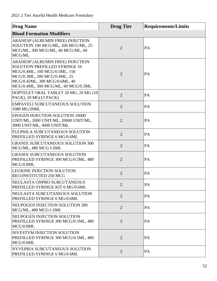| <b>Drug Name</b>                                                                                                                                                                                                  | <b>Drug Tier</b> | <b>Requirements/Limits</b> |
|-------------------------------------------------------------------------------------------------------------------------------------------------------------------------------------------------------------------|------------------|----------------------------|
| <b>Blood Formation Modifiers</b>                                                                                                                                                                                  |                  |                            |
| ARANESP (ALBUMIN FREE) INJECTION<br>SOLUTION 100 MCG/ML, 200 MCG/ML, 25<br>MCG/ML, 300 MCG/ML, 40 MCG/ML, 60<br>MCG/ML                                                                                            | $\overline{2}$   | PA                         |
| ARANESP (ALBUMIN FREE) INJECTION<br><b>SOLUTION PREFILLED SYRINGE 10</b><br>MCG/0.4ML, 100 MCG/0.5ML, 150<br>MCG/0.3ML, 200 MCG/0.4ML, 25<br>MCG/0.42ML, 300 MCG/0.6ML, 40<br>MCG/0.4ML, 500 MCG/ML, 60 MCG/0.3ML | $\overline{2}$   | PA                         |
| DOPTELET ORAL TABLET 20 MG, 20 MG (10)<br>PACK), 20 MG(15 PACK)                                                                                                                                                   | $\overline{2}$   | PA                         |
| <b>EMPAVELI SUBCUTANEOUS SOLUTION</b><br>1080 MG/20ML                                                                                                                                                             | $\overline{2}$   | PA                         |
| <b>EPOGEN INJECTION SOLUTION 10000</b><br>UNIT/ML, 2000 UNIT/ML, 20000 UNIT/ML,<br>3000 UNIT/ML, 4000 UNIT/ML                                                                                                     | $\overline{2}$   | PA                         |
| FULPHILA SUBCUTANEOUS SOLUTION<br>PREFILLED SYRINGE 6 MG/0.6ML                                                                                                                                                    | $\overline{2}$   | PA                         |
| <b>GRANIX SUBCUTANEOUS SOLUTION 300</b><br>MCG/ML, 480 MCG/1.6ML                                                                                                                                                  | $\overline{2}$   | PA                         |
| <b>GRANIX SUBCUTANEOUS SOLUTION</b><br>PREFILLED SYRINGE 300 MCG/0.5ML, 480<br>MCG/0.8ML                                                                                                                          | $\overline{2}$   | PA                         |
| <b>LEUKINE INJECTION SOLUTION</b><br><b>RECONSTITUTED 250 MCG</b>                                                                                                                                                 | $\overline{2}$   | PA                         |
| NEULASTA ONPRO SUBCUTANEOUS<br>PREFILLED SYRINGE KIT 6 MG/0.6ML                                                                                                                                                   | $\overline{2}$   | PA                         |
| <b>INEULASTA SUBCUTANEOUS SOLUTION</b><br>PREFILLED SYRINGE 6 MG/0.6ML                                                                                                                                            | $\overline{2}$   | PA                         |
| NEUPOGEN INJECTION SOLUTION 300<br>MCG/ML, 480 MCG/1.6ML                                                                                                                                                          | $\overline{2}$   | PA                         |
| <b>INEUPOGEN INJECTION SOLUTION</b><br>PREFILLED SYRINGE 300 MCG/0.5ML, 480<br>MCG/0.8ML                                                                                                                          | $\overline{2}$   | PA                         |
| <b>NIVESTYM INJECTION SOLUTION</b><br>PREFILLED SYRINGE 300 MCG/0.5ML, 480<br>MCG/0.8ML                                                                                                                           | $\overline{2}$   | PA                         |
| NYVEPRIA SUBCUTANEOUS SOLUTION<br>PREFILLED SYRINGE 6 MG/0.6ML                                                                                                                                                    | $\overline{2}$   | PA                         |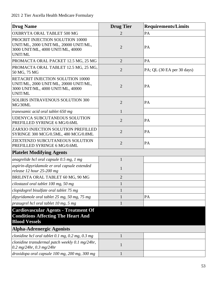| <b>Drug Name</b>                                                                                                           | <b>Drug Tier</b> | <b>Requirements/Limits</b> |
|----------------------------------------------------------------------------------------------------------------------------|------------------|----------------------------|
| OXBRYTA ORAL TABLET 500 MG                                                                                                 | 2                | PA                         |
| PROCRIT INJECTION SOLUTION 10000<br>UNIT/ML, 2000 UNIT/ML, 20000 UNIT/ML,<br>3000 UNIT/ML, 4000 UNIT/ML, 40000<br>UNIT/ML  | $\overline{2}$   | PA                         |
| PROMACTA ORAL PACKET 12.5 MG, 25 MG                                                                                        | $\overline{2}$   | PA                         |
| PROMACTA ORAL TABLET 12.5 MG, 25 MG,<br>50 MG, 75 MG                                                                       | $\overline{2}$   | PA; QL (30 EA per 30 days) |
| RETACRIT INJECTION SOLUTION 10000<br>UNIT/ML, 2000 UNIT/ML, 20000 UNIT/ML,<br>3000 UNIT/ML, 4000 UNIT/ML, 40000<br>UNIT/ML | $\overline{2}$   | PA                         |
| <b>SOLIRIS INTRAVENOUS SOLUTION 300</b><br>MG/30ML                                                                         | $\overline{2}$   | PA                         |
| tranexamic acid oral tablet 650 mg                                                                                         | $\mathbf{1}$     |                            |
| <b>UDENYCA SUBCUTANEOUS SOLUTION</b><br>PREFILLED SYRINGE 6 MG/0.6ML                                                       | $\overline{2}$   | PA                         |
| ZARXIO INJECTION SOLUTION PREFILLED<br>SYRINGE 300 MCG/0.5ML, 480 MCG/0.8ML                                                | $\overline{2}$   | PA                         |
| ZIEXTENZO SUBCUTANEOUS SOLUTION<br>PREFILLED SYRINGE 6 MG/0.6ML                                                            | $\overline{2}$   | PA                         |
| <b>Platelet Modifying Agents</b>                                                                                           |                  |                            |
| anagrelide hcl oral capsule 0.5 mg, 1 mg                                                                                   | 1                |                            |
| aspirin-dipyridamole er oral capsule extended<br>release 12 hour 25-200 mg                                                 | 1                |                            |
| BRILINTA ORAL TABLET 60 MG, 90 MG                                                                                          | $\overline{2}$   |                            |
| cilostazol oral tablet 100 mg, 50 mg                                                                                       |                  |                            |
| clopidogrel bisulfate oral tablet 75 mg                                                                                    |                  |                            |
| dipyridamole oral tablet 25 mg, 50 mg, 75 mg                                                                               |                  | PA                         |
| prasugrel hcl oral tablet 10 mg, 5 mg                                                                                      | 1                |                            |
| <b>Cardiovascular Agents - Treatment Of</b><br><b>Conditions Affecting The Heart And</b><br><b>Blood Vessels</b>           |                  |                            |
| <b>Alpha-Adrenergic Agonists</b>                                                                                           |                  |                            |
| clonidine hcl oral tablet $0.1$ mg, $0.2$ mg, $0.3$ mg                                                                     |                  |                            |
| clonidine transdermal patch weekly 0.1 mg/24hr,<br>0.2 mg/24hr, 0.3 mg/24hr                                                | 1                |                            |
| droxidopa oral capsule 100 mg, 200 mg, 300 mg                                                                              | $\mathbf{1}$     |                            |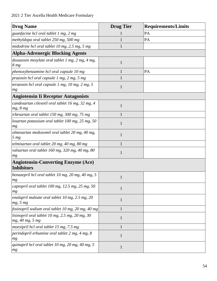| <b>Drug Name</b>                                                           | <b>Drug Tier</b> | <b>Requirements/Limits</b> |
|----------------------------------------------------------------------------|------------------|----------------------------|
| guanfacine hcl oral tablet 1 mg, 2 mg                                      |                  | PA                         |
| methyldopa oral tablet 250 mg, 500 mg                                      | 1                | PA                         |
| midodrine hcl oral tablet 10 mg, 2.5 mg, 5 mg                              |                  |                            |
| <b>Alpha-Adrenergic Blocking Agents</b>                                    |                  |                            |
| doxazosin mesylate oral tablet 1 mg, 2 mg, 4 mg,<br>8 <sub>mg</sub>        | $\mathbf{1}$     |                            |
| phenoxybenzamine hcl oral capsule 10 mg                                    |                  | PA                         |
| prazosin hcl oral capsule 1 mg, 2 mg, 5 mg                                 | 1                |                            |
| terazosin hcl oral capsule 1 mg, 10 mg, 2 mg, 5<br>mg                      | $\mathbf{1}$     |                            |
| <b>Angiotensin Ii Receptor Antagonists</b>                                 |                  |                            |
| candesartan cilexetil oral tablet 16 mg, 32 mg, 4<br>mg, 8 mg              | $\mathbf{1}$     |                            |
| irbesartan oral tablet 150 mg, 300 mg, 75 mg                               |                  |                            |
| losartan potassium oral tablet 100 mg, 25 mg, 50<br>mg                     | $\mathbf{1}$     |                            |
| olmesartan medoxomil oral tablet 20 mg, 40 mg,<br>5 <sub>mg</sub>          | $\mathbf{1}$     |                            |
| telmisartan oral tablet 20 mg, 40 mg, 80 mg                                |                  |                            |
| valsartan oral tablet 160 mg, 320 mg, 40 mg, 80<br>mg                      | $\mathbf{1}$     |                            |
| <b>Angiotensin-Converting Enzyme (Ace)</b><br><b>Inhibitors</b>            |                  |                            |
|                                                                            |                  |                            |
| benazepril hcl oral tablet 10 mg, 20 mg, 40 mg, 5<br>mg                    | $\mathbf{1}$     |                            |
| captopril oral tablet 100 mg, 12.5 mg, 25 mg, 50<br>mg                     | $\mathbf{1}$     |                            |
| enalapril maleate oral tablet 10 mg, 2.5 mg, 20<br>mg, 5 mg                | $\mathbf{1}$     |                            |
| fosinopril sodium oral tablet 10 mg, 20 mg, 40 mg                          | $\mathbf{1}$     |                            |
| lisinopril oral tablet $10$ mg, $2.5$ mg, $20$ mg, $30$<br>mg, 40 mg, 5 mg | $\mathbf{1}$     |                            |
| moexipril hcl oral tablet 15 mg, 7.5 mg                                    |                  |                            |
| perindopril erbumine oral tablet 2 mg, 4 mg, 8<br>mg                       | $\mathbf{1}$     |                            |
| quinapril hcl oral tablet 10 mg, 20 mg, 40 mg, 5<br>mg                     | $\mathbf{1}$     |                            |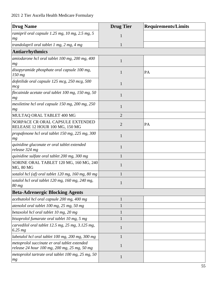| <b>Drug Name</b>                                                                             | <b>Drug Tier</b> | <b>Requirements/Limits</b> |
|----------------------------------------------------------------------------------------------|------------------|----------------------------|
| ramipril oral capsule 1.25 mg, 10 mg, 2.5 mg, 5<br>mg                                        | 1                |                            |
| trandolapril oral tablet 1 mg, 2 mg, 4 mg                                                    | $\mathbf{1}$     |                            |
| <b>Antiarrhythmics</b>                                                                       |                  |                            |
| amiodarone hcl oral tablet 100 mg, 200 mg, 400<br>mg                                         | $\mathbf{1}$     |                            |
| disopyramide phosphate oral capsule 100 mg,<br>$150$ mg                                      | $\mathbf{1}$     | PA                         |
| dofetilide oral capsule 125 mcg, 250 mcg, 500<br>mcg                                         | $\mathbf{1}$     |                            |
| flecainide acetate oral tablet $100$ mg, $150$ mg, $50$<br>mg                                | $\mathbf{1}$     |                            |
| mexiletine hcl oral capsule 150 mg, 200 mg, 250<br>mg                                        | $\mathbf{1}$     |                            |
| MULTAQ ORAL TABLET 400 MG                                                                    | $\overline{2}$   |                            |
| NORPACE CR ORAL CAPSULE EXTENDED<br>RELEASE 12 HOUR 100 MG, 150 MG                           | $\overline{2}$   | PA                         |
| propafenone hcl oral tablet 150 mg, 225 mg, 300<br>mg                                        | $\mathbf{1}$     |                            |
| quinidine gluconate er oral tablet extended<br>release 324 mg                                | 1                |                            |
| quinidine sulfate oral tablet 200 mg, 300 mg                                                 |                  |                            |
| SORINE ORAL TABLET 120 MG, 160 MG, 240<br><b>MG, 80 MG</b>                                   | 1                |                            |
| sotalol hcl (af) oral tablet 120 mg, 160 mg, 80 mg                                           | 1                |                            |
| sotalol hcl oral tablet 120 mg, 160 mg, 240 mg,<br>80 mg                                     | 1                |                            |
| <b>Beta-Adrenergic Blocking Agents</b>                                                       |                  |                            |
| acebutolol hcl oral capsule 200 mg, 400 mg                                                   | 1                |                            |
| atenolol oral tablet 100 mg, 25 mg, 50 mg                                                    |                  |                            |
| betaxolol hcl oral tablet 10 mg, 20 mg                                                       | 1                |                            |
| bisoprolol fumarate oral tablet 10 mg, 5 mg                                                  |                  |                            |
| carvedilol oral tablet $12.5$ mg, $25$ mg, $3.125$ mg,<br>$6.25$ mg                          | $\mathbf{1}$     |                            |
| labetalol hcl oral tablet 100 mg, 200 mg, 300 mg                                             | $\mathbf{1}$     |                            |
| metoprolol succinate er oral tablet extended<br>release 24 hour 100 mg, 200 mg, 25 mg, 50 mg | $\mathbf{1}$     |                            |
| metoprolol tartrate oral tablet 100 mg, 25 mg, 50<br>mg                                      | $\mathbf{1}$     |                            |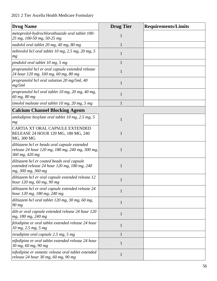| <b>Drug Name</b>                                                                                                  | <b>Drug Tier</b> | <b>Requirements/Limits</b> |
|-------------------------------------------------------------------------------------------------------------------|------------------|----------------------------|
| metoprolol-hydrochlorothiazide oral tablet 100-<br>25 mg, 100-50 mg, 50-25 mg                                     | 1                |                            |
| nadolol oral tablet 20 mg, 40 mg, 80 mg                                                                           | 1                |                            |
| nebivolol hcl oral tablet 10 mg, 2.5 mg, 20 mg, 5<br>mg                                                           | 1                |                            |
| pindolol oral tablet 10 mg, 5 mg                                                                                  | 1                |                            |
| propranolol hcl er oral capsule extended release<br>24 hour 120 mg, 160 mg, 60 mg, 80 mg                          | $\mathbf{1}$     |                            |
| propranolol hcl oral solution 20 mg/5ml, 40<br>mg/5ml                                                             | $\mathbf{1}$     |                            |
| propranolol hcl oral tablet 10 mg, 20 mg, 40 mg,<br>60 mg, 80 mg                                                  | $\mathbf{1}$     |                            |
| timolol maleate oral tablet 10 mg, 20 mg, 5 mg                                                                    | $\mathbf{1}$     |                            |
| <b>Calcium Channel Blocking Agents</b>                                                                            |                  |                            |
| amlodipine besylate oral tablet 10 mg, 2.5 mg, 5<br>mg                                                            | $\mathbf{1}$     |                            |
| CARTIA XT ORAL CAPSULE EXTENDED<br>RELEASE 24 HOUR 120 MG, 180 MG, 240<br>MG, 300 MG                              | 1                |                            |
| diltiazem hcl er beads oral capsule extended<br>release 24 hour 120 mg, 180 mg, 240 mg, 300 mg,<br>360 mg, 420 mg | 1                |                            |
| diltiazem hcl er coated beads oral capsule<br>extended release 24 hour 120 mg, 180 mg, 240<br>mg, 300 mg, 360 mg  | 1                |                            |
| diltiazem hcl er oral capsule extended release 12<br>hour 120 mg, 60 mg, 90 mg                                    |                  |                            |
| diltiazem hcl er oral capsule extended release 24<br>hour 120 mg, 180 mg, 240 mg                                  | 1                |                            |
| diltiazem hcl oral tablet 120 mg, 30 mg, 60 mg,<br>90 mg                                                          | $\mathbf{1}$     |                            |
| dilt-xr oral capsule extended release 24 hour 120<br>mg, 180 mg, 240 mg                                           | $\mathbf{1}$     |                            |
| felodipine er oral tablet extended release 24 hour<br>10 mg, 2.5 mg, 5 mg                                         | $\mathbf{1}$     |                            |
| isradipine oral capsule $2.5$ mg, $5$ mg                                                                          | $\mathbf{1}$     |                            |
| nifedipine er oral tablet extended release 24 hour<br>30 mg, 60 mg, 90 mg                                         | 1                |                            |
| nifedipine er osmotic release oral tablet extended<br>release 24 hour 30 mg, 60 mg, 90 mg                         | $\mathbf{1}$     |                            |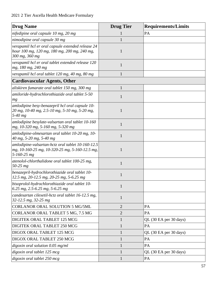| <b>Drug Name</b>                                                                                                         | <b>Drug Tier</b> | <b>Requirements/Limits</b> |
|--------------------------------------------------------------------------------------------------------------------------|------------------|----------------------------|
| nifedipine oral capsule 10 mg, 20 mg                                                                                     |                  | PA                         |
| nimodipine oral capsule 30 mg                                                                                            |                  |                            |
| verapamil hcl er oral capsule extended release 24<br>hour 100 mg, 120 mg, 180 mg, 200 mg, 240 mg,<br>300 mg, 360 mg      | 1                |                            |
| verapamil hcl er oral tablet extended release 120<br>mg, 180 mg, 240 mg                                                  | $\mathbf{1}$     |                            |
| verapamil hcl oral tablet 120 mg, 40 mg, 80 mg                                                                           | 1                |                            |
| <b>Cardiovascular Agents, Other</b>                                                                                      |                  |                            |
| aliskiren fumarate oral tablet 150 mg, 300 mg                                                                            | 1                |                            |
| amiloride-hydrochlorothiazide oral tablet 5-50<br>mg                                                                     | 1                |                            |
| amlodipine besy-benazepril hcl oral capsule 10-<br>20 mg, 10-40 mg, 2.5-10 mg, 5-10 mg, 5-20 mg,<br>$5-40$ mg            | 1                |                            |
| amlodipine besylate-valsartan oral tablet 10-160<br>mg, 10-320 mg, 5-160 mg, 5-320 mg                                    | $\mathbf{1}$     |                            |
| amlodipine-olmesartan oral tablet 10-20 mg, 10-<br>40 mg, 5-20 mg, 5-40 mg                                               |                  |                            |
| amlodipine-valsartan-hctz oral tablet 10-160-12.5<br>mg, 10-160-25 mg, 10-320-25 mg, 5-160-12.5 mg,<br>$5 - 160 - 25$ mg | 1                |                            |
| atenolol-chlorthalidone oral tablet 100-25 mg,<br>$50 - 25$ mg                                                           | 1                |                            |
| benazepril-hydrochlorothiazide oral tablet 10-<br>12.5 mg, 20-12.5 mg, 20-25 mg, 5-6.25 mg                               | 1                |                            |
| bisoprolol-hydrochlorothiazide oral tablet 10-<br>6.25 mg, 2.5-6.25 mg, 5-6.25 mg                                        | $\mathbf{1}$     |                            |
| candesartan cilexetil-hctz oral tablet 16-12.5 mg,<br>32-12.5 mg, 32-25 mg                                               | 1                |                            |
| <b>CORLANOR ORAL SOLUTION 5 MG/5ML</b>                                                                                   | $\overline{2}$   | PA                         |
| CORLANOR ORAL TABLET 5 MG, 7.5 MG                                                                                        | $\overline{2}$   | PA                         |
| DIGITEK ORAL TABLET 125 MCG                                                                                              | $\mathbf{1}$     | QL (30 EA per 30 days)     |
| DIGITEK ORAL TABLET 250 MCG                                                                                              | $\mathbf{1}$     | PA                         |
| DIGOX ORAL TABLET 125 MCG                                                                                                | $\mathbf{1}$     | QL (30 EA per 30 days)     |
| DIGOX ORAL TABLET 250 MCG                                                                                                | $\mathbf{1}$     | PA                         |
| digoxin oral solution $0.05$ mg/ml                                                                                       | $\mathbf{1}$     | PA                         |
| digoxin oral tablet 125 mcg                                                                                              | 1                | QL (30 EA per 30 days)     |
| digoxin oral tablet 250 mcg                                                                                              | $\mathbf{1}$     | PA                         |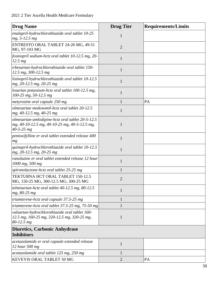| <b>Drug Name</b>                                                                                                      | <b>Drug Tier</b> | <b>Requirements/Limits</b> |
|-----------------------------------------------------------------------------------------------------------------------|------------------|----------------------------|
| enalapril-hydrochlorothiazide oral tablet 10-25<br>$mg, 5-12.5 mg$                                                    | $\mathbf{1}$     |                            |
| ENTRESTO ORAL TABLET 24-26 MG, 49-51<br>MG, 97-103 MG                                                                 | $\overline{2}$   |                            |
| fosinopril sodium-hctz oral tablet 10-12.5 mg, 20-<br>$12.5$ mg                                                       | 1                |                            |
| irbesartan-hydrochlorothiazide oral tablet 150-<br>12.5 mg, 300-12.5 mg                                               | $\mathbf{1}$     |                            |
| lisinopril-hydrochlorothiazide oral tablet 10-12.5<br>mg, 20-12.5 mg, 20-25 mg                                        | $\mathbf{1}$     |                            |
| losartan potassium-hctz oral tablet 100-12.5 mg,<br>100-25 mg, 50-12.5 mg                                             | 1                |                            |
| metyrosine oral capsule 250 mg                                                                                        |                  | PA                         |
| olmesartan medoxomil-hctz oral tablet 20-12.5<br>mg, 40-12.5 mg, 40-25 mg                                             | 1                |                            |
| olmesartan-amlodipine-hctz oral tablet 20-5-12.5<br>mg, 40-10-12.5 mg, 40-10-25 mg, 40-5-12.5 mg,<br>$40 - 5 - 25$ mg | 1                |                            |
| pentoxifylline er oral tablet extended release 400<br>mg                                                              | 1                |                            |
| quinapril-hydrochlorothiazide oral tablet 10-12.5<br>$mg, 20-12.5 mg, 20-25 mg$                                       | $\mathbf{1}$     |                            |
| ranolazine er oral tablet extended release 12 hour<br>1000 mg, 500 mg                                                 | 1                |                            |
| spironolactone-hctz oral tablet 25-25 mg                                                                              |                  |                            |
| <b>TEKTURNA HCT ORAL TABLET 150-12.5</b><br>MG, 150-25 MG, 300-12.5 MG, 300-25 MG                                     | $\overline{2}$   |                            |
| telmisartan-hctz oral tablet $40-12.5$ mg, $80-12.5$<br>mg, 80-25 mg                                                  | 1                |                            |
| triamterene-hctz oral capsule 37.5-25 mg                                                                              |                  |                            |
| triamterene-hctz oral tablet $37.5$ -25 mg, $75$ -50 mg                                                               |                  |                            |
| valsartan-hydrochlorothiazide oral tablet 160-<br>12.5 mg, 160-25 mg, 320-12.5 mg, 320-25 mg,<br>$80 - 12.5$ mg       | 1                |                            |
| Diuretics, Carbonic Anhydrase<br><b>Inhibitors</b>                                                                    |                  |                            |
| acetazolamide er oral capsule extended release<br>12 hour 500 mg                                                      | $\mathbf{1}$     |                            |
| acetazolamide oral tablet 125 mg, 250 mg                                                                              |                  |                            |
| KEVEYIS ORAL TABLET 50 MG                                                                                             | 2                | PA                         |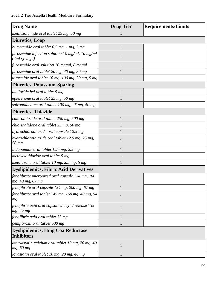| <b>Drug Name</b>                                                    | <b>Drug Tier</b> | <b>Requirements/Limits</b> |
|---------------------------------------------------------------------|------------------|----------------------------|
| methazolamide oral tablet 25 mg, 50 mg                              |                  |                            |
| <b>Diuretics, Loop</b>                                              |                  |                            |
| bumetanide oral tablet 0.5 mg, 1 mg, 2 mg                           | $\mathbf{1}$     |                            |
| furosemide injection solution 10 mg/ml, 10 mg/ml<br>(4ml syringe)   | 1                |                            |
| furosemide oral solution 10 mg/ml, 8 mg/ml                          |                  |                            |
| furosemide oral tablet 20 mg, 40 mg, 80 mg                          |                  |                            |
| torsemide oral tablet 10 mg, 100 mg, 20 mg, 5 mg                    | 1                |                            |
| <b>Diuretics, Potassium-Sparing</b>                                 |                  |                            |
| amiloride hcl oral tablet 5 mg                                      | 1                |                            |
| eplerenone oral tablet 25 mg, 50 mg                                 |                  |                            |
| spironolactone oral tablet 100 mg, 25 mg, 50 mg                     |                  |                            |
| <b>Diuretics, Thiazide</b>                                          |                  |                            |
| chlorothiazide oral tablet 250 mg, 500 mg                           | 1                |                            |
| chlorthalidone oral tablet 25 mg, 50 mg                             |                  |                            |
| hydrochlorothiazide oral capsule 12.5 mg                            |                  |                            |
| hydrochlorothiazide oral tablet 12.5 mg, 25 mg,<br>50 mg            | 1                |                            |
| indapamide oral tablet 1.25 mg, 2.5 mg                              | 1                |                            |
| methyclothiazide oral tablet 5 mg                                   |                  |                            |
| metolazone oral tablet 10 mg, 2.5 mg, 5 mg                          | 1                |                            |
| <b>Dyslipidemics, Fibric Acid Derivatives</b>                       |                  |                            |
| fenofibrate micronized oral capsule 134 mg, 200<br>mg, 43 mg, 67 mg | $\mathbf{1}$     |                            |
| fenofibrate oral capsule 134 mg, 200 mg, 67 mg                      | 1                |                            |
| fenofibrate oral tablet 145 mg, 160 mg, 48 mg, 54<br>mg             | $\mathbf{1}$     |                            |
| fenofibric acid oral capsule delayed release 135<br>mg, 45 mg       | $\mathbf{1}$     |                            |
| fenofibric acid oral tablet 35 mg                                   | $\mathbf{1}$     |                            |
| gemfibrozil oral tablet 600 mg                                      | $\mathbf{1}$     |                            |
| <b>Dyslipidemics, Hmg Coa Reductase</b><br>Inhibitors               |                  |                            |
| atorvastatin calcium oral tablet 10 mg, $20$ mg, $40$<br>mg, 80 mg  | $\mathbf{1}$     |                            |
| lovastatin oral tablet 10 mg, 20 mg, 40 mg                          | $\mathbf{1}$     |                            |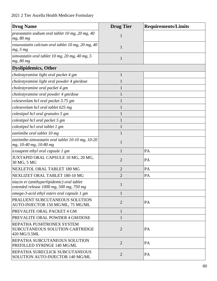| <b>Drug Name</b>                                                                       | <b>Drug Tier</b> | <b>Requirements/Limits</b> |
|----------------------------------------------------------------------------------------|------------------|----------------------------|
| pravastatin sodium oral tablet 10 mg, 20 mg, 40<br>mg, 80 mg                           | 1                |                            |
| rosuvastatin calcium oral tablet 10 mg, 20 mg, 40<br>mg, 5 mg                          | 1                |                            |
| simvastatin oral tablet 10 mg, 20 mg, 40 mg, 5<br>mg, 80 mg                            | 1                |                            |
| <b>Dyslipidemics, Other</b>                                                            |                  |                            |
| cholestyramine light oral packet 4 gm                                                  | $\mathbf{1}$     |                            |
| cholestyramine light oral powder 4 gm/dose                                             |                  |                            |
| cholestyramine oral packet 4 gm                                                        |                  |                            |
| cholestyramine oral powder 4 gm/dose                                                   |                  |                            |
| colesevelam hcl oral packet 3.75 gm                                                    |                  |                            |
| colesevelam hcl oral tablet 625 mg                                                     |                  |                            |
| colestipol hcl oral granules 5 gm                                                      |                  |                            |
| colestipol hcl oral packet 5 gm                                                        |                  |                            |
| colestipol hcl oral tablet 1 gm                                                        |                  |                            |
| ezetimibe oral tablet 10 mg                                                            |                  |                            |
| ezetimibe-simvastatin oral tablet 10-10 mg, 10-20<br>mg, 10-40 mg, 10-80 mg            | 1                |                            |
| icosapent ethyl oral capsule 1 gm                                                      | 1                | PA                         |
| JUXTAPID ORAL CAPSULE 10 MG, 20 MG,<br>30 MG, 5 MG                                     | $\overline{2}$   | PA                         |
| NEXLETOL ORAL TABLET 180 MG                                                            | $\overline{2}$   | PA                         |
| NEXLIZET ORAL TABLET 180-10 MG                                                         | $\overline{2}$   | PA                         |
| niacin er (antihyperlipidemic) oral tablet<br>extended release 1000 mg, 500 mg, 750 mg | 1                |                            |
| omega-3-acid ethyl esters oral capsule 1 gm                                            | 1                |                            |
| PRALUENT SUBCUTANEOUS SOLUTION<br>AUTO-INJECTOR 150 MG/ML, 75 MG/ML                    | $\overline{2}$   | PA                         |
| PREVALITE ORAL PACKET 4 GM                                                             | $\mathbf{1}$     |                            |
| PREVALITE ORAL POWDER 4 GM/DOSE                                                        | 1                |                            |
| REPATHA PUSHTRONEX SYSTEM<br><b>SUBCUTANEOUS SOLUTION CARTRIDGE</b><br>420 MG/3.5ML    | $\overline{2}$   | PA                         |
| REPATHA SUBCUTANEOUS SOLUTION<br>PREFILLED SYRINGE 140 MG/ML                           | $\overline{2}$   | PA                         |
| REPATHA SURECLICK SUBCUTANEOUS<br>SOLUTION AUTO-INJECTOR 140 MG/ML                     | $\overline{2}$   | PA                         |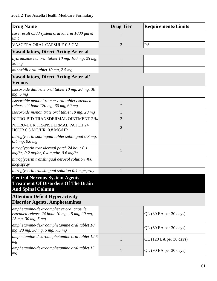| <b>Drug Name</b>                                                                                                                                           | <b>Drug Tier</b> | <b>Requirements/Limits</b> |
|------------------------------------------------------------------------------------------------------------------------------------------------------------|------------------|----------------------------|
| sure result $\alpha$ 3d3 system oral kit 1 & 1000 gm &<br>unit                                                                                             | 1                |                            |
| VASCEPA ORAL CAPSULE 0.5 GM                                                                                                                                | $\overline{2}$   | PA                         |
| <b>Vasodilators, Direct-Acting Arterial</b>                                                                                                                |                  |                            |
| hydralazine hcl oral tablet 10 mg, 100 mg, 25 mg,<br>50 mg                                                                                                 | $\mathbf{1}$     |                            |
| minoxidil oral tablet 10 mg, 2.5 mg                                                                                                                        | 1                |                            |
| <b>Vasodilators, Direct-Acting Arterial/</b><br><b>Venous</b>                                                                                              |                  |                            |
| isosorbide dinitrate oral tablet 10 mg, 20 mg, 30<br>mg, 5 mg                                                                                              | $\mathbf{1}$     |                            |
| isosorbide mononitrate er oral tablet extended<br>release 24 hour 120 mg, 30 mg, 60 mg                                                                     | $\mathbf{1}$     |                            |
| isosorbide mononitrate oral tablet 10 mg, 20 mg                                                                                                            | 1                |                            |
| NITRO-BID TRANSDERMAL OINTMENT 2 %                                                                                                                         | 2                |                            |
| NITRO-DUR TRANSDERMAL PATCH 24<br>HOUR 0.3 MG/HR, 0.8 MG/HR                                                                                                | $\overline{2}$   |                            |
| nitroglycerin sublingual tablet sublingual 0.3 mg,<br>$0.4$ mg, 0.6 mg                                                                                     | 1                |                            |
| nitroglycerin transdermal patch 24 hour 0.1<br>mg/hr, $0.2$ mg/hr, $0.4$ mg/hr, $0.6$ mg/hr                                                                | $\mathbf{1}$     |                            |
| nitroglycerin translingual aerosol solution 400<br>mcg/spray                                                                                               | 1                |                            |
| nitroglycerin translingual solution 0.4 mg/spray                                                                                                           | 1                |                            |
| <b>Central Nervous System Agents -</b><br><b>Treatment Of Disorders Of The Brain</b><br><b>And Spinal Column</b><br><b>Attention Deficit Hyperactivity</b> |                  |                            |
| <b>Disorder Agents, Amphetamines</b>                                                                                                                       |                  |                            |
| amphetamine-dextroamphet er oral capsule<br>extended release 24 hour 10 mg, 15 mg, 20 mg,<br>25 mg, 30 mg, 5 mg                                            | $\mathbf{1}$     | QL (30 EA per 30 days)     |
| amphetamine-dextroamphetamine oral tablet 10<br>mg, 20 mg, 30 mg, 5 mg, 7.5 mg                                                                             | $\mathbf{1}$     | QL (60 EA per 30 days)     |
| amphetamine-dextroamphetamine oral tablet 12.5<br>mg                                                                                                       | $\mathbf{1}$     | QL (120 EA per 30 days)    |
| amphetamine-dextroamphetamine oral tablet 15<br>mg                                                                                                         | $\mathbf{1}$     | QL (90 EA per 30 days)     |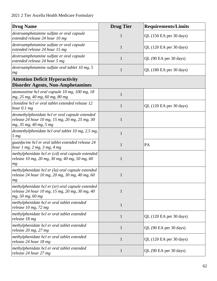| <b>Drug Name</b>                                                                                                            | <b>Drug Tier</b> | <b>Requirements/Limits</b> |
|-----------------------------------------------------------------------------------------------------------------------------|------------------|----------------------------|
| dextroamphetamine sulfate er oral capsule<br>extended release 24 hour 10 mg                                                 | $\mathbf{1}$     | QL (150 EA per 30 days)    |
| dextroamphetamine sulfate er oral capsule<br>extended release 24 hour 15 mg                                                 | $\mathbf{1}$     | QL (120 EA per 30 days)    |
| dextroamphetamine sulfate er oral capsule<br>extended release 24 hour 5 mg                                                  | $\mathbf{1}$     | QL (90 EA per 30 days)     |
| dextroamphetamine sulfate oral tablet 10 mg, 5<br>mg                                                                        | $\mathbf{1}$     | QL (180 EA per 30 days)    |
| <b>Attention Deficit Hyperactivity</b><br><b>Disorder Agents, Non-Amphetamines</b>                                          |                  |                            |
| atomoxetine hcl oral capsule 10 mg, 100 mg, 18<br>mg, 25 mg, 40 mg, 60 mg, 80 mg                                            | $\mathbf{1}$     |                            |
| clonidine hcl er oral tablet extended release 12<br>hour $0.1$ mg                                                           | $\mathbf{1}$     | QL (120 EA per 30 days)    |
| dexmethylphenidate hcl er oral capsule extended<br>release 24 hour 10 mg, 15 mg, 20 mg, 25 mg, 30<br>mg, 35 mg, 40 mg, 5 mg | $\mathbf{1}$     |                            |
| dexmethylphenidate hcl oral tablet 10 mg, 2.5 mg,<br>5 <sub>mg</sub>                                                        | $\mathbf{1}$     |                            |
| guanfacine hcl er oral tablet extended release 24<br>hour $1$ mg, $2$ mg, $3$ mg, $4$ mg                                    | $\mathbf{1}$     | PA                         |
| methylphenidate hcl er (cd) oral capsule extended<br>release 10 mg, 20 mg, 30 mg, 40 mg, 50 mg, 60<br>mg                    | $\mathbf{1}$     |                            |
| methylphenidate hcl er (la) oral capsule extended<br>release 24 hour 10 mg, 20 mg, 30 mg, 40 mg, 60<br>mg                   | $\mathbf{1}$     |                            |
| methylphenidate hcl er $(xr)$ oral capsule extended<br>release 24 hour 10 mg, 15 mg, 20 mg, 30 mg, 40<br>mg, 50 mg, 60 mg   | $\mathbf{1}$     |                            |
| methylphenidate hcl er oral tablet extended<br>release 10 mg, 72 mg                                                         | $\mathbf{1}$     |                            |
| methylphenidate hcl er oral tablet extended<br>release 18 mg                                                                | $\mathbf{1}$     | QL (120 EA per 30 days)    |
| methylphenidate hcl er oral tablet extended<br>release 20 mg, 27 mg                                                         | $\mathbf{1}$     | QL (90 EA per 30 days)     |
| methylphenidate hcl er oral tablet extended<br>release 24 hour 18 mg                                                        | $\mathbf{1}$     | QL (120 EA per 30 days)    |
| methylphenidate hcl er oral tablet extended<br>release 24 hour 27 mg                                                        | $\mathbf{1}$     | QL (90 EA per 30 days)     |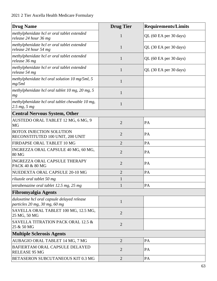| <b>Drug Name</b>                                                             | <b>Drug Tier</b> | <b>Requirements/Limits</b> |
|------------------------------------------------------------------------------|------------------|----------------------------|
| methylphenidate hcl er oral tablet extended<br>release 24 hour 36 mg         | $\mathbf{1}$     | QL (60 EA per 30 days)     |
| methylphenidate hcl er oral tablet extended<br>release 24 hour 54 mg         | $\mathbf{1}$     | QL (30 EA per 30 days)     |
| methylphenidate hcl er oral tablet extended<br>release 36 mg                 | $\mathbf{1}$     | QL (60 EA per 30 days)     |
| methylphenidate hcl er oral tablet extended<br>release 54 mg                 | $\mathbf{1}$     | QL (30 EA per 30 days)     |
| methylphenidate hcl oral solution 10 mg/5ml, 5<br>mg/5ml                     | $\mathbf{1}$     |                            |
| methylphenidate hcl oral tablet 10 mg, 20 mg, 5<br>mg                        | $\mathbf{1}$     |                            |
| methylphenidate hcl oral tablet chewable 10 mg,<br>$2.5 \, mg, 5 \, mg$      | $\mathbf{1}$     |                            |
| <b>Central Nervous System, Other</b>                                         |                  |                            |
| AUSTEDO ORAL TABLET 12 MG, 6 MG, 9<br><b>MG</b>                              | $\overline{2}$   | PA                         |
| <b>BOTOX INJECTION SOLUTION</b><br>RECONSTITUTED 100 UNIT, 200 UNIT          | $\overline{2}$   | PA                         |
| FIRDAPSE ORAL TABLET 10 MG                                                   | $\overline{2}$   | PA                         |
| INGREZZA ORAL CAPSULE 40 MG, 60 MG,<br><b>80 MG</b>                          | $\overline{2}$   | PA                         |
| <b>INGREZZA ORAL CAPSULE THERAPY</b><br>PACK 40 & 80 MG                      | $\overline{2}$   | PA                         |
| NUEDEXTA ORAL CAPSULE 20-10 MG                                               | $\overline{2}$   | PA                         |
| riluzole oral tablet 50 mg                                                   | $\mathbf{1}$     |                            |
| tetrabenazine oral tablet 12.5 mg, 25 mg                                     | $\mathbf{1}$     | PA                         |
| <b>Fibromyalgia Agents</b>                                                   |                  |                            |
| duloxetine hcl oral capsule delayed release<br>particles 20 mg, 30 mg, 60 mg | $\mathbf{1}$     |                            |
| SAVELLA ORAL TABLET 100 MG, 12.5 MG,<br>25 MG, 50 MG                         | $\overline{2}$   |                            |
| SAVELLA TITRATION PACK ORAL 12.5 &<br>25 & 50 MG                             | $\overline{2}$   |                            |
| <b>Multiple Sclerosis Agents</b>                                             |                  |                            |
| AUBAGIO ORAL TABLET 14 MG, 7 MG                                              | $\overline{c}$   | PA                         |
| BAFIERTAM ORAL CAPSULE DELAYED<br>RELEASE 95 MG                              | $\overline{2}$   | PA                         |
| BETASERON SUBCUTANEOUS KIT 0.3 MG                                            | $\overline{2}$   | PA                         |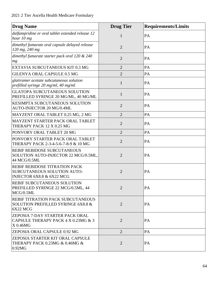| <b>Drug Name</b>                                                                           | <b>Drug Tier</b> | <b>Requirements/Limits</b> |
|--------------------------------------------------------------------------------------------|------------------|----------------------------|
| dalfampridine er oral tablet extended release 12<br>hour 10 mg                             | $\mathbf{1}$     | PA                         |
| dimethyl fumarate oral capsule delayed release<br>120 mg, 240 mg                           | $\overline{2}$   | PA                         |
| dimethyl fumarate starter pack oral 120 & 240<br>mg                                        | $\overline{2}$   | PA                         |
| EXTAVIA SUBCUTANEOUS KIT 0.3 MG                                                            | $\overline{2}$   | PA                         |
| <b>GILENYA ORAL CAPSULE 0.5 MG</b>                                                         | $\overline{2}$   | PA                         |
| glatiramer acetate subcutaneous solution<br>prefilled syringe 20 mg/ml, 40 mg/ml           | 1                | PA                         |
| <b>GLATOPA SUBCUTANEOUS SOLUTION</b><br>PREFILLED SYRINGE 20 MG/ML, 40 MG/ML               | $\mathbf{1}$     | PA                         |
| KESIMPTA SUBCUTANEOUS SOLUTION<br>AUTO-INJECTOR 20 MG/0.4ML                                | $\overline{2}$   | PA                         |
| MAYZENT ORAL TABLET 0.25 MG, 2 MG                                                          | $\overline{2}$   | PA                         |
| MAYZENT STARTER PACK ORAL TABLET<br>THERAPY PACK 12 X 0.25 MG                              | $\overline{2}$   | PA                         |
| PONVORY ORAL TABLET 20 MG                                                                  | $\overline{2}$   | PA                         |
| PONVORY STARTER PACK ORAL TABLET<br>THERAPY PACK 2-3-4-5-6-7-8-9 & 10 MG                   | $\overline{2}$   | PA                         |
| REBIF REBIDOSE SUBCUTANEOUS<br>SOLUTION AUTO-INJECTOR 22 MCG/0.5ML,<br>44 MCG/0.5ML        | $\overline{2}$   | PA                         |
| REBIF REBIDOSE TITRATION PACK<br>SUBCUTANEOUS SOLUTION AUTO-<br>INJECTOR 6X8.8 & 6X22 MCG  | $\overline{2}$   | PA                         |
| <b>REBIF SUBCUTANEOUS SOLUTION</b><br>PREFILLED SYRINGE 22 MCG/0.5ML, 44<br>MCG/0.5ML      | $\overline{2}$   | PA                         |
| <b>REBIF TITRATION PACK SUBCUTANEOUS</b><br>SOLUTION PREFILLED SYRINGE 6X8.8 &<br>6X22 MCG | $\overline{2}$   | PA                         |
| ZEPOSIA 7-DAY STARTER PACK ORAL<br>CAPSULE THERAPY PACK $4 \times 0.23$ MG & 3<br>X 0.46MG | $\overline{2}$   | PA                         |
| <b>ZEPOSIA ORAL CAPSULE 0.92 MG</b>                                                        | $\overline{2}$   | PA                         |
| <b>ZEPOSIA STARTER KIT ORAL CAPSULE</b><br>THERAPY PACK 0.23MG & 0.46MG &<br>0.92MG        | $\overline{2}$   | PA                         |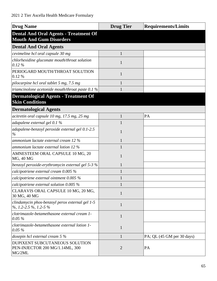| <b>Drug Name</b>                                                                    | <b>Drug Tier</b> | <b>Requirements/Limits</b> |
|-------------------------------------------------------------------------------------|------------------|----------------------------|
| <b>Dental And Oral Agents - Treatment Of</b><br><b>Mouth And Gum Disorders</b>      |                  |                            |
| <b>Dental And Oral Agents</b>                                                       |                  |                            |
| cevimeline hcl oral capsule 30 mg                                                   | $\mathbf{1}$     |                            |
| chlorhexidine gluconate mouth/throat solution<br>$0.12\%$                           | 1                |                            |
| PERIOGARD MOUTH/THROAT SOLUTION<br>0.12 %                                           | $\mathbf{1}$     |                            |
| pilocarpine hcl oral tablet 5 mg, 7.5 mg                                            | 1                |                            |
| triamcinolone acetonide mouth/throat paste $0.1\%$                                  |                  |                            |
| <b>Dermatological Agents - Treatment Of</b><br><b>Skin Conditions</b>               |                  |                            |
| <b>Dermatological Agents</b>                                                        |                  |                            |
| acitretin oral capsule 10 mg, 17.5 mg, 25 mg                                        | $\mathbf{1}$     | PA                         |
| adapalene external gel 0.1 %                                                        |                  |                            |
| adapalene-benzoyl peroxide external gel 0.1-2.5<br>$\%$                             | $\mathbf{1}$     |                            |
| ammonium lactate external cream 12 %                                                | 1                |                            |
| ammonium lactate external lotion 12 %                                               | 1                |                            |
| AMNESTEEM ORAL CAPSULE 10 MG, 20<br>MG, 40 MG                                       | 1                |                            |
| benzoyl peroxide-erythromycin external gel 5-3 %                                    | 1                |                            |
| calcipotriene external cream 0.005 %                                                | 1                |                            |
| calcipotriene external ointment 0.005 %                                             |                  |                            |
| calcipotriene external solution $0.005\%$                                           | $\mathbf{1}$     |                            |
| CLARAVIS ORAL CAPSULE 10 MG, 20 MG,<br>30 MG, 40 MG                                 | $\mathbf{1}$     |                            |
| clindamycin phos-benzoyl perox external gel 1-5<br>$\%$ , 1.2-2.5 $\%$ , 1.2-5 $\%$ | $\mathbf{1}$     |                            |
| clotrimazole-betamethasone external cream 1-<br>$0.05\%$                            | $\mathbf{1}$     |                            |
| clotrimazole-betamethasone external lotion 1-<br>$0.05\%$                           | $\mathbf{1}$     |                            |
| doxepin hcl external cream 5 %                                                      | 1                | PA; QL (45 GM per 30 days) |
| DUPIXENT SUBCUTANEOUS SOLUTION<br>PEN-INJECTOR 200 MG/1.14ML, 300<br>MG/2ML         | $\overline{2}$   | PA                         |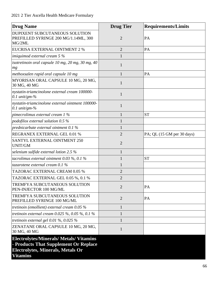| <b>Drug Name</b>                                                                                                                                       | <b>Drug Tier</b> | <b>Requirements/Limits</b>    |
|--------------------------------------------------------------------------------------------------------------------------------------------------------|------------------|-------------------------------|
| <b>DUPIXENT SUBCUTANEOUS SOLUTION</b><br>PREFILLED SYRINGE 200 MG/1.14ML, 300<br>MG/2ML                                                                | $\overline{2}$   | PA                            |
| <b>EUCRISA EXTERNAL OINTMENT 2 %</b>                                                                                                                   | $\overline{2}$   | PA                            |
| imiquimod external cream $5%$                                                                                                                          | 1                |                               |
| isotretinoin oral capsule 10 mg, 20 mg, 30 mg, 40<br>mg                                                                                                | $\mathbf{1}$     |                               |
| methoxsalen rapid oral capsule 10 mg                                                                                                                   | 1                | PA                            |
| MYORISAN ORAL CAPSULE 10 MG, 20 MG,<br>30 MG, 40 MG                                                                                                    | 1                |                               |
| nystatin-triamcinolone external cream 100000-<br>$0.1$ unit/gm-%                                                                                       | $\mathbf{1}$     |                               |
| nystatin-triamcinolone external ointment 100000-<br>$0.1$ unit/gm-%                                                                                    | 1                |                               |
| pimecrolimus external cream 1 %                                                                                                                        | 1                | <b>ST</b>                     |
| podofilox external solution $0.5\%$                                                                                                                    |                  |                               |
| prednicarbate external ointment 0.1 %                                                                                                                  |                  |                               |
| REGRANEX EXTERNAL GEL 0.01 %                                                                                                                           | $\overline{2}$   | $PA$ ; QL (15 GM per 30 days) |
| SANTYL EXTERNAL OINTMENT 250<br><b>UNIT/GM</b>                                                                                                         | $\overline{2}$   |                               |
| selenium sulfide external lotion 2.5 $\%$                                                                                                              | $\mathbf{1}$     |                               |
| tacrolimus external ointment 0.03 $\%$ , 0.1 $\%$                                                                                                      | 1                | <b>ST</b>                     |
| tazarotene external cream $0.1\%$                                                                                                                      | 1                |                               |
| <b>TAZORAC EXTERNAL CREAM 0.05 %</b>                                                                                                                   | $\overline{2}$   |                               |
| TAZORAC EXTERNAL GEL 0.05 %, 0.1 %                                                                                                                     | $\overline{2}$   |                               |
| TREMFYA SUBCUTANEOUS SOLUTION<br>PEN-INJECTOR 100 MG/ML                                                                                                | 2                | PA                            |
| TREMFYA SUBCUTANEOUS SOLUTION<br>PREFILLED SYRINGE 100 MG/ML                                                                                           | $\overline{2}$   | PA                            |
| tretinoin (emollient) external cream $0.05\%$                                                                                                          | $\mathbf{1}$     |                               |
| tretinoin external cream $0.025\%$ , $0.05\%$ , $0.1\%$                                                                                                | 1                |                               |
| tretinoin external gel $0.01\%$ , $0.025\%$                                                                                                            | $\mathbf{1}$     |                               |
| ZENATANE ORAL CAPSULE 10 MG, 20 MG,<br>30 MG, 40 MG                                                                                                    | 1                |                               |
| <b>Electrolytes/Minerals/ Metals/ Vitamins</b><br>- Products That Supplement Or Replace<br><b>Electrolytes, Minerals, Metals Or</b><br><b>Vitamins</b> |                  |                               |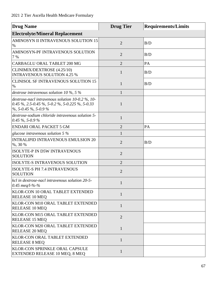| <b>Drug Name</b>                                                                                                                    | <b>Drug Tier</b> | <b>Requirements/Limits</b> |
|-------------------------------------------------------------------------------------------------------------------------------------|------------------|----------------------------|
| <b>Electrolyte/Mineral Replacement</b>                                                                                              |                  |                            |
| AMINOSYN II INTRAVENOUS SOLUTION 15<br>$\%$                                                                                         | $\overline{2}$   | B/D                        |
| AMINOSYN-PF INTRAVENOUS SOLUTION<br>7 %                                                                                             | $\overline{2}$   | B/D                        |
| CARBAGLU ORAL TABLET 200 MG                                                                                                         | $\overline{2}$   | PA                         |
| CLINIMIX/DEXTROSE (4.25/10)<br><b>INTRAVENOUS SOLUTION 4.25 %</b>                                                                   | $\mathbf{1}$     | B/D                        |
| <b>CLINISOL SF INTRAVENOUS SOLUTION 15</b><br>$\%$                                                                                  | 1                | B/D                        |
| dextrose intravenous solution 10 $\%$ , 5 $\%$                                                                                      |                  |                            |
| dextrose-nacl intravenous solution $10-0.2\%$ , $10-$<br>0.45 %, 2.5-0.45 %, 5-0.2 %, 5-0.225 %, 5-0.33<br>$\%$ , 5-0.45 %, 5-0.9 % | 1                |                            |
| dextrose-sodium chloride intravenous solution 5-<br>$0.45\%$ , 5-0.9%                                                               | $\mathbf{1}$     |                            |
| <b>ENDARI ORAL PACKET 5 GM</b>                                                                                                      | $\overline{2}$   | PA                         |
| glucose intravenous solution $5\%$                                                                                                  | $\mathbf{1}$     |                            |
| <b>INTRALIPID INTRAVENOUS EMULSION 20</b><br>%, 30 %                                                                                | $\overline{2}$   | B/D                        |
| <b>ISOLYTE-P IN D5W INTRAVENOUS</b><br><b>SOLUTION</b>                                                                              | $\overline{2}$   |                            |
| ISOLYTE-S INTRAVENOUS SOLUTION                                                                                                      | $\overline{2}$   |                            |
| ISOLYTE-S PH 7.4 INTRAVENOUS<br><b>SOLUTION</b>                                                                                     | $\overline{2}$   |                            |
| kcl in dextrose-nacl intravenous solution 20-5-<br>0.45 meg/l-%-%                                                                   |                  |                            |
| KLOR-CON 10 ORAL TABLET EXTENDED<br><b>RELEASE 10 MEQ</b>                                                                           | 1                |                            |
| <b>KLOR-CON M10 ORAL TABLET EXTENDED</b><br><b>RELEASE 10 MEQ</b>                                                                   | $\mathbf{1}$     |                            |
| <b>KLOR-CON M15 ORAL TABLET EXTENDED</b><br><b>RELEASE 15 MEQ</b>                                                                   | $\overline{2}$   |                            |
| KLOR-CON M20 ORAL TABLET EXTENDED<br><b>RELEASE 20 MEQ</b>                                                                          | $\mathbf{1}$     |                            |
| <b>KLOR-CON ORAL TABLET EXTENDED</b><br><b>RELEASE 8 MEQ</b>                                                                        | $\mathbf{1}$     |                            |
| <b>KLOR-CON SPRINKLE ORAL CAPSULE</b><br>EXTENDED RELEASE 10 MEQ, 8 MEQ                                                             | 1                |                            |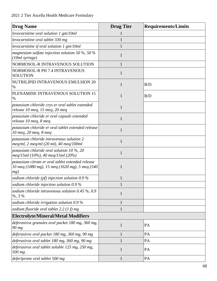| <b>Drug Name</b>                                                                                           | <b>Drug Tier</b> | <b>Requirements/Limits</b> |
|------------------------------------------------------------------------------------------------------------|------------------|----------------------------|
| levocarnitine oral solution $1 \text{ gm}/10ml$                                                            |                  |                            |
| levocarnitine oral tablet 330 mg                                                                           |                  |                            |
| levocarnitine sf oral solution $1 \text{ gm}/10ml$                                                         |                  |                            |
| magnesium sulfate injection solution 50 %, 50 %<br>(10ml syringe)                                          | 1                |                            |
| NORMOSOL-R INTRAVENOUS SOLUTION                                                                            | 1                |                            |
| NORMOSOL-R PH 7.4 INTRAVENOUS<br><b>SOLUTION</b>                                                           | $\mathbf{1}$     |                            |
| NUTRILIPID INTRAVENOUS EMULSION 20<br>$\%$                                                                 | 1                | B/D                        |
| PLENAMINE INTRAVENOUS SOLUTION 15<br>$\%$                                                                  | 1                | B/D                        |
| potassium chloride crys er oral tablet extended<br>release 10 meq, 15 meq, 20 meq                          | $\mathbf{1}$     |                            |
| potassium chloride er oral capsule extended<br>release 10 meq, 8 meq                                       | 1                |                            |
| potassium chloride er oral tablet extended release<br>10 meg, 20 meg, 8 meg                                | 1                |                            |
| potassium chloride intravenous solution 2<br>$\mu$ meq/ml, 2 meq/ml (20 ml), 40 meq/100ml                  | 1                |                            |
| potassium chloride oral solution 10 $\%$ , 20<br>meq/15ml (10%), 40 meq/15ml (20%)                         |                  |                            |
| potassium citrate er oral tablet extended release<br>10 meq (1080 mg), 15 meq (1620 mg), 5 meq (540<br>mg) |                  |                            |
| sodium chloride (pf) injection solution $0.9\%$                                                            |                  |                            |
| sodium chloride injection solution 0.9 %                                                                   |                  |                            |
| sodium chloride intravenous solution $0.45\%$ , 0.9<br>$% 3\%$                                             | 1                |                            |
| sodium chloride irrigation solution $0.9\%$                                                                | $\mathbf{1}$     |                            |
| sodium fluoride oral tablet 2.2 $(1 f)$ mg                                                                 | 1                |                            |
| <b>Electrolyte/Mineral/Metal Modifiers</b>                                                                 |                  |                            |
| deferasirox granules oral packet 180 mg, 360 mg,<br>90 mg                                                  | $\mathbf{1}$     | PA                         |
| deferasirox oral packet 180 mg, 360 mg, 90 mg                                                              | $\mathbf{1}$     | PA                         |
| deferasirox oral tablet 180 mg, 360 mg, 90 mg                                                              |                  | PA                         |
| deferasirox oral tablet soluble 125 mg, 250 mg,<br>500 mg                                                  | 1                | PA                         |
| deferiprone oral tablet 500 mg                                                                             | $\mathbf{1}$     | PA                         |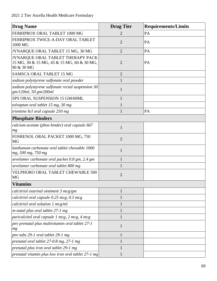| <b>Drug Name</b>                                                                              | <b>Drug Tier</b> | <b>Requirements/Limits</b> |
|-----------------------------------------------------------------------------------------------|------------------|----------------------------|
| FERRIPROX ORAL TABLET 1000 MG                                                                 | 2                | PA                         |
| FERRIPROX TWICE-A-DAY ORAL TABLET<br>1000 MG                                                  | $\overline{2}$   | PA                         |
| JYNARQUE ORAL TABLET 15 MG, 30 MG                                                             | $\overline{2}$   | PA                         |
| JYNARQUE ORAL TABLET THERAPY PACK<br>15 MG, 30 & 15 MG, 45 & 15 MG, 60 & 30 MG,<br>90 & 30 MG | $\overline{2}$   | PA                         |
| <b>SAMSCA ORAL TABLET 15 MG</b>                                                               | $\overline{2}$   |                            |
| sodium polystyrene sulfonate oral powder                                                      |                  |                            |
| sodium polystyrene sulfonate rectal suspension 30<br>gm/120ml, 50 gm/200ml                    | 1                |                            |
| SPS ORAL SUSPENSION 15 GM/60ML                                                                | $\mathbf{1}$     |                            |
| tolvaptan oral tablet 15 mg, 30 mg                                                            | 1                |                            |
| trientine hcl oral capsule 250 mg                                                             | $\mathbf{1}$     | PA                         |
| <b>Phosphate Binders</b>                                                                      |                  |                            |
| calcium acetate (phos binder) oral capsule 667<br>mg                                          | $\mathbf{1}$     |                            |
| FOSRENOL ORAL PACKET 1000 MG, 750<br>MG                                                       | $\overline{2}$   |                            |
| lanthanum carbonate oral tablet chewable 1000<br>mg, 500 mg, 750 mg                           | 1                |                            |
| sevelamer carbonate oral packet 0.8 gm, 2.4 gm                                                | 1                |                            |
| sevelamer carbonate oral tablet 800 mg                                                        |                  |                            |
| VELPHORO ORAL TABLET CHEWABLE 500<br><b>MG</b>                                                | $\overline{2}$   |                            |
| <b>Vitamins</b>                                                                               |                  |                            |
| calcitriol external ointment 3 mcg/gm                                                         |                  |                            |
| calcitriol oral capsule 0.25 mcg, 0.5 mcg                                                     |                  |                            |
| calcitriol oral solution 1 mcg/ml                                                             | 1                |                            |
| m-natal plus oral tablet 27-1 mg                                                              |                  |                            |
| paricalcitol oral capsule 1 mcg, 2 mcg, 4 mcg                                                 | 1                |                            |
| pny prenatal plus multivitamin oral tablet 27-1<br>mg                                         | 1                |                            |
| pnv tabs 29-1 oral tablet 29-1 mg                                                             | 1                |                            |
| prenatal oral tablet 27-0.8 mg, 27-1 mg                                                       |                  |                            |
| prenatal plus iron oral tablet 29-1 mg                                                        |                  |                            |
| prenatal vitamin plus low iron oral tablet $27$ -1 mg                                         | 1                |                            |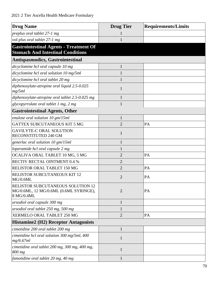| <b>Drug Name</b>                                                                                 | <b>Drug Tier</b> | <b>Requirements/Limits</b> |
|--------------------------------------------------------------------------------------------------|------------------|----------------------------|
| preplus oral tablet 27-1 mg                                                                      |                  |                            |
| vol-plus oral tablet 27-1 mg                                                                     |                  |                            |
| <b>Gastrointestinal Agents - Treatment Of</b><br><b>Stomach And Intestinal Conditions</b>        |                  |                            |
| <b>Antispasmodics, Gastrointestinal</b>                                                          |                  |                            |
| dicyclomine hcl oral capsule 10 mg                                                               | $\mathbf{1}$     |                            |
| dicyclomine hcl oral solution 10 mg/5ml                                                          | 1                |                            |
| dicyclomine hcl oral tablet 20 mg                                                                | 1                |                            |
| diphenoxylate-atropine oral liquid 2.5-0.025<br>mg/5ml                                           | $\mathbf{1}$     |                            |
| diphenoxylate-atropine oral tablet 2.5-0.025 mg                                                  | 1                |                            |
| glycopyrrolate oral tablet 1 mg, 2 mg                                                            | 1                |                            |
| <b>Gastrointestinal Agents, Other</b>                                                            |                  |                            |
| enulose oral solution 10 gm/15ml                                                                 | $\mathbf{1}$     |                            |
| GATTEX SUBCUTANEOUS KIT 5 MG                                                                     | $\overline{2}$   | PA                         |
| <b>GAVILYTE-C ORAL SOLUTION</b><br>RECONSTITUTED 240 GM                                          | $\mathbf{1}$     |                            |
| generlac oral solution 10 gm/15ml                                                                | 1                |                            |
| loperamide hcl oral capsule 2 mg                                                                 |                  |                            |
| OCALIVA ORAL TABLET 10 MG, 5 MG                                                                  | $\overline{2}$   | PA                         |
| RECTIV RECTAL OINTMENT 0.4 %                                                                     | $\overline{2}$   |                            |
| RELISTOR ORAL TABLET 150 MG                                                                      | $\overline{2}$   | PA                         |
| RELISTOR SUBCUTANEOUS KIT 12<br>MG/0.6ML                                                         | $\overline{2}$   | PA                         |
| <b>RELISTOR SUBCUTANEOUS SOLUTION 12</b><br>MG/0.6ML, 12 MG/0.6ML (0.6ML SYRINGE),<br>8 MG/0.4ML | $\overline{2}$   | PA                         |
| ursodiol oral capsule 300 mg                                                                     | $\mathbf{1}$     |                            |
| ursodiol oral tablet 250 mg, 500 mg                                                              | $\mathbf{1}$     |                            |
| XERMELO ORAL TABLET 250 MG                                                                       | $\overline{2}$   | PA                         |
| <b>Histamine2 (H2) Receptor Antagonists</b>                                                      |                  |                            |
| cimetidine 200 oral tablet 200 mg                                                                | $\mathbf{1}$     |                            |
| cimetidine hcl oral solution 300 mg/5ml, 400<br>mg/6.67ml                                        | $\mathbf{1}$     |                            |
| cimetidine oral tablet 200 mg, 300 mg, 400 mg,<br>800 mg                                         | $\mathbf{1}$     |                            |
| famotidine oral tablet 20 mg, 40 mg                                                              | 1                |                            |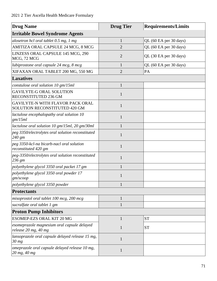| <b>Drug Name</b>                                                         | <b>Drug Tier</b> | <b>Requirements/Limits</b> |
|--------------------------------------------------------------------------|------------------|----------------------------|
| <b>Irritable Bowel Syndrome Agents</b>                                   |                  |                            |
| alosetron hcl oral tablet 0.5 mg, 1 mg                                   | $\mathbf{1}$     | QL (60 EA per 30 days)     |
| AMITIZA ORAL CAPSULE 24 MCG, 8 MCG                                       | $\overline{2}$   | QL (60 EA per 30 days)     |
| LINZESS ORAL CAPSULE 145 MCG, 290<br>MCG, 72 MCG                         | $\overline{2}$   | QL (30 EA per 30 days)     |
| lubiprostone oral capsule 24 mcg, 8 mcg                                  | $\mathbf{1}$     | QL (60 EA per 30 days)     |
| XIFAXAN ORAL TABLET 200 MG, 550 MG                                       | $\overline{2}$   | PA                         |
| <b>Laxatives</b>                                                         |                  |                            |
| constulose oral solution 10 gm/15ml                                      | $\mathbf{1}$     |                            |
| <b>GAVILYTE-G ORAL SOLUTION</b><br>RECONSTITUTED 236 GM                  | $\mathbf{1}$     |                            |
| <b>GAVILYTE-N WITH FLAVOR PACK ORAL</b><br>SOLUTION RECONSTITUTED 420 GM | $\mathbf{1}$     |                            |
| lactulose encephalopathy oral solution 10<br>gm/15ml                     | $\mathbf{1}$     |                            |
| lactulose oral solution 10 gm/15ml, 20 gm/30ml                           | 1                |                            |
| peg 3350/electrolytes oral solution reconstituted<br>240 gm              | $\mathbf{1}$     |                            |
| peg 3350-kcl-na bicarb-nacl oral solution<br>reconstituted 420 gm        | 1                |                            |
| peg-3350/electrolytes oral solution reconstituted<br>236 gm              | $\mathbf{1}$     |                            |
| polyethylene glycol 3350 oral packet 17 gm                               | $\mathbf{1}$     |                            |
| polyethylene glycol 3350 oral powder 17<br>gm/scoop                      | 1                |                            |
| polyethylene glycol 3350 powder                                          |                  |                            |
| <b>Protectants</b>                                                       |                  |                            |
| misoprostol oral tablet 100 mcg, 200 mcg                                 | $\mathbf{1}$     |                            |
| sucralfate oral tablet 1 gm                                              | $\mathbf{1}$     |                            |
| <b>Proton Pump Inhibitors</b>                                            |                  |                            |
| <b>ESOMEP-EZS ORAL KIT 20 MG</b>                                         | 1                | <b>ST</b>                  |
| esomeprazole magnesium oral capsule delayed<br>release 20 mg, 40 mg      | $\mathbf{1}$     | <b>ST</b>                  |
| lansoprazole oral capsule delayed release 15 mg,<br>$30$ mg              | $\mathbf{1}$     |                            |
| omeprazole oral capsule delayed release 10 mg,<br>20 mg, 40 mg           | $\mathbf{1}$     |                            |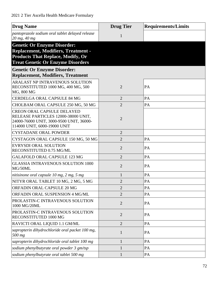| <b>Drug Name</b>                                                                                                                                                         | <b>Drug Tier</b> | <b>Requirements/Limits</b> |
|--------------------------------------------------------------------------------------------------------------------------------------------------------------------------|------------------|----------------------------|
| pantoprazole sodium oral tablet delayed release<br>$20$ mg, $40$ mg                                                                                                      | 1                |                            |
| <b>Genetic Or Enzyme Disorder:</b><br><b>Replacement, Modifiers, Treatment -</b><br><b>Products That Replace, Modify, Or</b><br><b>Treat Genetic Or Enzyme Disorders</b> |                  |                            |
| <b>Genetic Or Enzyme Disorder:</b>                                                                                                                                       |                  |                            |
| <b>Replacement, Modifiers, Treatment</b>                                                                                                                                 |                  |                            |
| ARALAST NP INTRAVENOUS SOLUTION<br>RECONSTITUTED 1000 MG, 400 MG, 500<br>MG, 800 MG                                                                                      | $\overline{2}$   | PA                         |
| <b>CERDELGA ORAL CAPSULE 84 MG</b>                                                                                                                                       | $\overline{2}$   | PA                         |
| CHOLBAM ORAL CAPSULE 250 MG, 50 MG                                                                                                                                       | $\overline{2}$   | PA                         |
| <b>CREON ORAL CAPSULE DELAYED</b><br>RELEASE PARTICLES 12000-38000 UNIT,<br>24000-76000 UNIT, 3000-9500 UNIT, 36000-<br>114000 UNIT, 6000-19000 UNIT                     | $\overline{2}$   |                            |
| <b>CYSTADANE ORAL POWDER</b>                                                                                                                                             | $\overline{2}$   |                            |
| CYSTAGON ORAL CAPSULE 150 MG, 50 MG                                                                                                                                      | $\overline{2}$   | PA                         |
| <b>EVRYSDI ORAL SOLUTION</b><br>RECONSTITUTED 0.75 MG/ML                                                                                                                 | $\overline{2}$   | PA                         |
| <b>GALAFOLD ORAL CAPSULE 123 MG</b>                                                                                                                                      | $\overline{2}$   | PA                         |
| <b>GLASSIA INTRAVENOUS SOLUTION 1000</b><br>MG/50ML                                                                                                                      | $\overline{2}$   | PA                         |
| nitisinone oral capsule $10$ mg, $2$ mg, $5$ mg                                                                                                                          | $\mathbf{1}$     | PA                         |
| NITYR ORAL TABLET 10 MG, 2 MG, 5 MG                                                                                                                                      | $\overline{2}$   | $\mathbf{PA}$              |
| ORFADIN ORAL CAPSULE 20 MG                                                                                                                                               | $\overline{2}$   | PA                         |
| ORFADIN ORAL SUSPENSION 4 MG/ML                                                                                                                                          | $\overline{2}$   | PA                         |
| PROLASTIN-C INTRAVENOUS SOLUTION<br>1000 MG/20ML                                                                                                                         | $\overline{2}$   | PA                         |
| PROLASTIN-C INTRAVENOUS SOLUTION<br>RECONSTITUTED 1000 MG                                                                                                                | $\overline{2}$   | PA                         |
| RAVICTI ORAL LIQUID 1.1 GM/ML                                                                                                                                            | $\overline{2}$   | PA                         |
| sapropterin dihydrochloride oral packet 100 mg,<br>500 mg                                                                                                                | $\mathbf{1}$     | PA                         |
| sapropterin dihydrochloride oral tablet 100 mg                                                                                                                           | $\mathbf{1}$     | PA                         |
| sodium phenylbutyrate oral powder 3 gm/tsp                                                                                                                               | $\mathbf{1}$     | PA                         |
| sodium phenylbutyrate oral tablet 500 mg                                                                                                                                 | $\mathbf{1}$     | PA                         |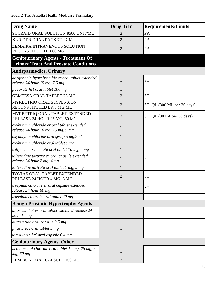| <b>Drug Name</b>                                                                           | <b>Drug Tier</b> | <b>Requirements/Limits</b>    |
|--------------------------------------------------------------------------------------------|------------------|-------------------------------|
| SUCRAID ORAL SOLUTION 8500 UNIT/ML                                                         | 2                | PA                            |
| XURIDEN ORAL PACKET 2 GM                                                                   | $\overline{2}$   | PA                            |
| ZEMAIRA INTRAVENOUS SOLUTION<br>RECONSTITUTED 1000 MG                                      | $\overline{2}$   | PA                            |
| <b>Genitourinary Agents - Treatment Of</b><br><b>Urinary Tract And Prostate Conditions</b> |                  |                               |
| <b>Antispasmodics, Urinary</b>                                                             |                  |                               |
| darifenacin hydrobromide er oral tablet extended<br>release $24$ hour 15 mg, 7.5 mg        | $\mathbf{1}$     | <b>ST</b>                     |
| flavoxate hcl oral tablet 100 mg                                                           | $\mathbf{1}$     |                               |
| <b>GEMTESA ORAL TABLET 75 MG</b>                                                           | $\overline{2}$   | <b>ST</b>                     |
| MYRBETRIQ ORAL SUSPENSION<br>RECONSTITUTED ER 8 MG/ML                                      | $\overline{2}$   | ST; QL (300 ML per 30 days)   |
| MYRBETRIQ ORAL TABLET EXTENDED<br>RELEASE 24 HOUR 25 MG, 50 MG                             | $\overline{2}$   | $ST$ ; QL (30 EA per 30 days) |
| oxybutynin chloride er oral tablet extended<br>release 24 hour 10 mg, 15 mg, 5 mg          | $\mathbf{1}$     |                               |
| oxybutynin chloride oral syrup 5 mg/5ml                                                    | $\mathbf{1}$     |                               |
| oxybutynin chloride oral tablet 5 mg                                                       | $\mathbf{1}$     |                               |
| solifenacin succinate oral tablet 10 mg, 5 mg                                              | $\mathbf{1}$     |                               |
| tolterodine tartrate er oral capsule extended<br>release 24 hour 2 mg, 4 mg                | $\mathbf{1}$     | <b>ST</b>                     |
| tolterodine tartrate oral tablet 1 mg, 2 mg                                                | $\mathbf{1}$     |                               |
| TOVIAZ ORAL TABLET EXTENDED<br>RELEASE 24 HOUR 4 MG, 8 MG                                  | $\overline{2}$   | <b>ST</b>                     |
| trospium chloride er oral capsule extended<br>release 24 hour 60 mg                        | 1                | <b>ST</b>                     |
| trospium chloride oral tablet 20 mg                                                        | $\mathbf{1}$     |                               |
| <b>Benign Prostatic Hypertrophy Agents</b>                                                 |                  |                               |
| alfuzosin hcl er oral tablet extended release 24<br>hour 10 mg                             | $\mathbf{1}$     |                               |
| dutasteride oral capsule 0.5 mg                                                            | $\mathbf{1}$     |                               |
| finasteride oral tablet 5 mg                                                               | $\mathbf{1}$     |                               |
| tamsulosin hcl oral capsule 0.4 mg                                                         | $\mathbf{1}$     |                               |
| <b>Genitourinary Agents, Other</b>                                                         |                  |                               |
| bethanechol chloride oral tablet 10 mg, 25 mg, 5<br>mg, 50 mg                              | $\mathbf{1}$     |                               |
| ELMIRON ORAL CAPSULE 100 MG                                                                | $\overline{2}$   |                               |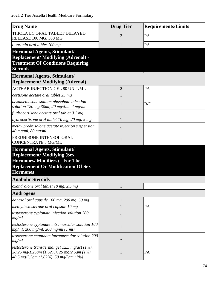| <b>Drug Name</b>                                                                                                                                                          | <b>Drug Tier</b> | <b>Requirements/Limits</b> |
|---------------------------------------------------------------------------------------------------------------------------------------------------------------------------|------------------|----------------------------|
| THIOLA EC ORAL TABLET DELAYED<br>RELEASE 100 MG, 300 MG                                                                                                                   | $\overline{2}$   | PA                         |
| tiopronin oral tablet 100 mg                                                                                                                                              | 1                | PA                         |
| <b>Hormonal Agents, Stimulant/</b><br><b>Replacement/Modifying (Adrenal) -</b><br><b>Treatment Of Conditions Requiring</b><br><b>Steroids</b>                             |                  |                            |
| Hormonal Agents, Stimulant/<br><b>Replacement/Modifying (Adrenal)</b>                                                                                                     |                  |                            |
| <b>ACTHAR INJECTION GEL 80 UNIT/ML</b>                                                                                                                                    | $\overline{2}$   | PA                         |
| cortisone acetate oral tablet 25 mg                                                                                                                                       | 1                |                            |
| dexamethasone sodium phosphate injection<br>solution 120 mg/30ml, 20 mg/5ml, 4 mg/ml                                                                                      | 1                | B/D                        |
| fludrocortisone acetate oral tablet 0.1 mg                                                                                                                                | 1                |                            |
| hydrocortisone oral tablet 10 mg, 20 mg, 5 mg                                                                                                                             |                  |                            |
| methylprednisolone acetate injection suspension<br>$40$ mg/ml, 80 mg/ml                                                                                                   | $\mathbf{1}$     |                            |
| PREDNISONE INTENSOL ORAL<br><b>CONCENTRATE 5 MG/ML</b>                                                                                                                    | 1                |                            |
| Hormonal Agents, Stimulant/<br><b>Replacement/Modifying (Sex)</b><br><b>Hormones/Modifiers) - For The</b><br><b>Replacement Or Modification Of Sex</b><br><b>Hormones</b> |                  |                            |
| <b>Anabolic Steroids</b>                                                                                                                                                  |                  |                            |
| oxandrolone oral tablet 10 mg, 2.5 mg                                                                                                                                     |                  |                            |
| <b>Androgens</b>                                                                                                                                                          |                  |                            |
| danazol oral capsule 100 mg, 200 mg, 50 mg                                                                                                                                | 1                |                            |
| methyltestosterone oral capsule 10 mg                                                                                                                                     |                  | PA                         |
| testosterone cypionate injection solution 200<br>mg/ml                                                                                                                    | 1                |                            |
| testosterone cypionate intramuscular solution 100<br>$mg/ml$ , 200 mg/ml, 200 mg/ml (1 ml)                                                                                | 1                |                            |
| testosterone enanthate intramuscular solution 200<br>mg/ml                                                                                                                | $\mathbf{1}$     |                            |
| testosterone transdermal gel 12.5 mg/act (1%),<br>20.25 mg/1.25gm (1.62%), 25 mg/2.5gm (1%),<br>40.5 mg/2.5gm (1.62%), 50 mg/5gm (1%)                                     |                  | PA                         |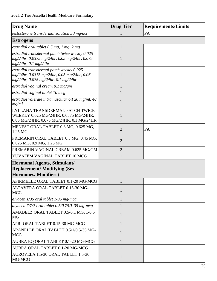| <b>Drug Name</b>                                                                                                               | <b>Drug Tier</b> | <b>Requirements/Limits</b> |
|--------------------------------------------------------------------------------------------------------------------------------|------------------|----------------------------|
| testosterone transdermal solution 30 mg/act                                                                                    |                  | PA                         |
| <b>Estrogens</b>                                                                                                               |                  |                            |
| estradiol oral tablet $0.5$ mg, $1$ mg, $2$ mg                                                                                 | $\mathbf{1}$     |                            |
| estradiol transdermal patch twice weekly 0.025<br>mg/24hr, 0.0375 mg/24hr, 0.05 mg/24hr, 0.075<br>$mg/24hr$ , 0.1 mg/24hr      | $\mathbf{1}$     |                            |
| estradiol transdermal patch weekly 0.025<br>mg/24hr, 0.0375 mg/24hr, 0.05 mg/24hr, 0.06<br>mg/24hr, 0.075 mg/24hr, 0.1 mg/24hr | $\mathbf{1}$     |                            |
| estradiol vaginal cream $0.1$ mg/gm                                                                                            | $\mathbf{1}$     |                            |
| estradiol vaginal tablet 10 mcg                                                                                                |                  |                            |
| estradiol valerate intramuscular oil 20 mg/ml, 40<br>mg/ml                                                                     | $\mathbf{1}$     |                            |
| LYLLANA TRANSDERMAL PATCH TWICE<br>WEEKLY 0.025 MG/24HR, 0.0375 MG/24HR,<br>0.05 MG/24HR, 0.075 MG/24HR, 0.1 MG/24HR           | $\mathbf{1}$     |                            |
| MENEST ORAL TABLET 0.3 MG, 0.625 MG,<br>1.25 MG                                                                                | $\overline{2}$   | PA                         |
| PREMARIN ORAL TABLET 0.3 MG, 0.45 MG,<br>0.625 MG, 0.9 MG, 1.25 MG                                                             | $\overline{2}$   |                            |
| PREMARIN VAGINAL CREAM 0.625 MG/GM                                                                                             | $\overline{2}$   |                            |
| YUVAFEM VAGINAL TABLET 10 MCG                                                                                                  | $\mathbf{1}$     |                            |
| Hormonal Agents, Stimulant/<br><b>Replacement/ Modifying (Sex</b><br><b>Hormones/Modifiers)</b>                                |                  |                            |
| AFIRMELLE ORAL TABLET 0.1-20 MG-MCG                                                                                            | $\mathbf{1}$     |                            |
| ALTAVERA ORAL TABLET 0.15-30 MG-<br><b>MCG</b>                                                                                 | $\mathbf{1}$     |                            |
| alyacen 1/35 oral tablet 1-35 mg-mcg                                                                                           | 1                |                            |
| alyacen $7/7/7$ oral tablet 0.5/0.75/1-35 mg-mcg                                                                               |                  |                            |
| AMABELZ ORAL TABLET 0.5-0.1 MG, 1-0.5<br><b>MG</b>                                                                             | $\mathbf{1}$     |                            |
| APRI ORAL TABLET 0.15-30 MG-MCG                                                                                                | 1                |                            |
| ARANELLE ORAL TABLET 0.5/1/0.5-35 MG-<br><b>MCG</b>                                                                            | 1                |                            |
| AUBRA EQ ORAL TABLET 0.1-20 MG-MCG                                                                                             | 1                |                            |
| AUBRA ORAL TABLET 0.1-20 MG-MCG                                                                                                |                  |                            |
| AUROVELA 1.5/30 ORAL TABLET 1.5-30<br>MG-MCG                                                                                   | 1                |                            |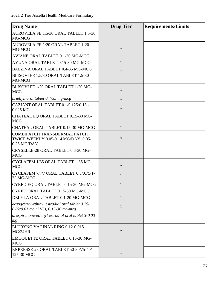| <b>Drug Name</b>                                                                         | <b>Drug Tier</b> | <b>Requirements/Limits</b> |
|------------------------------------------------------------------------------------------|------------------|----------------------------|
| AUROVELA FE 1.5/30 ORAL TABLET 1.5-30<br>MG-MCG                                          | 1                |                            |
| AUROVELA FE 1/20 ORAL TABLET 1-20<br>MG-MCG                                              | $\mathbf{1}$     |                            |
| AVIANE ORAL TABLET 0.1-20 MG-MCG                                                         | $\mathbf{1}$     |                            |
| AYUNA ORAL TABLET 0.15-30 MG-MCG                                                         | 1                |                            |
| BALZIVA ORAL TABLET 0.4-35 MG-MCG                                                        | 1                |                            |
| BLISOVI FE 1.5/30 ORAL TABLET 1.5-30<br>MG-MCG                                           | $\mathbf{1}$     |                            |
| BLISOVI FE 1/20 ORAL TABLET 1-20 MG-<br><b>MCG</b>                                       | 1                |                            |
| briellyn oral tablet 0.4-35 mg-mcg                                                       | 1                |                            |
| CAZIANT ORAL TABLET 0.1/0.125/0.15 -<br>0.025 MG                                         | $\mathbf{1}$     |                            |
| CHATEAL EQ ORAL TABLET 0.15-30 MG-<br><b>MCG</b>                                         | 1                |                            |
| CHATEAL ORAL TABLET 0.15-30 MG-MCG                                                       | 1                |                            |
| COMBIPATCH TRANSDERMAL PATCH<br>TWICE WEEKLY 0.05-0.14 MG/DAY, 0.05-<br>$0.25$ MG/DAY    | $\overline{2}$   |                            |
| CRYSELLE-28 ORAL TABLET 0.3-30 MG-<br><b>MCG</b>                                         | $\mathbf{1}$     |                            |
| CYCLAFEM 1/35 ORAL TABLET 1-35 MG-<br><b>MCG</b>                                         | 1                |                            |
| CYCLAFEM 7/7/7 ORAL TABLET 0.5/0.75/1-<br>35 MG-MCG                                      | 1                |                            |
| CYRED EQ ORAL TABLET 0.15-30 MG-MCG                                                      |                  |                            |
| CYRED ORAL TABLET 0.15-30 MG-MCG                                                         |                  |                            |
| DELYLA ORAL TABLET 0.1-20 MG-MCG                                                         |                  |                            |
| desogestrel-ethinyl estradiol oral tablet 0.15-<br>$0.02/0.01$ mg (21/5), 0.15-30 mg-mcg | 1                |                            |
| drospirenone-ethinyl estradiol oral tablet 3-0.03<br>mg                                  | 1                |                            |
| ELURYNG VAGINAL RING 0.12-0.015<br>MG/24HR                                               | $\mathbf{1}$     |                            |
| EMOQUETTE ORAL TABLET 0.15-30 MG-<br><b>MCG</b>                                          | 1                |                            |
| ENPRESSE-28 ORAL TABLET 50-30/75-40/<br>125-30 MCG                                       | $\mathbf{1}$     |                            |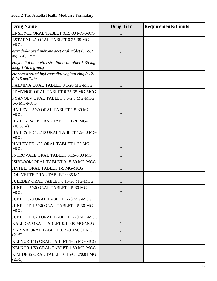| <b>Drug Name</b>                                                            | <b>Drug Tier</b> | <b>Requirements/Limits</b> |
|-----------------------------------------------------------------------------|------------------|----------------------------|
| ENSKYCE ORAL TABLET 0.15-30 MG-MCG                                          |                  |                            |
| ESTARYLLA ORAL TABLET 0.25-35 MG-<br><b>MCG</b>                             | 1                |                            |
| estradiol-norethindrone acet oral tablet 0.5-0.1<br>$mg, 1-0.5 mg$          | 1                |                            |
| ethynodiol diac-eth estradiol oral tablet 1-35 mg-<br>$mcg$ , $1-50$ mg-mcg | $\mathbf{1}$     |                            |
| etonogestrel-ethinyl estradiol vaginal ring 0.12-<br>$0.015$ mg/24hr        | $\mathbf{1}$     |                            |
| FALMINA ORAL TABLET 0.1-20 MG-MCG                                           | $\mathbf{1}$     |                            |
| FEMYNOR ORAL TABLET 0.25-35 MG-MCG                                          | 1                |                            |
| FYAVOLV ORAL TABLET 0.5-2.5 MG-MCG,<br>1-5 MG-MCG                           | $\mathbf{1}$     |                            |
| HAILEY 1.5/30 ORAL TABLET 1.5-30 MG-<br><b>MCG</b>                          | $\mathbf{1}$     |                            |
| HAILEY 24 FE ORAL TABLET 1-20 MG-<br>MCG(24)                                | $\mathbf{1}$     |                            |
| HAILEY FE 1.5/30 ORAL TABLET 1.5-30 MG-<br><b>MCG</b>                       | $\mathbf{1}$     |                            |
| HAILEY FE 1/20 ORAL TABLET 1-20 MG-<br><b>MCG</b>                           | $\mathbf{1}$     |                            |
| INTROVALE ORAL TABLET 0.15-0.03 MG                                          | 1                |                            |
| ISIBLOOM ORAL TABLET 0.15-30 MG-MCG                                         | 1                |                            |
| JINTELI ORAL TABLET 1-5 MG-MCG                                              | $\mathbf{1}$     |                            |
| JOLIVETTE ORAL TABLET 0.35 MG                                               | 1                |                            |
| JULEBER ORAL TABLET 0.15-30 MG-MCG                                          | $\mathbf 1$      |                            |
| JUNEL 1.5/30 ORAL TABLET 1.5-30 MG-<br><b>MCG</b>                           | $\mathbf{1}$     |                            |
| JUNEL 1/20 ORAL TABLET 1-20 MG-MCG                                          | $\mathbf{1}$     |                            |
| JUNEL FE 1.5/30 ORAL TABLET 1.5-30 MG-<br><b>MCG</b>                        | $\mathbf{1}$     |                            |
| JUNEL FE 1/20 ORAL TABLET 1-20 MG-MCG                                       | $\mathbf{1}$     |                            |
| KALLIGA ORAL TABLET 0.15-30 MG-MCG                                          | 1                |                            |
| KARIVA ORAL TABLET 0.15-0.02/0.01 MG<br>(21/5)                              | 1                |                            |
| KELNOR 1/35 ORAL TABLET 1-35 MG-MCG                                         | 1                |                            |
| KELNOR 1/50 ORAL TABLET 1-50 MG-MCG                                         |                  |                            |
| KIMIDESS ORAL TABLET 0.15-0.02/0.01 MG<br>(21/5)                            | $\mathbf{1}$     |                            |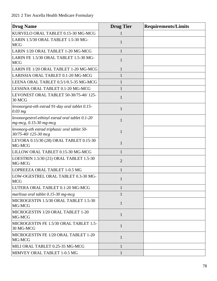| <b>Drug Name</b>                                                           | <b>Drug Tier</b> | <b>Requirements/Limits</b> |
|----------------------------------------------------------------------------|------------------|----------------------------|
| KURVELO ORAL TABLET 0.15-30 MG-MCG                                         |                  |                            |
| LARIN 1.5/30 ORAL TABLET 1.5-30 MG-<br><b>MCG</b>                          | 1                |                            |
| LARIN 1/20 ORAL TABLET 1-20 MG-MCG                                         | 1                |                            |
| LARIN FE 1.5/30 ORAL TABLET 1.5-30 MG-<br><b>MCG</b>                       | 1                |                            |
| LARIN FE 1/20 ORAL TABLET 1-20 MG-MCG                                      | 1                |                            |
| LARISSIA ORAL TABLET 0.1-20 MG-MCG                                         |                  |                            |
| LEENA ORAL TABLET 0.5/1/0.5-35 MG-MCG                                      | $\mathbf{1}$     |                            |
| LESSINA ORAL TABLET 0.1-20 MG-MCG                                          | 1                |                            |
| LEVONEST ORAL TABLET 50-30/75-40/125-<br>30 MCG                            | 1                |                            |
| levonorgest-eth estrad 91-day oral tablet 0.15-<br>$0.03$ mg               | $\mathbf{1}$     |                            |
| levonorgestrel-ethinyl estrad oral tablet 0.1-20<br>mg-mcg, 0.15-30 mg-mcg | $\mathbf{1}$     |                            |
| levonorg-eth estrad triphasic oral tablet 50-<br>30/75-40/125-30 mcg       | 1                |                            |
| LEVORA 0.15/30 (28) ORAL TABLET 0.15-30<br>MG-MCG                          | $\mathbf{1}$     |                            |
| LILLOW ORAL TABLET 0.15-30 MG-MCG                                          | 1                |                            |
| LOESTRIN 1.5/30 (21) ORAL TABLET 1.5-30<br>MG-MCG                          | $\overline{2}$   |                            |
| LOPREEZA ORAL TABLET 1-0.5 MG                                              | $\mathbf{1}$     |                            |
| LOW-OGESTREL ORAL TABLET 0.3-30 MG-<br><b>MCG</b>                          | $\mathbf{1}$     |                            |
| LUTERA ORAL TABLET 0.1-20 MG-MCG                                           | 1                |                            |
| marlissa oral tablet 0.15-30 mg-mcg                                        | $\mathbf{1}$     |                            |
| MICROGESTIN 1.5/30 ORAL TABLET 1.5-30<br>MG-MCG                            | $\mathbf{1}$     |                            |
| MICROGESTIN 1/20 ORAL TABLET 1-20<br>MG-MCG                                | 1                |                            |
| MICROGESTIN FE 1.5/30 ORAL TABLET 1.5-<br>30 MG-MCG                        | $\mathbf{1}$     |                            |
| MICROGESTIN FE 1/20 ORAL TABLET 1-20<br>MG-MCG                             | $\mathbf{1}$     |                            |
| MILI ORAL TABLET 0.25-35 MG-MCG                                            | 1                |                            |
| MIMVEY ORAL TABLET 1-0.5 MG                                                |                  |                            |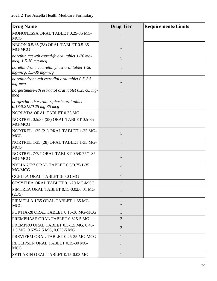| <b>Drug Name</b>                                                            | <b>Drug Tier</b> | <b>Requirements/Limits</b> |
|-----------------------------------------------------------------------------|------------------|----------------------------|
| MONONESSA ORAL TABLET 0.25-35 MG-<br><b>MCG</b>                             | 1                |                            |
| NECON 0.5/35 (28) ORAL TABLET 0.5-35<br>MG-MCG                              | 1                |                            |
| norethin ace-eth estrad-fe oral tablet 1-20 mg-<br>$mcg$ , 1.5-30 mg-mcg    | 1                |                            |
| norethindrone acet-ethinyl est oral tablet 1-20<br>$mg$ -mcg, 1.5-30 mg-mcg | 1                |                            |
| norethindrone-eth estradiol oral tablet 0.5-2.5<br>$mg$ - $mcg$             | $\mathbf{1}$     |                            |
| norgestimate-eth estradiol oral tablet 0.25-35 mg-<br>mcg                   | 1                |                            |
| norgestim-eth estrad triphasic oral tablet<br>0.18/0.215/0.25 mg-35 mcg     | 1                |                            |
| NORLYDA ORAL TABLET 0.35 MG                                                 | 1                |                            |
| NORTREL 0.5/35 (28) ORAL TABLET 0.5-35<br>MG-MCG                            | 1                |                            |
| NORTREL 1/35 (21) ORAL TABLET 1-35 MG-<br><b>MCG</b>                        | 1                |                            |
| NORTREL 1/35 (28) ORAL TABLET 1-35 MG-<br><b>MCG</b>                        | 1                |                            |
| NORTREL 7/7/7 ORAL TABLET 0.5/0.75/1-35<br>MG-MCG                           | $\mathbf{1}$     |                            |
| NYLIA 7/7/7 ORAL TABLET 0.5/0.75/1-35<br>MG-MCG                             | 1                |                            |
| OCELLA ORAL TABLET 3-0.03 MG                                                | 1                |                            |
| ORSYTHIA ORAL TABLET 0.1-20 MG-MCG                                          | 1                |                            |
| PIMTREA ORAL TABLET 0.15-0.02/0.01 MG<br>(21/5)                             | 1                |                            |
| PIRMELLA 1/35 ORAL TABLET 1-35 MG-<br><b>MCG</b>                            | $\mathbf{1}$     |                            |
| PORTIA-28 ORAL TABLET 0.15-30 MG-MCG                                        | 1                |                            |
| PREMPHASE ORAL TABLET 0.625-5 MG                                            | $\overline{2}$   |                            |
| PREMPRO ORAL TABLET 0.3-1.5 MG, 0.45-<br>1.5 MG, 0.625-2.5 MG, 0.625-5 MG   | $\overline{2}$   |                            |
| PREVIFEM ORAL TABLET 0.25-35 MG-MCG                                         | $\mathbf{1}$     |                            |
| RECLIPSEN ORAL TABLET 0.15-30 MG-<br><b>MCG</b>                             | $\mathbf{1}$     |                            |
| SETLAKIN ORAL TABLET 0.15-0.03 MG                                           | $\mathbf{1}$     |                            |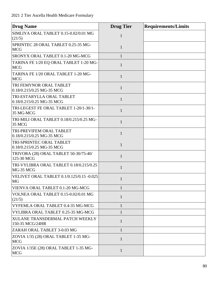| <b>Drug Name</b>                                              | <b>Drug Tier</b> | <b>Requirements/Limits</b> |
|---------------------------------------------------------------|------------------|----------------------------|
| SIMLIYA ORAL TABLET 0.15-0.02/0.01 MG<br>(21/5)               | $\mathbf{1}$     |                            |
| SPRINTEC 28 ORAL TABLET 0.25-35 MG-<br><b>MCG</b>             | $\mathbf{1}$     |                            |
| SRONYX ORAL TABLET 0.1-20 MG-MCG                              | $\mathbf{1}$     |                            |
| TARINA FE 1/20 EQ ORAL TABLET 1-20 MG-<br><b>MCG</b>          | $\mathbf{1}$     |                            |
| TARINA FE 1/20 ORAL TABLET 1-20 MG-<br><b>MCG</b>             | $\mathbf{1}$     |                            |
| TRI FEMYNOR ORAL TABLET<br>0.18/0.215/0.25 MG-35 MCG          | 1                |                            |
| TRI-ESTARYLLA ORAL TABLET<br>0.18/0.215/0.25 MG-35 MCG        | 1                |                            |
| TRI-LEGEST FE ORAL TABLET 1-20/1-30/1-<br>35 MG-MCG           | $\mathbf{1}$     |                            |
| TRI-MILI ORAL TABLET 0.18/0.215/0.25 MG-<br>35 MCG            | 1                |                            |
| TRI-PREVIFEM ORAL TABLET<br>0.18/0.215/0.25 MG-35 MCG         | $\mathbf{1}$     |                            |
| TRI-SPRINTEC ORAL TABLET<br>0.18/0.215/0.25 MG-35 MCG         | $\mathbf{1}$     |                            |
| TRIVORA (28) ORAL TABLET 50-30/75-40/<br>125-30 MCG           | 1                |                            |
| TRI-VYLIBRA ORAL TABLET 0.18/0.215/0.25<br>MG-35 MCG          | 1                |                            |
| <b>VELIVET ORAL TABLET 0.1/0.125/0.15 -0.025</b><br><b>MG</b> | 1                |                            |
| VIENVA ORAL TABLET 0.1-20 MG-MCG                              | $\mathbf{1}$     |                            |
| VOLNEA ORAL TABLET 0.15-0.02/0.01 MG<br>(21/5)                | $\mathbf{1}$     |                            |
| VYFEMLA ORAL TABLET 0.4-35 MG-MCG                             | 1                |                            |
| VYLIBRA ORAL TABLET 0.25-35 MG-MCG                            | 1                |                            |
| XULANE TRANSDERMAL PATCH WEEKLY<br>150-35 MCG/24HR            | 1                |                            |
| ZARAH ORAL TABLET 3-0.03 MG                                   | $\mathbf{1}$     |                            |
| ZOVIA 1/35 (28) ORAL TABLET 1-35 MG-<br><b>MCG</b>            | 1                |                            |
| ZOVIA 1/35E (28) ORAL TABLET 1-35 MG-<br><b>MCG</b>           | $\mathbf{1}$     |                            |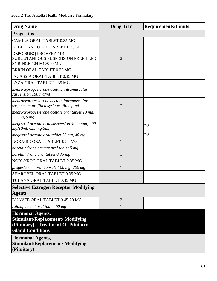| <b>Drug Name</b>                                                                                                                      | <b>Drug Tier</b> | <b>Requirements/Limits</b> |
|---------------------------------------------------------------------------------------------------------------------------------------|------------------|----------------------------|
| <b>Progestins</b>                                                                                                                     |                  |                            |
| CAMILA ORAL TABLET 0.35 MG                                                                                                            | $\mathbf{1}$     |                            |
| DEBLITANE ORAL TABLET 0.35 MG                                                                                                         |                  |                            |
| DEPO-SUBQ PROVERA 104<br>SUBCUTANEOUS SUSPENSION PREFILLED<br>SYRINGE 104 MG/0.65ML                                                   | $\overline{2}$   |                            |
| ERRIN ORAL TABLET 0.35 MG                                                                                                             | $\mathbf{1}$     |                            |
| <b>INCASSIA ORAL TABLET 0.35 MG</b>                                                                                                   |                  |                            |
| LYZA ORAL TABLET 0.35 MG                                                                                                              | 1                |                            |
| medroxyprogesterone acetate intramuscular<br>suspension 150 mg/ml                                                                     | 1                |                            |
| medroxyprogesterone acetate intramuscular<br>suspension prefilled syringe 150 mg/ml                                                   | 1                |                            |
| medroxyprogesterone acetate oral tablet 10 mg,<br>2.5 mg, 5 mg                                                                        | 1                |                            |
| megestrol acetate oral suspension 40 mg/ml, 400<br>mg/10ml, 625 mg/5ml                                                                | 1                | PA                         |
| megestrol acetate oral tablet 20 mg, 40 mg                                                                                            |                  | PA                         |
| NORA-BE ORAL TABLET 0.35 MG                                                                                                           |                  |                            |
| norethindrone acetate oral tablet 5 mg                                                                                                |                  |                            |
| norethindrone oral tablet 0.35 mg                                                                                                     |                  |                            |
| NORLYROC ORAL TABLET 0.35 MG                                                                                                          |                  |                            |
| progesterone oral capsule 100 mg, 200 mg                                                                                              |                  |                            |
| SHAROBEL ORAL TABLET 0.35 MG                                                                                                          |                  |                            |
| TULANA ORAL TABLET 0.35 MG                                                                                                            |                  |                            |
| <b>Selective Estrogen Receptor Modifying</b>                                                                                          |                  |                            |
| <b>Agents</b>                                                                                                                         |                  |                            |
| DUAVEE ORAL TABLET 0.45-20 MG                                                                                                         | $\overline{2}$   |                            |
| raloxifene hcl oral tablet 60 mg                                                                                                      | 1                |                            |
| <b>Hormonal Agents,</b><br><b>Stimulant/Replacement/ Modifying</b><br>(Pituitary) - Treatment Of Pituitary<br><b>Gland Conditions</b> |                  |                            |
| <b>Hormonal Agents,</b><br><b>Stimulant/Replacement/ Modifying</b><br>(Pituitary)                                                     |                  |                            |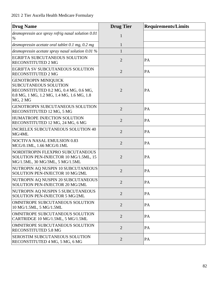| <b>Drug Name</b>                                                                                                                                             | <b>Drug Tier</b> | <b>Requirements/Limits</b> |
|--------------------------------------------------------------------------------------------------------------------------------------------------------------|------------------|----------------------------|
| desmopressin ace spray refrig nasal solution 0.01<br>$\%$                                                                                                    | $\mathbf{1}$     |                            |
| desmopressin acetate oral tablet 0.1 mg, 0.2 mg                                                                                                              | $\mathbf{1}$     |                            |
| desmopressin acetate spray nasal solution 0.01 $%$                                                                                                           | 1                |                            |
| <b>EGRIFTA SUBCUTANEOUS SOLUTION</b><br><b>RECONSTITUTED 2 MG</b>                                                                                            | $\overline{2}$   | PA                         |
| <b>EGRIFTA SV SUBCUTANEOUS SOLUTION</b><br><b>RECONSTITUTED 2 MG</b>                                                                                         | $\overline{2}$   | PA                         |
| <b>GENOTROPIN MINIQUICK</b><br><b>SUBCUTANEOUS SOLUTION</b><br>RECONSTITUTED 0.2 MG, 0.4 MG, 0.6 MG,<br>0.8 MG, 1 MG, 1.2 MG, 1.4 MG, 1.6 MG, 1.8<br>MG, 2MG | $\overline{2}$   | PA                         |
| <b>GENOTROPIN SUBCUTANEOUS SOLUTION</b><br>RECONSTITUTED 12 MG, 5 MG                                                                                         | $\overline{2}$   | PA                         |
| <b>HUMATROPE INJECTION SOLUTION</b><br>RECONSTITUTED 12 MG, 24 MG, 6 MG                                                                                      | $\overline{2}$   | PA                         |
| <b>INCRELEX SUBCUTANEOUS SOLUTION 40</b><br>MG/4ML                                                                                                           | $\overline{2}$   | PA                         |
| <b>NOCTIVA NASAL EMULSION 0.83</b><br>MCG/0.1ML, 1.66 MCG/0.1ML                                                                                              | $\overline{2}$   | PA                         |
| NORDITROPIN FLEXPRO SUBCUTANEOUS<br>SOLUTION PEN-INJECTOR 10 MG/1.5ML, 15<br>MG/1.5ML, 30 MG/3ML, 5 MG/1.5ML                                                 | $\overline{2}$   | PA                         |
| NUTROPIN AQ NUSPIN 10 SUBCUTANEOUS<br>SOLUTION PEN-INJECTOR 10 MG/2ML                                                                                        | $\overline{2}$   | PA                         |
| NUTROPIN AQ NUSPIN 20 SUBCUTANEOUS<br>SOLUTION PEN-INJECTOR 20 MG/2ML                                                                                        |                  | PA                         |
| NUTROPIN AQ NUSPIN 5 SUBCUTANEOUS<br>SOLUTION PEN-INJECTOR 5 MG/2ML                                                                                          | $\overline{2}$   | PA                         |
| OMNITROPE SUBCUTANEOUS SOLUTION<br>10 MG/1.5ML, 5 MG/1.5ML                                                                                                   | $\overline{2}$   | PA                         |
| OMNITROPE SUBCUTANEOUS SOLUTION<br>CARTRIDGE 10 MG/1.5ML, 5 MG/1.5ML                                                                                         | $\overline{2}$   | PA                         |
| OMNITROPE SUBCUTANEOUS SOLUTION<br>RECONSTITUTED 5.8 MG                                                                                                      | $\overline{2}$   | PA                         |
| <b>SEROSTIM SUBCUTANEOUS SOLUTION</b><br>RECONSTITUTED 4 MG, 5 MG, 6 MG                                                                                      | $\overline{2}$   | PA                         |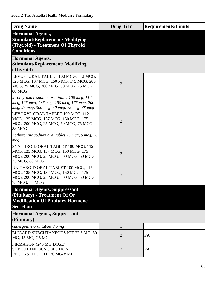| <b>Drug Name</b>                                                                                                                              | <b>Drug Tier</b> | <b>Requirements/Limits</b> |
|-----------------------------------------------------------------------------------------------------------------------------------------------|------------------|----------------------------|
| <b>Hormonal Agents,</b><br><b>Stimulant/Replacement/ Modifying</b><br>(Thyroid) - Treatment Of Thyroid<br><b>Conditions</b>                   |                  |                            |
| <b>Hormonal Agents,</b><br><b>Stimulant/Replacement/ Modifying</b><br>(Thyroid)                                                               |                  |                            |
| LEVO-T ORAL TABLET 100 MCG, 112 MCG,<br>125 MCG, 137 MCG, 150 MCG, 175 MCG, 200<br>MCG, 25 MCG, 300 MCG, 50 MCG, 75 MCG,<br>88 MCG            | $\overline{2}$   |                            |
| levothyroxine sodium oral tablet 100 mcg, 112<br>mcg, 125 mcg, 137 mcg, 150 mcg, 175 mcg, 200<br>mcg, 25 mcg, 300 mcg, 50 mcg, 75 mcg, 88 mcg | $\mathbf{1}$     |                            |
| LEVOXYL ORAL TABLET 100 MCG, 112<br>MCG, 125 MCG, 137 MCG, 150 MCG, 175<br>MCG, 200 MCG, 25 MCG, 50 MCG, 75 MCG,<br>88 MCG                    | $\overline{2}$   |                            |
| liothyronine sodium oral tablet $25$ mcg, $5$ mcg, $50$<br>mcg                                                                                | $\mathbf{1}$     |                            |
| SYNTHROID ORAL TABLET 100 MCG, 112<br>MCG, 125 MCG, 137 MCG, 150 MCG, 175<br>MCG, 200 MCG, 25 MCG, 300 MCG, 50 MCG,<br>75 MCG, 88 MCG         | $\overline{2}$   |                            |
| UNITHROID ORAL TABLET 100 MCG, 112<br>MCG, 125 MCG, 137 MCG, 150 MCG, 175<br>MCG, 200 MCG, 25 MCG, 300 MCG, 50 MCG,<br>75 MCG, 88 MCG         | $\overline{2}$   |                            |
| <b>Hormonal Agents, Suppressant</b><br>(Pituitary) - Treatment Of Or<br><b>Modification Of Pituitary Hormone</b><br><b>Secretion</b>          |                  |                            |
| <b>Hormonal Agents, Suppressant</b><br>(Pituitary)                                                                                            |                  |                            |
| cabergoline oral tablet 0.5 mg                                                                                                                | $\mathbf{1}$     |                            |
| ELIGARD SUBCUTANEOUS KIT 22.5 MG, 30<br>MG, 45 MG, 7.5 MG                                                                                     | $\overline{2}$   | PA                         |
| FIRMAGON (240 MG DOSE)<br><b>SUBCUTANEOUS SOLUTION</b><br>RECONSTITUTED 120 MG/VIAL                                                           | 2                | PA                         |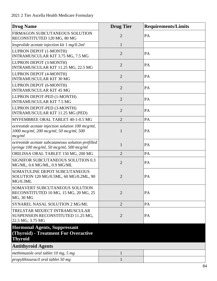| <b>Drug Name</b>                                                                                       | <b>Drug Tier</b> | <b>Requirements/Limits</b> |
|--------------------------------------------------------------------------------------------------------|------------------|----------------------------|
| FIRMAGON SUBCUTANEOUS SOLUTION<br>RECONSTITUTED 120 MG, 80 MG                                          | $\overline{2}$   | PA                         |
| leuprolide acetate injection kit $1 \text{ mg}/0.2 \text{ml}$                                          | $\mathbf{1}$     |                            |
| LUPRON DEPOT (1-MONTH)<br>INTRAMUSCULAR KIT 3.75 MG, 7.5 MG                                            | $\overline{2}$   | PA                         |
| LUPRON DEPOT (3-MONTH)<br>INTRAMUSCULAR KIT 11.25 MG, 22.5 MG                                          | $\overline{2}$   | PA                         |
| LUPRON DEPOT (4-MONTH)<br><b>INTRAMUSCULAR KIT 30 MG</b>                                               | $\overline{2}$   | PA                         |
| LUPRON DEPOT (6-MONTH)<br><b>INTRAMUSCULAR KIT 45 MG</b>                                               | $\overline{2}$   | PA                         |
| LUPRON DEPOT-PED (1-MONTH)<br><b>INTRAMUSCULAR KIT 7.5 MG</b>                                          | $\overline{2}$   | PA                         |
| LUPRON DEPOT-PED (3-MONTH)<br><b>INTRAMUSCULAR KIT 11.25 MG (PED)</b>                                  | $\overline{2}$   | PA                         |
| MYFEMBREE ORAL TABLET 40-1-0.5 MG                                                                      | $\overline{2}$   | PA                         |
| octreotide acetate injection solution 100 mcg/ml,<br>1000 mcg/ml, 200 mcg/ml, 50 mcg/ml, 500<br>mcg/ml | $\mathbf{1}$     | PA                         |
| octreotide acetate subcutaneous solution prefilled<br>syringe 100 mcg/ml, 50 mcg/ml, 500 mcg/ml        | $\mathbf{1}$     | PA                         |
| ORILISSA ORAL TABLET 150 MG, 200 MG                                                                    | $\overline{2}$   | PA                         |
| SIGNIFOR SUBCUTANEOUS SOLUTION 0.3<br>MG/ML, 0.6 MG/ML, 0.9 MG/ML                                      | $\overline{2}$   | PA                         |
| SOMATULINE DEPOT SUBCUTANEOUS<br>SOLUTION 120 MG/0.5ML, 60 MG/0.2ML, 90<br>MG/0.3ML                    | 2                | PA                         |
| SOMAVERT SUBCUTANEOUS SOLUTION<br>RECONSTITUTED 10 MG, 15 MG, 20 MG, 25<br>MG, 30 MG                   | $\overline{2}$   | PA                         |
| SYNAREL NASAL SOLUTION 2 MG/ML                                                                         | $\overline{2}$   | PA                         |
| TRELSTAR MIXJECT INTRAMUSCULAR<br>SUSPENSION RECONSTITUTED 11.25 MG,<br>22.5 MG, 3.75 MG               | $\overline{2}$   | PA                         |
| <b>Hormonal Agents, Suppressant</b>                                                                    |                  |                            |
| (Thyroid) - Treatment For Overactive<br><b>Thyroid</b>                                                 |                  |                            |
| <b>Antithyroid Agents</b>                                                                              |                  |                            |
| methimazole oral tablet 10 mg, 5 mg                                                                    | 1                |                            |
| propylthiouracil oral tablet 50 mg                                                                     | 1                |                            |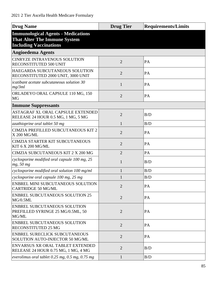| <b>Drug Name</b>                                                                                                  | <b>Drug Tier</b> | <b>Requirements/Limits</b> |
|-------------------------------------------------------------------------------------------------------------------|------------------|----------------------------|
| <b>Immunological Agents - Medications</b><br><b>That Alter The Immune System</b><br><b>Including Vaccinations</b> |                  |                            |
| <b>Angioedema Agents</b>                                                                                          |                  |                            |
| <b>CINRYZE INTRAVENOUS SOLUTION</b><br>RECONSTITUTED 500 UNIT                                                     | $\overline{2}$   | PA                         |
| HAEGARDA SUBCUTANEOUS SOLUTION<br>RECONSTITUTED 2000 UNIT, 3000 UNIT                                              | $\overline{2}$   | PA                         |
| icatibant acetate subcutaneous solution 30<br>mg/3ml                                                              | 1                | PA                         |
| ORLADEYO ORAL CAPSULE 110 MG, 150<br><b>MG</b>                                                                    | $\overline{2}$   | PA                         |
| <b>Immune Suppressants</b>                                                                                        |                  |                            |
| ASTAGRAF XL ORAL CAPSULE EXTENDED<br>RELEASE 24 HOUR 0.5 MG, 1 MG, 5 MG                                           | $\overline{2}$   | B/D                        |
| azathioprine oral tablet 50 mg                                                                                    | 1                | B/D                        |
| CIMZIA PREFILLED SUBCUTANEOUS KIT 2<br><b>X 200 MG/ML</b>                                                         | $\overline{2}$   | PA                         |
| <b>CIMZIA STARTER KIT SUBCUTANEOUS</b><br>KIT 6 X 200 MG/ML                                                       | $\overline{2}$   | PA                         |
| CIMZIA SUBCUTANEOUS KIT 2 X 200 MG                                                                                | $\overline{2}$   | PA                         |
| cyclosporine modified oral capsule 100 mg, 25<br>mg, 50 mg                                                        | 1                | B/D                        |
| cyclosporine modified oral solution 100 mg/ml                                                                     | 1                | B/D                        |
| cyclosporine oral capsule 100 mg, 25 mg                                                                           | 1                | B/D                        |
| ENBREL MINI SUBCUTANEOUS SOLUTION<br><b>CARTRIDGE 50 MG/ML</b>                                                    | $\overline{2}$   | PA                         |
| <b>ENBREL SUBCUTANEOUS SOLUTION 25</b><br>MG/0.5ML                                                                | $\overline{2}$   | PA                         |
| <b>ENBREL SUBCUTANEOUS SOLUTION</b><br>PREFILLED SYRINGE 25 MG/0.5ML, 50<br>MG/ML                                 | $\overline{2}$   | PA                         |
| <b>ENBREL SUBCUTANEOUS SOLUTION</b><br><b>RECONSTITUTED 25 MG</b>                                                 | $\overline{2}$   | PA                         |
| <b>ENBREL SURECLICK SUBCUTANEOUS</b><br>SOLUTION AUTO-INJECTOR 50 MG/ML                                           | $\overline{2}$   | PA                         |
| ENVARSUS XR ORAL TABLET EXTENDED<br>RELEASE 24 HOUR 0.75 MG, 1 MG, 4 MG                                           | $\overline{2}$   | B/D                        |
| everolimus oral tablet $0.25$ mg, $0.5$ mg, $0.75$ mg                                                             | $\mathbf{1}$     | B/D                        |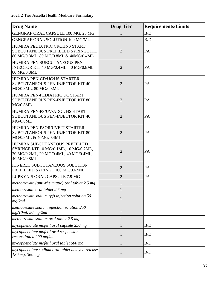| <b>Drug Name</b>                                                                                                                | <b>Drug Tier</b> | <b>Requirements/Limits</b> |
|---------------------------------------------------------------------------------------------------------------------------------|------------------|----------------------------|
| GENGRAF ORAL CAPSULE 100 MG, 25 MG                                                                                              |                  | B/D                        |
| <b>GENGRAF ORAL SOLUTION 100 MG/ML</b>                                                                                          | $\mathbf{1}$     | B/D                        |
| HUMIRA PEDIATRIC CROHNS START<br>SUBCUTANEOUS PREFILLED SYRINGE KIT<br>80 MG/0.8ML, 80 MG/0.8ML & 40MG/0.4ML                    | $\overline{2}$   | PA                         |
| HUMIRA PEN SUBCUTANEOUS PEN-<br>INJECTOR KIT 40 MG/0.4ML, 40 MG/0.8ML,<br>80 MG/0.8ML                                           | $\overline{2}$   | PA                         |
| HUMIRA PEN-CD/UC/HS STARTER<br><b>SUBCUTANEOUS PEN-INJECTOR KIT 40</b><br>MG/0.8ML, 80 MG/0.8ML                                 | $\overline{2}$   | PA                         |
| HUMIRA PEN-PEDIATRIC UC START<br><b>SUBCUTANEOUS PEN-INJECTOR KIT 80</b><br>MG/0.8ML                                            | $\overline{2}$   | PA                         |
| HUMIRA PEN-PS/UV/ADOL HS START<br><b>SUBCUTANEOUS PEN-INJECTOR KIT 40</b><br>MG/0.8ML                                           | $\overline{2}$   | PA                         |
| HUMIRA PEN-PSOR/UVEIT STARTER<br><b>SUBCUTANEOUS PEN-INJECTOR KIT 80</b><br>MG/0.8ML & 40MG/0.4ML                               | $\overline{2}$   | PA                         |
| HUMIRA SUBCUTANEOUS PREFILLED<br>SYRINGE KIT 10 MG/0.1ML, 10 MG/0.2ML,<br>20 MG/0.2ML, 20 MG/0.4ML, 40 MG/0.4ML,<br>40 MG/0.8ML | $\overline{2}$   | PA                         |
| <b>KINERET SUBCUTANEOUS SOLUTION</b><br>PREFILLED SYRINGE 100 MG/0.67ML                                                         | $\overline{2}$   | PA                         |
| LUPKYNIS ORAL CAPSULE 7.9 MG                                                                                                    | $\overline{2}$   | PA                         |
| methotrexate (anti-rheumatic) oral tablet 2.5 mg                                                                                |                  |                            |
| methotrexate oral tablet 2.5 mg                                                                                                 |                  |                            |
| methotrexate sodium (pf) injection solution 50<br>mg/2ml                                                                        | $\mathbf{1}$     |                            |
| methotrexate sodium injection solution 250<br>mg/10ml, 50 mg/2ml                                                                | $\mathbf{1}$     |                            |
| methotrexate sodium oral tablet 2.5 mg                                                                                          | $\mathbf{1}$     |                            |
| mycophenolate mofetil oral capsule 250 mg                                                                                       | $\mathbf{1}$     | B/D                        |
| mycophenolate mofetil oral suspension<br>reconstituted 200 mg/ml                                                                | 1                | B/D                        |
| mycophenolate mofetil oral tablet 500 mg                                                                                        | 1                | B/D                        |
| mycophenolate sodium oral tablet delayed release<br>180 mg, 360 mg                                                              | 1                | B/D                        |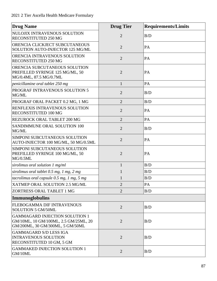| <b>Drug Name</b>                                                                                                   | <b>Drug Tier</b> | <b>Requirements/Limits</b> |
|--------------------------------------------------------------------------------------------------------------------|------------------|----------------------------|
| NULOJIX INTRAVENOUS SOLUTION<br>RECONSTITUTED 250 MG                                                               | $\overline{2}$   | B/D                        |
| ORENCIA CLICKJECT SUBCUTANEOUS<br>SOLUTION AUTO-INJECTOR 125 MG/ML                                                 | $\overline{2}$   | PA                         |
| ORENCIA INTRAVENOUS SOLUTION<br>RECONSTITUTED 250 MG                                                               | $\overline{2}$   | PA                         |
| ORENCIA SUBCUTANEOUS SOLUTION<br>PREFILLED SYRINGE 125 MG/ML, 50<br>MG/0.4ML, 87.5 MG/0.7ML                        | $\overline{2}$   | PA                         |
| penicillamine oral tablet 250 mg                                                                                   | $\mathbf{1}$     | PA                         |
| PROGRAF INTRAVENOUS SOLUTION 5<br>MG/ML                                                                            | $\overline{2}$   | B/D                        |
| PROGRAF ORAL PACKET 0.2 MG, 1 MG                                                                                   | $\overline{2}$   | B/D                        |
| RENFLEXIS INTRAVENOUS SOLUTION<br>RECONSTITUTED 100 MG                                                             | $\overline{2}$   | PA                         |
| REZUROCK ORAL TABLET 200 MG                                                                                        | $\overline{2}$   | PA                         |
| SANDIMMUNE ORAL SOLUTION 100<br>MG/ML                                                                              | $\overline{2}$   | B/D                        |
| SIMPONI SUBCUTANEOUS SOLUTION<br>AUTO-INJECTOR 100 MG/ML, 50 MG/0.5ML                                              | $\overline{2}$   | PA                         |
| SIMPONI SUBCUTANEOUS SOLUTION<br>PREFILLED SYRINGE 100 MG/ML, 50<br>MG/0.5ML                                       | $\overline{2}$   | PA                         |
| sirolimus oral solution $1$ mg/ml                                                                                  | $\mathbf{1}$     | B/D                        |
| sirolimus oral tablet 0.5 mg, 1 mg, 2 mg                                                                           | $\mathbf{1}$     | B/D                        |
| tacrolimus oral capsule $0.5$ mg, 1 mg, 5 mg                                                                       | $\mathbf{1}$     | B/D                        |
| <b>XATMEP ORAL SOLUTION 2.5 MG/ML</b>                                                                              | $\overline{2}$   | PA                         |
| ZORTRESS ORAL TABLET 1 MG                                                                                          | $\overline{2}$   | B/D                        |
| Immunoglobulins                                                                                                    |                  |                            |
| FLEBOGAMMA DIF INTRAVENOUS<br><b>SOLUTION 5 GM/50ML</b>                                                            | $\overline{2}$   | B/D                        |
| <b>GAMMAGARD INJECTION SOLUTION 1</b><br>GM/10ML, 10 GM/100ML, 2.5 GM/25ML, 20<br>GM/200ML, 30 GM/300ML, 5 GM/50ML | $\overline{2}$   | B/D                        |
| <b>GAMMAGARD S/D LESS IGA</b><br><b>INTRAVENOUS SOLUTION</b><br>RECONSTITUTED 10 GM, 5 GM                          | $\overline{2}$   | B/D                        |
| <b>GAMMAKED INJECTION SOLUTION 1</b><br>GM/10ML                                                                    | $\overline{2}$   | B/D                        |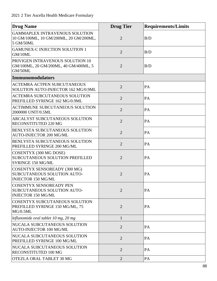| <b>Drug Name</b>                                                                                | <b>Drug Tier</b> | <b>Requirements/Limits</b> |
|-------------------------------------------------------------------------------------------------|------------------|----------------------------|
| <b>GAMMAPLEX INTRAVENOUS SOLUTION</b><br>10 GM/100ML, 10 GM/200ML, 20 GM/200ML,<br>5 GM/50ML    | $\overline{2}$   | B/D                        |
| <b>GAMUNEX-C INJECTION SOLUTION 1</b><br>GM/10ML                                                | $\overline{2}$   | B/D                        |
| PRIVIGEN INTRAVENOUS SOLUTION 10<br>GM/100ML, 20 GM/200ML, 40 GM/400ML, 5<br>GM/50ML            | $\overline{2}$   | B/D                        |
| <b>Immunomodulators</b>                                                                         |                  |                            |
| <b>ACTEMRA ACTPEN SUBCUTANEOUS</b><br>SOLUTION AUTO-INJECTOR 162 MG/0.9ML                       | $\overline{2}$   | PA                         |
| <b>ACTEMRA SUBCUTANEOUS SOLUTION</b><br>PREFILLED SYRINGE 162 MG/0.9ML                          | $\overline{2}$   | PA                         |
| ACTIMMUNE SUBCUTANEOUS SOLUTION<br>2000000 UNIT/0.5ML                                           | $\overline{2}$   | PA                         |
| ARCALYST SUBCUTANEOUS SOLUTION<br>RECONSTITUTED 220 MG                                          | $\overline{2}$   | PA                         |
| <b>BENLYSTA SUBCUTANEOUS SOLUTION</b><br>AUTO-INJECTOR 200 MG/ML                                | $\overline{2}$   | PA                         |
| BENLYSTA SUBCUTANEOUS SOLUTION<br>PREFILLED SYRINGE 200 MG/ML                                   | $\overline{2}$   | PA                         |
| <b>COSENTYX (300 MG DOSE)</b><br>SUBCUTANEOUS SOLUTION PREFILLED<br>SYRINGE 150 MG/ML           | $\overline{2}$   | PA                         |
| <b>COSENTYX SENSOREADY (300 MG)</b><br>SUBCUTANEOUS SOLUTION AUTO-<br><b>INJECTOR 150 MG/ML</b> | $\overline{2}$   | PA                         |
| <b>COSENTYX SENSOREADY PEN</b><br>SUBCUTANEOUS SOLUTION AUTO-<br><b>INJECTOR 150 MG/ML</b>      | $\overline{2}$   | PA                         |
| COSENTYX SUBCUTANEOUS SOLUTION<br>PREFILLED SYRINGE 150 MG/ML, 75<br>MG/0.5ML                   | $\overline{2}$   | PA                         |
| leflunomide oral tablet 10 mg, 20 mg                                                            | $\mathbf{1}$     |                            |
| NUCALA SUBCUTANEOUS SOLUTION<br>AUTO-INJECTOR 100 MG/ML                                         | $\overline{2}$   | PA                         |
| NUCALA SUBCUTANEOUS SOLUTION<br>PREFILLED SYRINGE 100 MG/ML                                     | $\overline{2}$   | PA                         |
| NUCALA SUBCUTANEOUS SOLUTION<br>RECONSTITUTED 100 MG                                            | $\overline{2}$   | PA                         |
| OTEZLA ORAL TABLET 30 MG                                                                        | $\overline{2}$   | PA                         |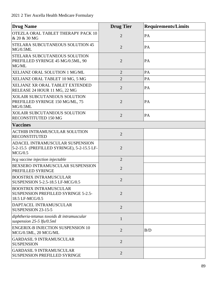| <b>Drug Name</b>                                                                               | <b>Drug Tier</b> | <b>Requirements/Limits</b> |
|------------------------------------------------------------------------------------------------|------------------|----------------------------|
| OTEZLA ORAL TABLET THERAPY PACK 10<br>$\&$ 20 $\&$ 30 MG                                       | $\overline{2}$   | PA                         |
| STELARA SUBCUTANEOUS SOLUTION 45<br>MG/0.5ML                                                   | $\overline{2}$   | PA                         |
| STELARA SUBCUTANEOUS SOLUTION<br>PREFILLED SYRINGE 45 MG/0.5ML, 90<br>MG/ML                    | $\overline{2}$   | PA                         |
| XELJANZ ORAL SOLUTION 1 MG/ML                                                                  | $\overline{2}$   | PA                         |
| XELJANZ ORAL TABLET 10 MG, 5 MG                                                                | $\overline{2}$   | PA                         |
| XELJANZ XR ORAL TABLET EXTENDED<br>RELEASE 24 HOUR 11 MG, 22 MG                                | $\overline{2}$   | PA                         |
| <b>XOLAIR SUBCUTANEOUS SOLUTION</b><br>PREFILLED SYRINGE 150 MG/ML, 75<br>MG/0.5ML             | $\overline{2}$   | PA                         |
| <b>XOLAIR SUBCUTANEOUS SOLUTION</b><br>RECONSTITUTED 150 MG                                    | $\overline{2}$   | PA                         |
| <b>Vaccines</b>                                                                                |                  |                            |
| <b>ACTHIB INTRAMUSCULAR SOLUTION</b><br><b>RECONSTITUTED</b>                                   | $\overline{2}$   |                            |
| ADACEL INTRAMUSCULAR SUSPENSION<br>5-2-15.5 (PREFILLED SYRINGE), 5-2-15.5 LF-<br>MCG/0.5       | $\overline{2}$   |                            |
| bcg vaccine injection injectable                                                               | $\overline{2}$   |                            |
| BEXSERO INTRAMUSCULAR SUSPENSION<br><b>PREFILLED SYRINGE</b>                                   | $\overline{2}$   |                            |
| <b>BOOSTRIX INTRAMUSCULAR</b><br>SUSPENSION 5-2.5-18.5 LF-MCG/0.5                              | $\overline{2}$   |                            |
| <b>BOOSTRIX INTRAMUSCULAR</b><br><b>SUSPENSION PREFILLED SYRINGE 5-2.5-</b><br>18.5 LF-MCG/0.5 | $\overline{2}$   |                            |
| DAPTACEL INTRAMUSCULAR<br>SUSPENSION 23-15-5                                                   | $\overline{2}$   |                            |
| diphtheria-tetanus toxoids dt intramuscular<br>suspension $25-5$ lfu/0.5ml                     | $\mathbf{1}$     |                            |
| <b>ENGERIX-B INJECTION SUSPENSION 10</b><br>MCG/0.5ML, 20 MCG/ML                               | $\overline{2}$   | B/D                        |
| <b>GARDASIL 9 INTRAMUSCULAR</b><br><b>SUSPENSION</b>                                           | $\overline{2}$   |                            |
| <b>GARDASIL 9 INTRAMUSCULAR</b><br>SUSPENSION PREFILLED SYRINGE                                | $\overline{2}$   |                            |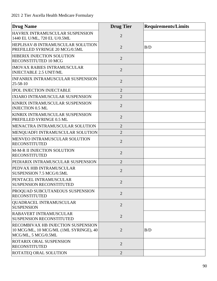| <b>Drug Name</b>                                                                                           | <b>Drug Tier</b> | <b>Requirements/Limits</b> |
|------------------------------------------------------------------------------------------------------------|------------------|----------------------------|
| HAVRIX INTRAMUSCULAR SUSPENSION<br>1440 EL U/ML, 720 EL U/0.5ML                                            | $\overline{2}$   |                            |
| <b>HEPLISAV-B INTRAMUSCULAR SOLUTION</b><br>PREFILLED SYRINGE 20 MCG/0.5ML                                 | $\overline{2}$   | B/D                        |
| <b>HIBERIX INJECTION SOLUTION</b><br><b>RECONSTITUTED 10 MCG</b>                                           | $\overline{2}$   |                            |
| <b>IMOVAX RABIES INTRAMUSCULAR</b><br><b>INJECTABLE 2.5 UNIT/ML</b>                                        | $\overline{2}$   |                            |
| <b>INFANRIX INTRAMUSCULAR SUSPENSION</b><br>$25 - 58 - 10$                                                 | $\overline{2}$   |                            |
| <b>IPOL INJECTION INJECTABLE</b>                                                                           | $\overline{2}$   |                            |
| IXIARO INTRAMUSCULAR SUSPENSION                                                                            | $\overline{2}$   |                            |
| KINRIX INTRAMUSCULAR SUSPENSION<br><b>INJECTION 0.5 ML</b>                                                 | $\overline{2}$   |                            |
| KINRIX INTRAMUSCULAR SUSPENSION<br>PREFILLED SYRINGE 0.5 ML                                                | $\overline{2}$   |                            |
| MENACTRA INTRAMUSCULAR SOLUTION                                                                            | $\overline{2}$   |                            |
| MENQUADFI INTRAMUSCULAR SOLUTION                                                                           | $\overline{2}$   |                            |
| MENVEO INTRAMUSCULAR SOLUTION<br><b>RECONSTITUTED</b>                                                      | $\overline{2}$   |                            |
| M-M-R II INJECTION SOLUTION<br><b>RECONSTITUTED</b>                                                        | $\overline{2}$   |                            |
| PEDIARIX INTRAMUSCULAR SUSPENSION                                                                          | $\overline{2}$   |                            |
| PEDVAX HIB INTRAMUSCULAR<br>SUSPENSION 7.5 MCG/0.5ML                                                       | $\overline{2}$   |                            |
| PENTACEL INTRAMUSCULAR<br><b>SUSPENSION RECONSTITUTED</b>                                                  |                  |                            |
| PROQUAD SUBCUTANEOUS SUSPENSION<br><b>RECONSTITUTED</b>                                                    | $\overline{2}$   |                            |
| QUADRACEL INTRAMUSCULAR<br><b>SUSPENSION</b>                                                               | $\overline{2}$   |                            |
| <b>RABAVERT INTRAMUSCULAR</b><br><b>SUSPENSION RECONSTITUTED</b>                                           | $\overline{2}$   |                            |
| <b>RECOMBIVAX HB INJECTION SUSPENSION</b><br>10 MCG/ML, 10 MCG/ML (1ML SYRINGE), 40<br>MCG/ML, 5 MCG/0.5ML | $\overline{2}$   | B/D                        |
| <b>ROTARIX ORAL SUSPENSION</b><br><b>RECONSTITUTED</b>                                                     | $\overline{2}$   |                            |
| <b>ROTATEQ ORAL SOLUTION</b>                                                                               | $\overline{2}$   |                            |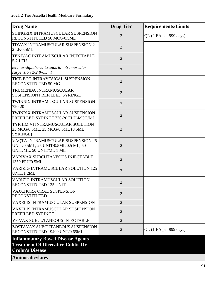| <b>Drug Name</b>                                                                                                                             | <b>Drug Tier</b> | <b>Requirements/Limits</b> |
|----------------------------------------------------------------------------------------------------------------------------------------------|------------------|----------------------------|
| SHINGRIX INTRAMUSCULAR SUSPENSION<br>RECONSTITUTED 50 MCG/0.5ML                                                                              | $\overline{2}$   | QL (2 EA per 999 days)     |
| TDVAX INTRAMUSCULAR SUSPENSION 2-<br>2 LF/0.5ML                                                                                              | $\overline{2}$   |                            |
| TENIVAC INTRAMUSCULAR INJECTABLE<br>$5-2$ LFU                                                                                                | $\overline{2}$   |                            |
| tetanus-diphtheria toxoids td intramuscular<br>suspension $2-2$ lf/0.5ml                                                                     | $\overline{2}$   |                            |
| TICE BCG INTRAVESICAL SUSPENSION<br><b>RECONSTITUTED 50 MG</b>                                                                               | $\overline{2}$   |                            |
| TRUMENBA INTRAMUSCULAR<br><b>SUSPENSION PREFILLED SYRINGE</b>                                                                                | $\overline{2}$   |                            |
| TWINRIX INTRAMUSCULAR SUSPENSION<br>720-20                                                                                                   | $\overline{2}$   |                            |
| TWINRIX INTRAMUSCULAR SUSPENSION<br>PREFILLED SYRINGE 720-20 ELU-MCG/ML                                                                      | $\overline{2}$   |                            |
| TYPHIM VI INTRAMUSCULAR SOLUTION<br>25 MCG/0.5ML, 25 MCG/0.5ML (0.5ML<br>SYRINGE)                                                            | $\overline{2}$   |                            |
| VAQTA INTRAMUSCULAR SUSPENSION 25<br>UNIT/0.5ML, 25 UNIT/0.5ML 0.5 ML, 50<br>UNIT/ML, 50 UNIT/ML 1 ML                                        | $\overline{2}$   |                            |
| <b>VARIVAX SUBCUTANEOUS INJECTABLE</b><br>1350 PFU/0.5ML                                                                                     | $\overline{2}$   |                            |
| <b>VARIZIG INTRAMUSCULAR SOLUTION 125</b><br>UNIT/1.2ML                                                                                      | $\overline{2}$   |                            |
| <b>VARIZIG INTRAMUSCULAR SOLUTION</b><br><b>RECONSTITUTED 125 UNIT</b>                                                                       | 2                |                            |
| VAXCHORA ORAL SUSPENSION<br><b>RECONSTITUTED</b>                                                                                             | $\overline{2}$   |                            |
| <b>VAXELIS INTRAMUSCULAR SUSPENSION</b>                                                                                                      | $\overline{2}$   |                            |
| <b>VAXELIS INTRAMUSCULAR SUSPENSION</b><br>PREFILLED SYRINGE                                                                                 | $\overline{2}$   |                            |
| YF-VAX SUBCUTANEOUS INJECTABLE                                                                                                               | $\overline{2}$   |                            |
| ZOSTAVAX SUBCUTANEOUS SUSPENSION<br>RECONSTITUTED 19400 UNT/0.65ML                                                                           | $\overline{2}$   | QL (1 EA per 999 days)     |
| <b>Inflammatory Bowel Disease Agents -</b><br><b>Treatment Of Ulcerative Colitis Or</b><br><b>Crohn's Disease</b><br><b>Aminosalicylates</b> |                  |                            |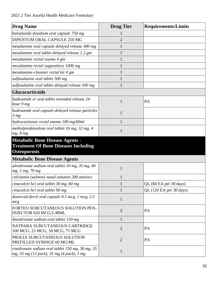| <b>Drug Name</b>                                                                                             | <b>Drug Tier</b> | <b>Requirements/Limits</b> |
|--------------------------------------------------------------------------------------------------------------|------------------|----------------------------|
| balsalazide disodium oral capsule 750 mg                                                                     |                  |                            |
| DIPENTUM ORAL CAPSULE 250 MG                                                                                 | $\overline{2}$   |                            |
| mesalamine oral capsule delayed release 400 mg                                                               |                  |                            |
| mesalamine oral tablet delayed release 1.2 gm                                                                | 1                |                            |
| mesalamine rectal enema 4 gm                                                                                 |                  |                            |
| mesalamine rectal suppository 1000 mg                                                                        | 1                |                            |
| mesalamine-cleanser rectal kit 4 gm                                                                          | 1                |                            |
| sulfasalazine oral tablet 500 mg                                                                             | 1                |                            |
| sulfasalazine oral tablet delayed release 500 mg                                                             | $\mathbf{1}$     |                            |
| <b>Glucocorticoids</b>                                                                                       |                  |                            |
| budesonide er oral tablet extended release 24<br>hour 9 mg                                                   | $\mathbf{1}$     | PA                         |
| budesonide oral capsule delayed release particles<br>3 <sub>mg</sub>                                         | 1                |                            |
| hydrocortisone rectal enema 100 mg/60ml                                                                      | 1                |                            |
| methylprednisolone oral tablet 16 mg, 32 mg, 4<br>mg, 8 mg                                                   | 1                |                            |
| <b>Metabolic Bone Disease Agents -</b><br><b>Treatment Of Bone Diseases Including</b><br><b>Osteoporosis</b> |                  |                            |
| <b>Metabolic Bone Disease Agents</b>                                                                         |                  |                            |
| alendronate sodium oral tablet 10 mg, 35 mg, 40<br>mg, 5 mg, 70 mg                                           | 1                |                            |
| calcitonin (salmon) nasal solution 200 unit/act                                                              | 1                |                            |
| cinacalcet hcl oral tablet 30 mg, 60 mg                                                                      | $\mathbf{1}$     | QL (60 EA per 30 days)     |
| cinacalcet hcl oral tablet 90 mg                                                                             | $\mathbf{1}$     | QL (120 EA per 30 days)    |
| doxercalciferol oral capsule 0.5 mcg, 1 mcg, 2.5<br>mcg                                                      | $\mathbf{1}$     |                            |
| FORTEO SUBCUTANEOUS SOLUTION PEN-<br>INJECTOR 620 MCG/2.48ML                                                 | $\overline{2}$   | PA                         |
| ibandronate sodium oral tablet 150 mg                                                                        | $\mathbf{1}$     |                            |
| NATPARA SUBCUTANEOUS CARTRIDGE<br>100 MCG, 25 MCG, 50 MCG, 75 MCG                                            | $\overline{2}$   | PA                         |
| PROLIA SUBCUTANEOUS SOLUTION<br>PREFILLED SYRINGE 60 MG/ML                                                   | $\overline{2}$   | PA                         |
| risedronate sodium oral tablet $150$ mg, $30$ mg, $35$<br>mg, 35 mg (12 pack), 35 mg (4 pack), 5 mg          | $\mathbf{1}$     |                            |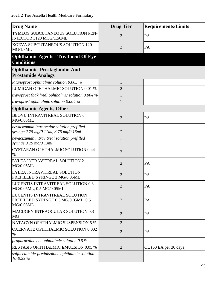| <b>Drug Name</b>                                                                     | <b>Drug Tier</b> | <b>Requirements/Limits</b> |
|--------------------------------------------------------------------------------------|------------------|----------------------------|
| TYMLOS SUBCUTANEOUS SOLUTION PEN-<br>INJECTOR 3120 MCG/1.56ML                        | $\overline{2}$   | PA                         |
| XGEVA SUBCUTANEOUS SOLUTION 120<br>MG/1.7ML                                          | $\overline{2}$   | PA                         |
| <b>Ophthalmic Agents - Treatment Of Eye</b><br><b>Conditions</b>                     |                  |                            |
| <b>Ophthalmic Prostaglandin And</b>                                                  |                  |                            |
| <b>Prostamide Analogs</b>                                                            |                  |                            |
| latanoprost ophthalmic solution $0.005\%$                                            | $\mathbf{1}$     |                            |
| LUMIGAN OPHTHALMIC SOLUTION 0.01 %                                                   | $\overline{2}$   |                            |
| travoprost (bak free) ophthalmic solution 0.004 %                                    | $\mathbf{1}$     |                            |
| travoprost ophthalmic solution $0.004\%$                                             | 1                |                            |
| <b>Ophthalmic Agents, Other</b>                                                      |                  |                            |
| <b>BEOVU INTRAVITREAL SOLUTION 6</b><br><b>MG/0.05ML</b>                             | $\overline{2}$   | PA                         |
| bevacizumab intraocular solution prefilled<br>syringe 2.75 mg/0.11ml, 3.75 mg/0.15ml | $\mathbf{1}$     |                            |
| bevacizumab intravitreal solution prefilled<br>syringe $3.25$ mg/0.13ml              | $\mathbf{1}$     |                            |
| <b>CYSTARAN OPHTHALMIC SOLUTION 0.44</b><br>$\%$                                     | $\overline{2}$   |                            |
| <b>EYLEA INTRAVITREAL SOLUTION 2</b><br><b>MG/0.05ML</b>                             | $\overline{2}$   | PA                         |
| EYLEA INTRAVITREAL SOLUTION<br>PREFILLED SYRINGE 2 MG/0.05ML                         | $\overline{2}$   | PA                         |
| LUCENTIS INTRAVITREAL SOLUTION 0.3<br>MG/0.05ML, 0.5 MG/0.05ML                       | $\overline{2}$   | PA                         |
| LUCENTIS INTRAVITREAL SOLUTION<br>PREFILLED SYRINGE 0.3 MG/0.05ML, 0.5<br>MG/0.05ML  | $\overline{2}$   | PA                         |
| MACUGEN INTRAOCULAR SOLUTION 0.3<br>MG                                               | $\overline{2}$   | PA                         |
| NATACYN OPHTHALMIC SUSPENSION 5 %                                                    | $\overline{2}$   |                            |
| OXERVATE OPHTHALMIC SOLUTION 0.002<br>$\%$                                           | $\overline{2}$   | PA                         |
| proparacaine hcl ophthalmic solution $0.5\%$                                         | $\mathbf{1}$     |                            |
| RESTASIS OPHTHALMIC EMULSION 0.05 %                                                  | $\overline{2}$   | QL (60 EA per 30 days)     |
| sulfacetamide-prednisolone ophthalmic solution<br>$10 - 0.23%$                       | $\mathbf{1}$     |                            |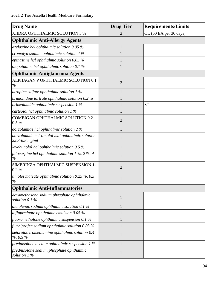| <b>Drug Name</b>                                                      | <b>Drug Tier</b> | <b>Requirements/Limits</b> |
|-----------------------------------------------------------------------|------------------|----------------------------|
| XIIDRA OPHTHALMIC SOLUTION 5 %                                        | 2                | QL (60 EA per 30 days)     |
| <b>Ophthalmic Anti-Allergy Agents</b>                                 |                  |                            |
| azelastine hcl ophthalmic solution $0.05\%$                           | $\mathbf{1}$     |                            |
| cromolyn sodium ophthalmic solution 4 %                               | $\mathbf{1}$     |                            |
| epinastine hcl ophthalmic solution 0.05 %                             | $\mathbf{1}$     |                            |
| olopatadine hcl ophthalmic solution 0.1 %                             | $\mathbf{1}$     |                            |
| <b>Ophthalmic Antiglaucoma Agents</b>                                 |                  |                            |
| ALPHAGAN P OPHTHALMIC SOLUTION 0.1<br>$\%$                            | $\overline{2}$   |                            |
| atropine sulfate ophthalmic solution $1\%$                            | $\mathbf{1}$     |                            |
| brimonidine tartrate ophthalmic solution 0.2 %                        | $\mathbf{1}$     |                            |
| brinzolamide ophthalmic suspension 1 %                                | $\mathbf{1}$     | <b>ST</b>                  |
| carteolol hcl ophthalmic solution 1 %                                 | $\mathbf{1}$     |                            |
| COMBIGAN OPHTHALMIC SOLUTION 0.2-<br>0.5 %                            | $\overline{2}$   |                            |
| dorzolamide hcl ophthalmic solution 2 %                               | $\mathbf{1}$     |                            |
| dorzolamide hcl-timolol mal ophthalmic solution<br>$22.3 - 6.8$ mg/ml | 1                |                            |
| levobunolol hcl ophthalmic solution $0.5\%$                           | $\mathbf{1}$     |                            |
| pilocarpine hcl ophthalmic solution 1 %, 2 %, 4<br>$\%$               | 1                |                            |
| SIMBRINZA OPHTHALMIC SUSPENSION 1-<br>0.2 %                           | $\overline{2}$   |                            |
| timolol maleate ophthalmic solution $0.25\%$ , $0.5$<br>$\%$          | $\mathbf{1}$     |                            |
| <b>Ophthalmic Anti-Inflammatories</b>                                 |                  |                            |
| dexamethasone sodium phosphate ophthalmic<br>solution $0.1\%$         | $\mathbf{1}$     |                            |
| diclofenac sodium ophthalmic solution 0.1 %                           | $\mathbf{1}$     |                            |
| difluprednate ophthalmic emulsion $0.05\%$                            | $\mathbf{1}$     |                            |
| fluorometholone ophthalmic suspension 0.1 $%$                         | $\mathbf{1}$     |                            |
| flurbiprofen sodium ophthalmic solution $0.03\%$                      | $\mathbf{1}$     |                            |
| ketorolac tromethamine ophthalmic solution 0.4<br>$\%$ , 0.5 $\%$     | $\mathbf{1}$     |                            |
| prednisolone acetate ophthalmic suspension $1\%$                      | 1                |                            |
| prednisolone sodium phosphate ophthalmic<br>solution 1 %              | $\mathbf{1}$     |                            |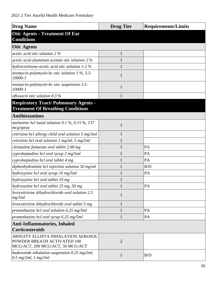| <b>Drug Name</b>                                                                                      | <b>Drug Tier</b> | <b>Requirements/Limits</b> |
|-------------------------------------------------------------------------------------------------------|------------------|----------------------------|
| <b>Otic Agents - Treatment Of Ear</b><br><b>Conditions</b>                                            |                  |                            |
| <b>Otic Agents</b>                                                                                    |                  |                            |
| acetic acid otic solution 2 %                                                                         | 1                |                            |
| acetic acid-aluminum acetate otic solution 2 %                                                        |                  |                            |
| hydrocortisone-acetic acid otic solution 1-2 %                                                        |                  |                            |
| neomycin-polymyxin-hc otic solution 1 %, 3.5-<br>10000-1                                              | 1                |                            |
| neomycin-polymyxin-hc otic suspension 3.5-<br>10000-1                                                 | 1                |                            |
| ofloxacin otic solution $0.3\%$                                                                       |                  |                            |
| <b>Respiratory Tract/ Pulmonary Agents -</b><br><b>Treatment Of Breathing Conditions</b>              |                  |                            |
| <b>Antihistamines</b>                                                                                 |                  |                            |
| azelastine hcl nasal solution $0.1\%$ , $0.15\%$ , 137<br>mcg/spray                                   | 1                |                            |
| cetirizine hcl allergy child oral solution 5 mg/5ml                                                   | 1                |                            |
| cetirizine hcl oral solution $1 \text{ mg/ml}$ , $5 \text{ mg/ml}$                                    |                  |                            |
| clemastine fumarate oral tablet 2.68 mg                                                               |                  | PA                         |
| cyproheptadine hcl oral syrup 2 mg/5ml                                                                |                  | PA                         |
| cyproheptadine hcl oral tablet 4 mg                                                                   |                  | PA                         |
| diphenhydramine hcl injection solution 50 mg/ml                                                       |                  | B/D                        |
| hydroxyzine hcl oral syrup 10 mg/5ml                                                                  |                  | PA                         |
| hydroxyzine hcl oral tablet 10 mg                                                                     |                  |                            |
| hydroxyzine hcl oral tablet 25 mg, 50 mg                                                              |                  | PA                         |
| levocetirizine dihydrochloride oral solution 2.5<br>mg/5ml                                            | $\mathbf{1}$     |                            |
| levocetirizine dihydrochloride oral tablet 5 mg                                                       | 1                |                            |
| promethazine hcl oral solution 6.25 mg/5ml                                                            |                  | PA                         |
| promethazine hcl oral syrup 6.25 mg/5ml                                                               | 1                | PA                         |
| <b>Anti-Inflammatories, Inhaled</b><br><b>Corticosteroids</b>                                         |                  |                            |
| ARNUITY ELLIPTA INHALATION AEROSOL<br>POWDER BREATH ACTIVATED 100<br>MCG/ACT, 200 MCG/ACT, 50 MCG/ACT | $\overline{2}$   |                            |
| budesonide inhalation suspension $0.25$ mg/2ml,<br>$0.5$ mg/2ml, 1 mg/2ml                             | $\mathbf{1}$     | B/D                        |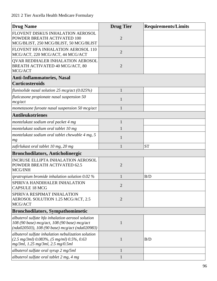| <b>Drug Name</b>                                                                                                                                         | <b>Drug</b> Tier | <b>Requirements/Limits</b> |
|----------------------------------------------------------------------------------------------------------------------------------------------------------|------------------|----------------------------|
| FLOVENT DISKUS INHALATION AEROSOL<br>POWDER BREATH ACTIVATED 100<br>MCG/BLIST, 250 MCG/BLIST, 50 MCG/BLIST                                               | $\overline{2}$   |                            |
| FLOVENT HFA INHALATION AEROSOL 110<br>MCG/ACT, 220 MCG/ACT, 44 MCG/ACT                                                                                   | $\overline{2}$   |                            |
| QVAR REDIHALER INHALATION AEROSOL<br>BREATH ACTIVATED 40 MCG/ACT, 80<br>MCG/ACT                                                                          | $\overline{2}$   |                            |
| <b>Anti-Inflammatories, Nasal</b><br><b>Corticosteroids</b>                                                                                              |                  |                            |
| flunisolide nasal solution 25 mcg/act $(0.025\%)$                                                                                                        | 1                |                            |
| fluticasone propionate nasal suspension 50<br>mcg/act                                                                                                    | 1                |                            |
| mometasone furoate nasal suspension 50 mcg/act                                                                                                           | 1                |                            |
| <b>Antileukotrienes</b>                                                                                                                                  |                  |                            |
| montelukast sodium oral packet 4 mg                                                                                                                      | $\mathbf{1}$     |                            |
| montelukast sodium oral tablet 10 mg                                                                                                                     |                  |                            |
| montelukast sodium oral tablet chewable 4 mg, 5<br>mg                                                                                                    | $\mathbf{1}$     |                            |
| zafirlukast oral tablet 10 mg, 20 mg                                                                                                                     | 1                | <b>ST</b>                  |
| <b>Bronchodilators, Anticholinergic</b>                                                                                                                  |                  |                            |
| <b>INCRUSE ELLIPTA INHALATION AEROSOL</b><br>POWDER BREATH ACTIVATED 62.5<br>MCG/INH                                                                     | $\overline{2}$   |                            |
| ipratropium bromide inhalation solution $0.02\%$                                                                                                         |                  | B/D                        |
| SPIRIVA HANDIHALER INHALATION<br><b>CAPSULE 18 MCG</b>                                                                                                   | $\overline{2}$   |                            |
| SPIRIVA RESPIMAT INHALATION<br>AEROSOL SOLUTION 1.25 MCG/ACT, 2.5<br>MCG/ACT                                                                             | $\overline{2}$   |                            |
| <b>Bronchodilators, Sympathomimetic</b>                                                                                                                  |                  |                            |
| albuterol sulfate hfa inhalation aerosol solution<br>108 (90 base) mcg/act, 108 (90 base) mcg/act<br>(nda020503), 108 (90 base) mcg/act (nda020983)      | 1                |                            |
| albuterol sulfate inhalation nebulization solution<br>$(2.5 \text{ mg/3ml})$ 0.083%, $(5 \text{ mg/ml})$ 0.5%, 0.63<br>mg/3ml, 1.25 mg/3ml, 2.5 mg/0.5ml | 1                | B/D                        |
| albuterol sulfate oral syrup 2 mg/5ml                                                                                                                    | $\mathbf{1}$     |                            |
| albuterol sulfate oral tablet 2 mg, 4 mg                                                                                                                 | $\mathbf{1}$     |                            |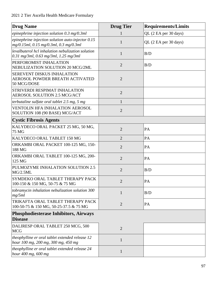| <b>Drug Name</b>                                                                                 | <b>Drug Tier</b> | <b>Requirements/Limits</b> |
|--------------------------------------------------------------------------------------------------|------------------|----------------------------|
| epinephrine injection solution $0.3 \text{ mg}/0.3 \text{ ml}$                                   | 1                | QL (2 EA per 30 days)      |
| epinephrine injection solution auto-injector $0.15$<br>mg/0.15ml, 0.15 mg/0.3ml, 0.3 mg/0.3ml    | $\mathbf{1}$     | QL (2 EA per 30 days)      |
| levalbuterol hcl inhalation nebulization solution<br>$0.31$ mg/3ml, $0.63$ mg/3ml, $1.25$ mg/3ml | $\mathbf{1}$     | B/D                        |
| PERFOROMIST INHALATION<br>NEBULIZATION SOLUTION 20 MCG/2ML                                       | $\overline{2}$   | B/D                        |
| SEREVENT DISKUS INHALATION<br>AEROSOL POWDER BREATH ACTIVATED<br>50 MCG/DOSE                     | $\overline{2}$   |                            |
| STRIVERDI RESPIMAT INHALATION<br><b>AEROSOL SOLUTION 2.5 MCG/ACT</b>                             | $\overline{2}$   |                            |
| terbutaline sulfate oral tablet 2.5 mg, 5 mg                                                     | $\mathbf{1}$     |                            |
| <b>VENTOLIN HFA INHALATION AEROSOL</b><br>SOLUTION 108 (90 BASE) MCG/ACT                         | $\overline{2}$   |                            |
| <b>Cystic Fibrosis Agents</b>                                                                    |                  |                            |
| KALYDECO ORAL PACKET 25 MG, 50 MG,<br><b>75 MG</b>                                               | $\overline{2}$   | PA                         |
| KALYDECO ORAL TABLET 150 MG                                                                      | $\overline{2}$   | PA                         |
| ORKAMBI ORAL PACKET 100-125 MG, 150-<br>188 MG                                                   | $\overline{2}$   | PA                         |
| ORKAMBI ORAL TABLET 100-125 MG, 200-<br>125 MG                                                   | $\overline{2}$   | PA                         |
| PULMOZYME INHALATION SOLUTION 2.5<br>MG/2.5ML                                                    | $\overline{2}$   | B/D                        |
| SYMDEKO ORAL TABLET THERAPY PACK<br>100-150 & 150 MG, 50-75 & 75 MG                              | $\overline{2}$   | PA                         |
| tobramycin inhalation nebulization solution 300<br>mg/5ml                                        | $\mathbf{1}$     | B/D                        |
| TRIKAFTA ORAL TABLET THERAPY PACK<br>100-50-75 & 150 MG, 50-25-37.5 & 75 MG                      | $\overline{2}$   | PA                         |
| <b>Phosphodiesterase Inhibitors, Airways</b><br><b>Disease</b>                                   |                  |                            |
| DALIRESP ORAL TABLET 250 MCG, 500<br><b>MCG</b>                                                  | $\overline{2}$   |                            |
| theophylline er oral tablet extended release 12<br>hour 100 mg, 200 mg, 300 mg, 450 mg           | $\mathbf{1}$     |                            |
| theophylline er oral tablet extended release 24<br>hour 400 mg, 600 mg                           | $\mathbf{1}$     |                            |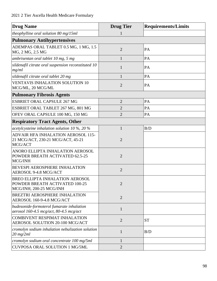| <b>Drug Name</b>                                                                             | <b>Drug Tier</b> | <b>Requirements/Limits</b> |
|----------------------------------------------------------------------------------------------|------------------|----------------------------|
| theophylline oral solution $80 \text{ mg}/15 \text{ml}$                                      |                  |                            |
| <b>Pulmonary Antihypertensives</b>                                                           |                  |                            |
| ADEMPAS ORAL TABLET 0.5 MG, 1 MG, 1.5<br>MG, 2 MG, 2.5 MG                                    | $\overline{2}$   | PA                         |
| ambrisentan oral tablet 10 mg, 5 mg                                                          | $\mathbf{1}$     | PA                         |
| sildenafil citrate oral suspension reconstituted 10<br>mg/ml                                 | 1                | PA                         |
| sildenafil citrate oral tablet 20 mg                                                         | 1                | PA                         |
| <b>VENTAVIS INHALATION SOLUTION 10</b><br>MCG/ML, 20 MCG/ML                                  | $\overline{2}$   | PA                         |
| <b>Pulmonary Fibrosis Agents</b>                                                             |                  |                            |
| <b>ESBRIET ORAL CAPSULE 267 MG</b>                                                           | $\overline{2}$   | PA                         |
| ESBRIET ORAL TABLET 267 MG, 801 MG                                                           | $\overline{2}$   | PA                         |
| OFEV ORAL CAPSULE 100 MG, 150 MG                                                             | $\overline{2}$   | PA                         |
| <b>Respiratory Tract Agents, Other</b>                                                       |                  |                            |
| acetylcysteine inhalation solution 10 $\%$ , 20 $\%$                                         | $\mathbf{1}$     | B/D                        |
| ADVAIR HFA INHALATION AEROSOL 115-<br>21 MCG/ACT, 230-21 MCG/ACT, 45-21<br>MCG/ACT           | $\overline{2}$   |                            |
| ANORO ELLIPTA INHALATION AEROSOL<br>POWDER BREATH ACTIVATED 62.5-25<br>MCG/INH               | $\overline{2}$   |                            |
| <b>BEVESPI AEROSPHERE INHALATION</b><br>AEROSOL 9-4.8 MCG/ACT                                | $\overline{2}$   |                            |
| BREO ELLIPTA INHALATION AEROSOL<br>POWDER BREATH ACTIVATED 100-25<br>MCG/INH, 200-25 MCG/INH | $\overline{2}$   |                            |
| <b>BREZTRI AEROSPHERE INHALATION</b><br>AEROSOL 160-9-4.8 MCG/ACT                            | $\overline{2}$   |                            |
| budesonide-formoterol fumarate inhalation<br>aerosol 160-4.5 mcg/act, 80-4.5 mcg/act         | $\mathbf{1}$     |                            |
| <b>COMBIVENT RESPIMAT INHALATION</b><br>AEROSOL SOLUTION 20-100 MCG/ACT                      | $\overline{2}$   | <b>ST</b>                  |
| cromolyn sodium inhalation nebulization solution<br>$20$ mg/2ml                              | 1                | B/D                        |
| cromolyn sodium oral concentrate 100 mg/5ml                                                  | $\mathbf{1}$     |                            |
| CUVPOSA ORAL SOLUTION 1 MG/5ML                                                               | $\overline{2}$   |                            |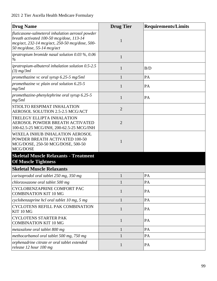| <b>Drug Name</b>                                                                                                                                                             | <b>Drug Tier</b> | <b>Requirements/Limits</b> |
|------------------------------------------------------------------------------------------------------------------------------------------------------------------------------|------------------|----------------------------|
| fluticasone-salmeterol inhalation aerosol powder<br>breath activated 100-50 mcg/dose, 113-14<br>mcg/act, 232-14 mcg/act, 250-50 mcg/dose, 500-<br>50 mcg/dose, 55-14 mcg/act | 1                |                            |
| ipratropium bromide nasal solution $0.03\%$ , $0.06$<br>$\%$                                                                                                                 | $\mathbf{1}$     |                            |
| ipratropium-albuterol inhalation solution 0.5-2.5<br>$(3)$ mg/3ml                                                                                                            | 1                | B/D                        |
| promethazine vc oral syrup 6.25-5 mg/5ml                                                                                                                                     | $\mathbf{1}$     | PA                         |
| promethazine vc plain oral solution 6.25-5<br>mg/5ml                                                                                                                         | $\mathbf{1}$     | PA                         |
| promethazine-phenylephrine oral syrup 6.25-5<br>mg/5ml                                                                                                                       | 1                | PA                         |
| STIOLTO RESPIMAT INHALATION<br>AEROSOL SOLUTION 2.5-2.5 MCG/ACT                                                                                                              | $\overline{2}$   |                            |
| TRELEGY ELLIPTA INHALATION<br>AEROSOL POWDER BREATH ACTIVATED<br>100-62.5-25 MCG/INH, 200-62.5-25 MCG/INH                                                                    | $\overline{2}$   |                            |
| WIXELA INHUB INHALATION AEROSOL<br>POWDER BREATH ACTIVATED 100-50<br>MCG/DOSE, 250-50 MCG/DOSE, 500-50<br>MCG/DOSE                                                           | $\mathbf{1}$     |                            |
| <b>Skeletal Muscle Relaxants - Treatment</b><br><b>Of Muscle Tightness</b>                                                                                                   |                  |                            |
| <b>Skeletal Muscle Relaxants</b>                                                                                                                                             |                  |                            |
| carisoprodol oral tablet 250 mg, 350 mg                                                                                                                                      | 1                | PA                         |
| chlorzoxazone oral tablet 500 mg                                                                                                                                             |                  | <b>PA</b>                  |
| CYCLOBENZAPRINE COMFORT PAC<br><b>COMBINATION KIT 10 MG</b>                                                                                                                  | $\mathbf{1}$     | PA                         |
| cyclobenzaprine hcl oral tablet 10 mg, 5 mg                                                                                                                                  | $\mathbf{1}$     | PA                         |
| <b>CYCLOTENS REFILL PAK COMBINATION</b><br>KIT 10 MG                                                                                                                         | $\mathbf{1}$     | PA                         |
| <b>CYCLOTENS STARTER PAK</b><br><b>COMBINATION KIT 10 MG</b>                                                                                                                 | $\mathbf{1}$     | PA                         |
| metaxalone oral tablet 800 mg                                                                                                                                                | $\mathbf{1}$     | PA                         |
| methocarbamol oral tablet 500 mg, 750 mg                                                                                                                                     | $\mathbf{1}$     | PA                         |
| orphenadrine citrate er oral tablet extended<br>release 12 hour 100 mg                                                                                                       | $\mathbf{1}$     | PA                         |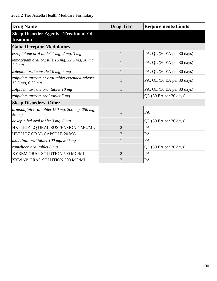| <b>Drug Name</b>                                                        | <b>Drug Tier</b> | <b>Requirements/Limits</b>    |
|-------------------------------------------------------------------------|------------------|-------------------------------|
| <b>Sleep Disorder Agents - Treatment Of</b><br><b>Insomnia</b>          |                  |                               |
| <b>Gaba Receptor Modulators</b>                                         |                  |                               |
| eszopiclone oral tablet $1$ mg, $2$ mg, $3$ mg                          | 1                | PA; QL (30 EA per 30 days)    |
| temazepam oral capsule 15 mg, 22.5 mg, 30 mg,<br>7.5 <sub>mg</sub>      | 1                | $PA$ ; QL (30 EA per 30 days) |
| zaleplon oral capsule 10 mg, 5 mg                                       | 1                | PA; QL (30 EA per 30 days)    |
| zolpidem tartrate er oral tablet extended release<br>$12.5$ mg, 6.25 mg | 1                | PA; QL (30 EA per 30 days)    |
| zolpidem tartrate oral tablet 10 mg                                     | 1                | $PA$ ; QL (30 EA per 30 days) |
| zolpidem tartrate oral tablet 5 mg                                      |                  | QL (30 EA per 30 days)        |
| <b>Sleep Disorders, Other</b>                                           |                  |                               |
| armodafinil oral tablet 150 mg, 200 mg, 250 mg,<br>$50$ mg              | 1                | PA                            |
| doxepin hcl oral tablet $3$ mg, $6$ mg                                  | 1                | QL (30 EA per 30 days)        |
| HETLIOZ LQ ORAL SUSPENSION 4 MG/ML                                      | $\overline{2}$   | PA                            |
| HETLIOZ ORAL CAPSULE 20 MG                                              | $\overline{2}$   | PA                            |
| modafinil oral tablet 100 mg, 200 mg                                    | 1                | PA                            |
| ramelteon oral tablet 8 mg                                              | $\mathbf{1}$     | QL (30 EA per 30 days)        |
| XYREM ORAL SOLUTION 500 MG/ML                                           | $\overline{2}$   | PA                            |
| XYWAV ORAL SOLUTION 500 MG/ML                                           | $\overline{2}$   | PA                            |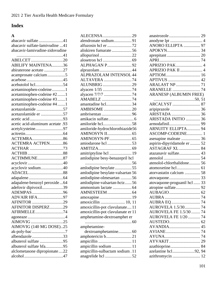# **Index**

| $\mathbf{A}$                     |
|----------------------------------|
| abacavir sulfate41               |
| abacavir sulfate-lamivudine 41   |
| abacavir-lamivudine-zidovudine   |
|                                  |
| ABELCET20                        |
| <b>ABILIFY MAINTENA36</b>        |
| abiraterone acetate 27           |
| acamprosate calcium5             |
|                                  |
|                                  |
| acetaminophen-codeine1           |
| acetaminophen-codeine #21        |
| acetaminophen-codeine #31        |
| acetaminophen-codeine #4 1       |
| acetazolamide 57                 |
| acetazolamide er 57              |
|                                  |
| acetic acid-aluminum acetate .93 |
| acetylcysteine97                 |
|                                  |
| ACTEMRA86                        |
| <b>ACTEMRA ACTPEN86</b>          |
| ACTHAR 73                        |
|                                  |
| ACTIMMUNE87                      |
|                                  |
| acyclovir sodium40               |
|                                  |
|                                  |
| adapalene-benzoyl peroxide  64   |
| adefovir dipivoxil39             |
| ADEMPAS96                        |
| ADVAIR HFA97                     |
| AFINITOR 29                      |
| <b>AFINITOR DISPERZ29</b>        |
| AFIRMELLE74                      |
|                                  |
|                                  |
| AIMOVIG (140 MG DOSE)25          |
| ak-poly-bac 7                    |
| albendazole33                    |
| albuterol sulfate 95             |
| albuterol sulfate hfa95          |
| alclometasone dipropionate22     |
|                                  |

| ALECENSA29                        |  |
|-----------------------------------|--|
| alendronate sodium91              |  |
|                                   |  |
| aliskiren fumarate56              |  |
| allopurinol 22                    |  |
|                                   |  |
| ALPHAGAN P92                      |  |
| alprazolam44                      |  |
| ALPRAZOLAM INTENSOL 44            |  |
| ALTAVERA 74                       |  |
| ALUNBRIG29                        |  |
|                                   |  |
|                                   |  |
| AMABELZ 74                        |  |
| amantadine hcl34                  |  |
|                                   |  |
|                                   |  |
|                                   |  |
|                                   |  |
| amiloride hcl58                   |  |
| amiloride-hydrochlorothiazide56   |  |
|                                   |  |
|                                   |  |
| amiodarone hcl 53                 |  |
|                                   |  |
| amitriptyline hcl  19             |  |
| amlodipine besy-benazepril hcl    |  |
|                                   |  |
| amlodipine besylate 55            |  |
| amlodipine besylate-valsartan 56  |  |
| amlodipine-olmesartan 56          |  |
| amlodipine-valsartan-hctz56       |  |
| ammonium lactate  64              |  |
|                                   |  |
| amoxapine19                       |  |
| amoxicillin  10, 11               |  |
| amoxicillin-pot clavulanate11     |  |
| amoxicillin-pot clavulanate er 11 |  |
| amphetamine-dextroamphet er       |  |
| amphetamine-                      |  |
|                                   |  |
| dextroamphetamine60               |  |
| amphotericin b21                  |  |
|                                   |  |
| ampicillin sodium 11              |  |
| ampicillin-sulbactam sodium.11    |  |
|                                   |  |

| ANORO ELLIPTA  97             |  |
|-------------------------------|--|
|                               |  |
|                               |  |
|                               |  |
|                               |  |
| APRIZIO PAK II  4             |  |
|                               |  |
|                               |  |
| <b>ARALAST NP</b> 71          |  |
| <b>ARANELLE</b> 74            |  |
| <b>ARANESP (ALBUMIN FREE)</b> |  |
|                               |  |
|                               |  |
|                               |  |
|                               |  |
| ARISTADA INITIO  36           |  |
|                               |  |
| <b>ARNUITY ELLIPTA 94</b>     |  |
| ASCOMP-CODEINE 1              |  |
| asenapine maleate  36         |  |
| aspirin-dipyridamole er  52   |  |
| ASTAGRAF XL  84               |  |
| atazanavir sulfate 43         |  |
|                               |  |
| atenolol-chlorthalidone 56    |  |
|                               |  |
| atorvastatin calcium  58      |  |
|                               |  |
| atovaquone-proguanil hcl  33  |  |
|                               |  |
|                               |  |
|                               |  |
| AUBRA EQ  74                  |  |
| AUROVELA 1.5/30 74            |  |
| AUROVELA FE 1.5/30  74        |  |
| AUROVELA FE 1/20  74          |  |
|                               |  |
|                               |  |
|                               |  |
|                               |  |
|                               |  |
| azathioprine 84               |  |
| azelastine hcl92, 94          |  |
| azithromycin  12              |  |
|                               |  |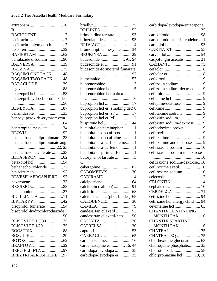| B                                                       |  |
|---------------------------------------------------------|--|
| <b>BACIGUENT</b> 7                                      |  |
|                                                         |  |
| bacitracin-polymyxin b 7                                |  |
|                                                         |  |
|                                                         |  |
| balsalazide disodium90                                  |  |
| BALVERSA 29<br><b>BALZIVA</b> 75                        |  |
| <b>BAQSIMI ONE PACK48</b>                               |  |
| <b>BAQSIMI TWO PACK48</b>                               |  |
| BARACLUDE39                                             |  |
|                                                         |  |
|                                                         |  |
| benazepril-hydrochlorothiazide                          |  |
| <b>BENLYSTA</b> 87                                      |  |
| benznidazole 33                                         |  |
| benzoyl peroxide-erythromycin                           |  |
|                                                         |  |
| benztropine mesylate34                                  |  |
|                                                         |  |
| betamethasone dipropionate 23                           |  |
|                                                         |  |
| betamethasone dipropionate aug                          |  |
|                                                         |  |
| betamethasone valerate 23                               |  |
|                                                         |  |
| betaxolol hcl 54<br>bethanechol chloride 72             |  |
| bevacizumab92                                           |  |
| <b>BEVESPI AEROSPHERE97</b>                             |  |
| bexarotene 33                                           |  |
|                                                         |  |
| bicalutamide 27                                         |  |
| <b>BICILLIN L-A</b> 11                                  |  |
| BIKTARVY 42                                             |  |
| bisoprolol fumarate54<br>bisoprolol-hydrochlorothiazide |  |
|                                                         |  |
| BLISOVI FE 1.5/3075                                     |  |
| BLISOVI FE 1/2075                                       |  |
|                                                         |  |
| BOSULIF 29                                              |  |
| BRAFTOVI29                                              |  |
| BREO ELLIPTA 97<br><b>BREZTRI AEROSPHERE97</b>          |  |

| <b>BRILINTA</b> 52                |
|-----------------------------------|
| brimonidine tartrate 93           |
| brinzolamide93                    |
| <b>BRIVIACT</b> 14                |
| bromocriptine mesylate34          |
| <b>BRUKINSA</b> 29                |
|                                   |
| budesonide er 91                  |
| budesonide-formoterol fumarate    |
|                                   |
| bumetanide57                      |
| buprenorphine 3                   |
|                                   |
| buprenorphine hcl-naloxone hcl    |
|                                   |
| bupropion hcl er (smoking det) 6  |
| bupropion hcl er (sr)  17         |
| bupropion hcl er (xl) 17          |
|                                   |
| butalbital-acetaminophen1         |
| butalbital-apap-caff-cod1         |
| butalbital-apap-caffeine  1       |
| butalbital-asa-caff-codeine 1     |
| butalbital-asa-caffeine 1         |
| butalbital-aspirin-caffeine 1     |
| butorphanol tartrate 3            |
| C                                 |
|                                   |
| CABOMETYX30                       |
| CADIRAMD4                         |
|                                   |
| calcitonin (salmon)91             |
|                                   |
| calcium acetate (phos binder). 68 |
| CALQUENCE30                       |
|                                   |
| candesartan cilexetil 53          |
| candesartan cilexetil-hctz56      |
| CAPLYTA 36                        |
| CAPRELSA 30                       |
|                                   |
|                                   |
| carbamazepine 16                  |
| carbamazepine er  16, 44          |
| carbidopa-levodopa 35             |
| carbidopa-levodopa er  35         |

| carbidopa-levodopa-entacapone    |  |
|----------------------------------|--|
|                                  |  |
|                                  |  |
| carisoprodol-aspirin-codeine  1  |  |
|                                  |  |
|                                  |  |
| caspofungin acetate  21          |  |
|                                  |  |
|                                  |  |
|                                  |  |
|                                  |  |
|                                  |  |
| cefazolin sodium-dextrose 9      |  |
|                                  |  |
|                                  |  |
|                                  |  |
|                                  |  |
|                                  |  |
|                                  |  |
| cefoxitin sodium-dextrose  9     |  |
| cefpodoxime proxetil 9           |  |
|                                  |  |
|                                  |  |
| ceftazidime and dextrose  9      |  |
| ceftriaxone sodium 10            |  |
| ceftriaxone sodium in dextrose   |  |
| ceftriaxone sodium-dextrose 10   |  |
| cefuroxime axetil 10             |  |
| cefuroxime sodium 10             |  |
|                                  |  |
| <b>CELONTIN</b> 14               |  |
|                                  |  |
|                                  |  |
|                                  |  |
| cetirizine hcl allergy child  94 |  |
|                                  |  |
| <b>CHANTIX CONTINUING</b>        |  |
|                                  |  |
| <b>CHANTIX STARTING</b>          |  |
|                                  |  |
|                                  |  |
|                                  |  |
| chlorhexidine gluconate  63      |  |
| chloroquine phosphate 33         |  |
|                                  |  |
| chlorpromazine hcl19, 20         |  |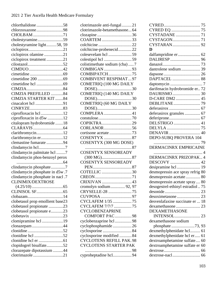| chlorthalidone58                 |
|----------------------------------|
| chlorzoxazone98                  |
| CHOLBAM 71                       |
| cholestyramine59                 |
| cholestyramine light58, 59       |
| ciclopirox21                     |
| ciclopirox olamine 21            |
| ciclopirox treatment21           |
|                                  |
| CIMDUO42                         |
|                                  |
|                                  |
|                                  |
|                                  |
| CIMZIA PREFILLED 84              |
| CIMZIA STARTER KIT 84            |
| cinacalcet hcl 91                |
|                                  |
| ciprofloxacin hcl12              |
| ciprofloxacin in d5w 12          |
| citalopram hydrobromide 18       |
|                                  |
| clarithromycin12                 |
| clarithromycin er12              |
| clemastine fumarate 94           |
| clindamycin hcl7                 |
| clindamycin palmitate hcl 7      |
| clindamycin phos-benzoyl perox   |
|                                  |
| clindamycin phosphate7           |
| clindamycin phosphate in d5w.7   |
| clindamycin phosphate in nacl.7  |
| CLINIMIX/DEXTROSE                |
|                                  |
|                                  |
|                                  |
| clobetasol prop emollient base23 |
| clobetasol propionate 23         |
| clobetasol propionate e23        |
| clobetavix 23                    |
| clomipramine hcl 19              |
| clonazepam44                     |
|                                  |
| clonidine hcl 52                 |
|                                  |
| clopidogrel bisulfate52          |
| clorazepate dipotassium 44       |
|                                  |
| clotrimazole21                   |

| clotrimazole anti-fungal21     |  |
|--------------------------------|--|
| clotrimazole-betamethasone64   |  |
| clozapine 36                   |  |
| COARTEM 33                     |  |
|                                |  |
| colchicine-probenecid22        |  |
| colesevelam hcl 59             |  |
|                                |  |
| colistimethate sodium (cba) 7  |  |
| COMBIGAN 93                    |  |
| COMBIPATCH75                   |  |
| <b>COMBIVENT RESPIMAT97</b>    |  |
| COMETRIQ (100 MG DAILY         |  |
|                                |  |
| <b>COMETRIQ (140 MG DAILY</b>  |  |
|                                |  |
| COMETRIQ (60 MG DAILY          |  |
|                                |  |
| COMPLERA  41                   |  |
| COPIKTRA29                     |  |
| CORLANOR56                     |  |
| cortisone acetate 73           |  |
|                                |  |
|                                |  |
|                                |  |
| <b>COSENTYX SENSOREADY</b>     |  |
| $(300 \text{ MG})$ 87          |  |
| <b>COSENTYX SENSOREADY</b>     |  |
|                                |  |
| COTELLIC 30                    |  |
|                                |  |
| CRIXIVAN 43                    |  |
| cromolyn sodium 92, 97         |  |
| CRYSELLE-28 75                 |  |
|                                |  |
| CYCLAFEM 1/35 75               |  |
| CYCLAFEM 7/7/7 75              |  |
| <b>CYCLOBENZAPRINE</b>         |  |
| COMFORT PAC 98                 |  |
| cyclobenzaprine hcl98          |  |
| cyclophosphamide26             |  |
| cyclosporine 84                |  |
| cyclosporine modified  84      |  |
| <b>CYCLOTENS REFILL PAK.98</b> |  |
| <b>CYCLOTENS STARTER PAK</b>   |  |
|                                |  |
| cyproheptadine hcl94           |  |

| D                                |  |
|----------------------------------|--|
| dalfampridine er 62              |  |
|                                  |  |
|                                  |  |
| dantrolene sodium 39             |  |
|                                  |  |
|                                  |  |
|                                  |  |
| darifenacin hydrobromide er 72   |  |
|                                  |  |
| D-CARE DM2  45                   |  |
|                                  |  |
|                                  |  |
| deferasirox granules  67         |  |
|                                  |  |
| DELSTRIGO  41                    |  |
|                                  |  |
|                                  |  |
| DEPO-SUBQ PROVERA 104            |  |
|                                  |  |
|                                  |  |
| DERMACINRX EMPRICAINE            |  |
|                                  |  |
| DERMACINRX PRIZOPAK4             |  |
|                                  |  |
| desipramine hcl  19              |  |
| desmopressin ace spray refrig 80 |  |
| desmopressin acetate  80         |  |
| desmopressin acetate spray 80    |  |
| desogestrel-ethinyl estradiol75  |  |
|                                  |  |
|                                  |  |
| desvenlafaxine succinate er  18  |  |
|                                  |  |
| DEXAMETHASONE                    |  |
|                                  |  |
| dexamethasone sodium             |  |
| phosphate73, 93                  |  |
| dexmethylphenidate hcl 61        |  |
| dexmethylphenidate hcl er 61     |  |
| dextroamphetamine sulfate 60     |  |
| dextroamphetamine sulfate er 60  |  |
|                                  |  |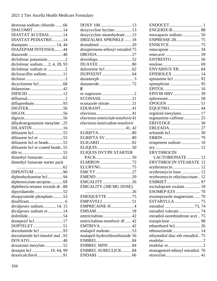| dextrose-sodium chloride 66<br>DIACOMIT 14<br>DIASTAT ACUDIAL14<br><b>DIASTAT PEDIATRIC14</b><br>diazepam 14, 44<br>DIAZEPAM INTENSOL44<br>diclofenac potassium2<br>diclofenac sodium  2, 4, 28, 93<br>diclofenac sodium er 2<br>dicloxacillin sodium11<br>didanosine42<br>difluprednate93<br>dihydroergotamine mesylate 25<br>DILANTIN16<br>diltiazem hcl 55<br>diltiazem hcl er 55<br>diltiazem hcl er beads55<br>diltiazem hcl er coated beads55<br>dimethyl fumarate starter pack<br>DIPENTUM 90<br>diphenhydramine hcl94<br>diphenoxylate-atropine69<br>diphtheria-tetanus toxoids dt 88<br>disopyramide phosphate53<br>divalproex sodium 14, 15<br>divalproex sodium er14<br>donepezil hcl17<br>DOPTELET51<br>dorzolamide hcl 93 |
|----------------------------------------------------------------------------------------------------------------------------------------------------------------------------------------------------------------------------------------------------------------------------------------------------------------------------------------------------------------------------------------------------------------------------------------------------------------------------------------------------------------------------------------------------------------------------------------------------------------------------------------------------------------------------------------------------------------------------------------|
|                                                                                                                                                                                                                                                                                                                                                                                                                                                                                                                                                                                                                                                                                                                                        |
|                                                                                                                                                                                                                                                                                                                                                                                                                                                                                                                                                                                                                                                                                                                                        |
|                                                                                                                                                                                                                                                                                                                                                                                                                                                                                                                                                                                                                                                                                                                                        |
|                                                                                                                                                                                                                                                                                                                                                                                                                                                                                                                                                                                                                                                                                                                                        |
|                                                                                                                                                                                                                                                                                                                                                                                                                                                                                                                                                                                                                                                                                                                                        |
|                                                                                                                                                                                                                                                                                                                                                                                                                                                                                                                                                                                                                                                                                                                                        |
|                                                                                                                                                                                                                                                                                                                                                                                                                                                                                                                                                                                                                                                                                                                                        |
|                                                                                                                                                                                                                                                                                                                                                                                                                                                                                                                                                                                                                                                                                                                                        |
|                                                                                                                                                                                                                                                                                                                                                                                                                                                                                                                                                                                                                                                                                                                                        |
|                                                                                                                                                                                                                                                                                                                                                                                                                                                                                                                                                                                                                                                                                                                                        |
|                                                                                                                                                                                                                                                                                                                                                                                                                                                                                                                                                                                                                                                                                                                                        |
|                                                                                                                                                                                                                                                                                                                                                                                                                                                                                                                                                                                                                                                                                                                                        |
|                                                                                                                                                                                                                                                                                                                                                                                                                                                                                                                                                                                                                                                                                                                                        |
|                                                                                                                                                                                                                                                                                                                                                                                                                                                                                                                                                                                                                                                                                                                                        |
|                                                                                                                                                                                                                                                                                                                                                                                                                                                                                                                                                                                                                                                                                                                                        |
|                                                                                                                                                                                                                                                                                                                                                                                                                                                                                                                                                                                                                                                                                                                                        |
|                                                                                                                                                                                                                                                                                                                                                                                                                                                                                                                                                                                                                                                                                                                                        |
|                                                                                                                                                                                                                                                                                                                                                                                                                                                                                                                                                                                                                                                                                                                                        |
|                                                                                                                                                                                                                                                                                                                                                                                                                                                                                                                                                                                                                                                                                                                                        |
|                                                                                                                                                                                                                                                                                                                                                                                                                                                                                                                                                                                                                                                                                                                                        |
|                                                                                                                                                                                                                                                                                                                                                                                                                                                                                                                                                                                                                                                                                                                                        |
|                                                                                                                                                                                                                                                                                                                                                                                                                                                                                                                                                                                                                                                                                                                                        |
|                                                                                                                                                                                                                                                                                                                                                                                                                                                                                                                                                                                                                                                                                                                                        |
|                                                                                                                                                                                                                                                                                                                                                                                                                                                                                                                                                                                                                                                                                                                                        |
|                                                                                                                                                                                                                                                                                                                                                                                                                                                                                                                                                                                                                                                                                                                                        |
|                                                                                                                                                                                                                                                                                                                                                                                                                                                                                                                                                                                                                                                                                                                                        |
|                                                                                                                                                                                                                                                                                                                                                                                                                                                                                                                                                                                                                                                                                                                                        |
|                                                                                                                                                                                                                                                                                                                                                                                                                                                                                                                                                                                                                                                                                                                                        |
|                                                                                                                                                                                                                                                                                                                                                                                                                                                                                                                                                                                                                                                                                                                                        |
|                                                                                                                                                                                                                                                                                                                                                                                                                                                                                                                                                                                                                                                                                                                                        |
|                                                                                                                                                                                                                                                                                                                                                                                                                                                                                                                                                                                                                                                                                                                                        |
|                                                                                                                                                                                                                                                                                                                                                                                                                                                                                                                                                                                                                                                                                                                                        |
|                                                                                                                                                                                                                                                                                                                                                                                                                                                                                                                                                                                                                                                                                                                                        |
|                                                                                                                                                                                                                                                                                                                                                                                                                                                                                                                                                                                                                                                                                                                                        |
|                                                                                                                                                                                                                                                                                                                                                                                                                                                                                                                                                                                                                                                                                                                                        |
|                                                                                                                                                                                                                                                                                                                                                                                                                                                                                                                                                                                                                                                                                                                                        |
|                                                                                                                                                                                                                                                                                                                                                                                                                                                                                                                                                                                                                                                                                                                                        |
|                                                                                                                                                                                                                                                                                                                                                                                                                                                                                                                                                                                                                                                                                                                                        |
|                                                                                                                                                                                                                                                                                                                                                                                                                                                                                                                                                                                                                                                                                                                                        |
|                                                                                                                                                                                                                                                                                                                                                                                                                                                                                                                                                                                                                                                                                                                                        |
|                                                                                                                                                                                                                                                                                                                                                                                                                                                                                                                                                                                                                                                                                                                                        |
|                                                                                                                                                                                                                                                                                                                                                                                                                                                                                                                                                                                                                                                                                                                                        |
|                                                                                                                                                                                                                                                                                                                                                                                                                                                                                                                                                                                                                                                                                                                                        |
|                                                                                                                                                                                                                                                                                                                                                                                                                                                                                                                                                                                                                                                                                                                                        |
| dorzolamide hcl-timolol mal93                                                                                                                                                                                                                                                                                                                                                                                                                                                                                                                                                                                                                                                                                                          |
| DOVATO 40                                                                                                                                                                                                                                                                                                                                                                                                                                                                                                                                                                                                                                                                                                                              |
| doxazosin mesylate 52                                                                                                                                                                                                                                                                                                                                                                                                                                                                                                                                                                                                                                                                                                                  |
|                                                                                                                                                                                                                                                                                                                                                                                                                                                                                                                                                                                                                                                                                                                                        |
| doxepin hcl  19, 64, 99                                                                                                                                                                                                                                                                                                                                                                                                                                                                                                                                                                                                                                                                                                                |

| doxycycline hyclate  13           |
|-----------------------------------|
|                                   |
| doxycycline monohydrate13         |
| <b>DRIZALMA SPRINKLE 18</b>       |
|                                   |
|                                   |
| drospirenone-ethinyl estradiol 75 |
|                                   |
|                                   |
|                                   |
|                                   |
|                                   |
|                                   |
|                                   |
|                                   |
|                                   |
| E                                 |
|                                   |
| ECONASIL21                        |
|                                   |
| econazole nitrate21               |
| EDURANT41                         |
|                                   |
|                                   |
| efavirenz-emtricitab-tenofovir41  |
| efavirenz-lamivudine-tenofovir    |
|                                   |
|                                   |
|                                   |
| EGRIFTA SV80                      |
|                                   |
|                                   |
| ELIQUIS DVT/PE STARTER            |
|                                   |
|                                   |
| ELMIRON 72                        |
| ELURYNG75                         |
|                                   |
|                                   |
|                                   |
| EMGALITY 26                       |
| EMGALITY (300 MG DOSE)            |
|                                   |
|                                   |
| <b>EMOQUETTE</b> 75               |
| EMPAVELI 51                       |
| EMPRICAINE-II4                    |
|                                   |
|                                   |
| emtricitabine42                   |
| emtricitabine-tenofovir df  42    |
|                                   |
| EMTRIVA 42                        |
| enalapril maleate53               |
| enalapril-hydrochlorothiazide 56  |
|                                   |
|                                   |
| <b>ENBREL MINI  84</b>            |
|                                   |
| <b>ENBREL SURECLICK 84</b>        |
|                                   |

| enoxaparin sodium  50              |    |
|------------------------------------|----|
| ENPRESSE-28 75                     |    |
|                                    |    |
|                                    | 34 |
|                                    | 39 |
|                                    |    |
|                                    | 69 |
| ENVARSUS XR                        | 84 |
|                                    |    |
| EPIDIOLEX  14                      |    |
|                                    | 92 |
|                                    | 95 |
|                                    |    |
|                                    |    |
|                                    |    |
|                                    |    |
| EQUETRO 44                         |    |
| ergoloid mesylates 17              |    |
| ergotamine-caffeine 25             |    |
|                                    |    |
|                                    |    |
|                                    |    |
|                                    |    |
| ertapenem sodium  10               |    |
|                                    |    |
| <b>ERYTHROCIN</b>                  |    |
| LACTOBIONATE                       | 12 |
| <b>ERYTHROCIN STEARATE 12</b>      |    |
|                                    |    |
|                                    |    |
| erythromycin base 12               |    |
| erythromycin ethylsuccinate        | 12 |
|                                    |    |
| escitalopram oxalate 18            |    |
|                                    |    |
| esomeprazole magnesium 70          |    |
| ESTARYLLA  75                      |    |
| estradiol 73, 74                   |    |
|                                    |    |
| estradiol-norethindrone acet75     |    |
|                                    |    |
|                                    |    |
|                                    |    |
| ethynodiol diac-eth estradiol 75   |    |
|                                    |    |
|                                    |    |
| etonogestrel-ethinyl estradiol. 76 |    |
|                                    |    |
|                                    |    |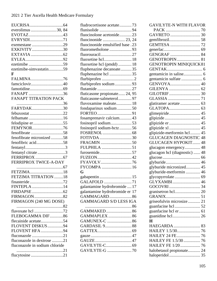| everolimus 30, 84              |  |
|--------------------------------|--|
|                                |  |
| EVRYSDI71                      |  |
|                                |  |
| EXKIVITY30                     |  |
|                                |  |
|                                |  |
|                                |  |
| ezetimibe-simvastatin59        |  |
| F                              |  |
| FALMINA76                      |  |
| famciclovir40                  |  |
|                                |  |
| FANAPT 36                      |  |
| <b>FANAPT TITRATION PACK</b>   |  |
|                                |  |
| FARYDAK30                      |  |
| febuxostat 22                  |  |
| felbamate16                    |  |
|                                |  |
| FEMYNOR76                      |  |
|                                |  |
| fenofibrate micronized 58      |  |
| fenofibric acid58              |  |
|                                |  |
| fentanyl citrate3              |  |
|                                |  |
| FERRIPROX TWICE-A-DAY          |  |
|                                |  |
| FETZIMA18                      |  |
| FETZIMA TITRATION 18           |  |
|                                |  |
| FINTEPLA 14                    |  |
|                                |  |
| FIRMAGON82                     |  |
| FIRMAGON (240 MG DOSE)         |  |
|                                |  |
|                                |  |
| FLEBOGAMMA DIF86               |  |
| flecainide acetate54           |  |
| FLOVENT DISKUS94               |  |
| FLOVENT HFA94                  |  |
| fluconazole 21                 |  |
| fluconazole in dextrose 21     |  |
| fluconazole in sodium chloride |  |
|                                |  |
|                                |  |

| fludrocortisone acetate73        |  |
|----------------------------------|--|
|                                  |  |
| fluocinolone acetonide23         |  |
| fluocinonide  23, 24             |  |
| fluocinonide emulsified base .23 |  |
| fluorometholone 93               |  |
| fluorouracil27                   |  |
| fluoxetine hcl 18                |  |
| fluoxetine hcl (pmdd)  18        |  |
| fluphenazine decanoate35         |  |
| fluphenazine hcl 35              |  |
|                                  |  |
| flurbiprofen sodium93            |  |
| flutamide27                      |  |
| fluticasone propionate 24, 95    |  |
| fluticasone-salmeterol97         |  |
| fluvoxamine maleate 18           |  |
| fondaparinux sodium 50           |  |
|                                  |  |
| fosamprenavir calcium43          |  |
| fosinopril sodium53              |  |
| fosinopril sodium-hctz56         |  |
|                                  |  |
| FOTIVDA 30                       |  |
|                                  |  |
| FULPHILA 51                      |  |
| furosemide57                     |  |
|                                  |  |
| FYAVOLV76                        |  |
| FYCOMPA 16                       |  |
| G                                |  |
| gabapentin  15                   |  |
| GALAFOLD 71                      |  |
| galantamine hydrobromide  17     |  |
| galantamine hydrobromide er 17   |  |
| GAMMAGARD86                      |  |
| <b>GAMMAGARD S/D LESS IGA</b>    |  |
| 86                               |  |
| GAMMAKED86                       |  |
| GAMMAPLEX  86                    |  |
|                                  |  |
| GARDASIL 988                     |  |
|                                  |  |
|                                  |  |
|                                  |  |
|                                  |  |
|                                  |  |
|                                  |  |

| <b>GAVILYTE-N WITH FLAVOR</b>    |
|----------------------------------|
|                                  |
|                                  |
|                                  |
|                                  |
|                                  |
| GENGRAF  84                      |
| <b>GENOTROPIN 81</b>             |
| <b>GENOTROPIN MINIQUICK81</b>    |
|                                  |
|                                  |
|                                  |
| GENVOYA 40                       |
|                                  |
|                                  |
|                                  |
| glatiramer acetate  63           |
|                                  |
| glimepiride 45                   |
|                                  |
|                                  |
|                                  |
| glipizide-metformin hcl  45      |
| <b>GLUCAGEN DIAGNOSTIC 48</b>    |
| <b>GLUCAGEN HYPOKIT 48</b>       |
| glucagon emergency 48            |
| glucagon hcl (diagnostic)  48    |
|                                  |
|                                  |
| glyburide micronized 45          |
| glyburide-metformin  46          |
| glycopyrrolate 69<br>GLYXAMBI 46 |
|                                  |
| granisetron hcl 20               |
|                                  |
| griseofulvin microsize 21        |
|                                  |
| guanfacine hcl er  61            |
|                                  |
| $\bf H$                          |
| HAEGARDA  83                     |
|                                  |
| HAILEY 24 FE 76                  |
| HAILEY FE 1.5/30  76             |
| HAILEY FE 1/20  76               |
| halobetasol propionate 24        |
|                                  |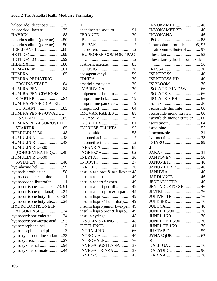| haloperidol decanoate 35         |
|----------------------------------|
| haloperidol lactate35            |
|                                  |
| heparin sodium (porcine) 50      |
| heparin sodium (porcine) pf 50   |
|                                  |
|                                  |
| HETLIOZ LQ 99                    |
|                                  |
| <b>HUMATROPE</b> 81              |
|                                  |
| <b>HUMIRA PEDIATRIC</b>          |
| CROHNS START84                   |
| <b>HUMIRA PEN </b> 84            |
| <b>HUMIRA PEN-CD/UC/HS</b>       |
|                                  |
| HUMIRA PEN-PEDIATRIC             |
|                                  |
| HUMIRA PEN-PS/UV/ADOL            |
|                                  |
| HUMIRA PEN-PSOR/UVEIT            |
| STARTER 85                       |
| HUMULIN 70/30 48                 |
| <b>HUMULIN N 48</b>              |
| <b>HUMULIN R48</b>               |
| <b>HUMULIN R U-500</b>           |
| (CONCENTRATED)48                 |
| <b>HUMULIN R U-500</b>           |
| KWIKPEN48                        |
| hydralazine hcl59                |
| hydrochlorothiazide 58           |
| hydrocodone-acetaminophen1       |
| hydrocodone-ibuprofen1           |
| hydrocortisone  24, 73, 91       |
| hydrocortisone (perianal) 24     |
| hydrocortisone butyr lipo base24 |
| hydrocortisone butyrate24        |
| HYDROCORTISONE IN                |
| ABSORBASE24                      |
| hydrocortisone valerate 24       |
| hydrocortisone-acetic acid93     |
| hydromorphone hcl3               |
| hydromorphone hcl pf3            |
| hydroxychloroquine sulfate33     |
| hydroxyurea27                    |
| hydroxyzine hcl 94               |
| hydroxyzine pamoate44            |

| T                                  |  |
|------------------------------------|--|
| ibandronate sodium 91              |  |
| IBRANCE30                          |  |
|                                    |  |
|                                    |  |
|                                    |  |
| <b>IBUPROFEN COMFORT PAC</b>       |  |
|                                    |  |
| icatibant acetate  83              |  |
|                                    |  |
| icosapent ethyl59                  |  |
|                                    |  |
| imatinib mesylate 30               |  |
| <b>IMBRUVICA</b> 30                |  |
| imipenem-cilastatin  10            |  |
| imipramine hcl 19                  |  |
| imipramine pamoate  19             |  |
|                                    |  |
| IMOVAX RABIES 88                   |  |
|                                    |  |
| <b>INCRELEX</b> 81                 |  |
| <b>INCRUSE ELLIPTA 95</b>          |  |
|                                    |  |
| indomethacin2                      |  |
| indomethacin er2                   |  |
| INFANRIX88                         |  |
|                                    |  |
|                                    |  |
|                                    |  |
|                                    |  |
| insulin asp prot & asp flexpen 48  |  |
| insulin aspart 49                  |  |
| insulin aspart flexpen 49          |  |
| insulin aspart penfill49           |  |
| insulin aspart prot & aspart49     |  |
|                                    |  |
| insulin lispro (1 unit dial) 49    |  |
| insulin lispro junior kwikpen . 49 |  |
| insulin lispro prot & lispro49     |  |
|                                    |  |
| <b>INSULIN SYRINGE 48</b>          |  |
| INTELENCE 41                       |  |
|                                    |  |
| <b>INTRON A40</b>                  |  |
| <b>INTROVALE</b> 76                |  |
| INVEGA SUSTENNA 37                 |  |
| INVEGA TRINZA 37                   |  |
|                                    |  |

| <b>INVOKAMET</b> 46            |  |
|--------------------------------|--|
| <b>INVOKAMET XR</b> 46         |  |
| <b>INVOKANA</b> 46             |  |
|                                |  |
| ipratropium bromide95, 97      |  |
| ipratropium-albuterol  97      |  |
|                                |  |
| irbesartan-hydrochlorothiazide |  |
|                                |  |
|                                |  |
| <b>ISENTRESS</b> 40            |  |
| <b>ISENTRESS HD 40</b>         |  |
|                                |  |
| ISOLYTE-P IN D5W  66           |  |
|                                |  |
| ISOLYTE-S PH 7.4  66           |  |
|                                |  |
| isosorbide dinitrate 60        |  |
| isosorbide mononitrate  60     |  |
| isosorbide mononitrate er  60  |  |
|                                |  |
|                                |  |
|                                |  |
|                                |  |
|                                |  |
| I.                             |  |
|                                |  |
|                                |  |
| JANUMET 46                     |  |
| <b>JANUMET XR</b> 46           |  |
|                                |  |
| JARDIANCE  46                  |  |
| JENTADUETO 46                  |  |
| JENTADUETO XR  46              |  |
|                                |  |
|                                |  |
|                                |  |
|                                |  |
|                                |  |
| JUNEL FE 1.5/30 76             |  |
| JUNEL FE 1/20 76               |  |
|                                |  |
|                                |  |
| $\mathbf K$                    |  |
|                                |  |
|                                |  |
|                                |  |
|                                |  |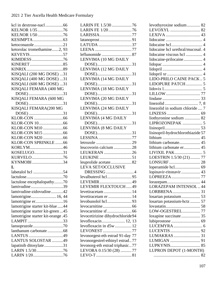| KELNOR 1/35 76                          |
|-----------------------------------------|
| KELNOR 1/5076                           |
|                                         |
| ketoconazole 21                         |
| ketorolac tromethamine2, 93             |
| KEVEYIS57                               |
|                                         |
|                                         |
|                                         |
| KISQALI (200 MG DOSE) 31                |
| KISQALI (400 MG DOSE) 31                |
| KISQALI (600 MG DOSE) 31                |
| KISQALI FEMARA (400 MG                  |
| DOSE) 31                                |
| KISQALI FEMARA (600 MG                  |
| DOSE) 31                                |
| KISQALI FEMARA(200 MG                   |
| DOSE) 31                                |
|                                         |
|                                         |
|                                         |
|                                         |
|                                         |
|                                         |
|                                         |
| KLOR-CON SPRINKLE66                     |
| KORLYM46                                |
| KOSELUGO31                              |
| KURVELO76<br>KYNMOBI34                  |
| L                                       |
|                                         |
| labetalol hcl 54                        |
|                                         |
| lactulose encephalopathy70              |
| lamivudine39<br>lamivudine-zidovudine42 |
|                                         |
| lamotrigine 16, 44                      |
| lamotrigine er16                        |
| lamotrigine starter kit-blue 44         |
| lamotrigine starter kit-green45         |
| lamotrigine starter kit-orange .45      |
| LAMPIT 33                               |
| lanthanum carbonate 68                  |
|                                         |
| LANTUS SOLOSTAR 49                      |
| lapatinib ditosylate31                  |
| LARIN 1.5/3076                          |

| LARIN FE 1.5/30 76               |    |
|----------------------------------|----|
| LARIN FE 1/2076                  |    |
| LARISSIA77                       |    |
|                                  |    |
| LATUDA 37                        |    |
|                                  |    |
|                                  |    |
| LENVIMA (10 MG DAILY             |    |
|                                  |    |
| DOSE)31<br>LENVIMA (12 MG DAILY  |    |
|                                  |    |
|                                  |    |
|                                  | 31 |
| DOSE)<br>LENVIMA (18 MG DAILY    |    |
| DOSE)31                          |    |
| LENVIMA (20 MG DAILY             |    |
|                                  |    |
| 31<br>DOSE)                      |    |
| LENVIMA (24 MG DAILY             |    |
|                                  |    |
|                                  |    |
| DOSE)31                          |    |
| LENVIMA (8 MG DAILY              |    |
|                                  |    |
|                                  |    |
|                                  |    |
| leucovorin calcium 28            |    |
| LEUKERAN 26                      |    |
|                                  |    |
| leuprolide acetate82             |    |
| <b>LEVA SET/OCCLUSIVE</b>        |    |
| DRESSING 4                       |    |
|                                  |    |
| LEVEMIR<br>49                    |    |
| LEVEMIR FLEXTOUCH49              |    |
| levetiracetam  14                |    |
| levetiracetam er  14             |    |
| levobunolol hcl93                |    |
|                                  |    |
|                                  |    |
| levocetirizine dihydrochloride94 |    |
| levofloxacin 12, 13              |    |
| levofloxacin in d5w  12          |    |
| LEVONEST 77                      |    |
| levonorgest-eth estrad 91-day 77 |    |
|                                  |    |
| levonorgestrel-ethinyl estrad77  |    |
| levonorg-eth estrad triphasic77  |    |
|                                  |    |
| LEVORA 0.15/30 (28) 77           |    |

| levothyroxine sodium 82           |  |
|-----------------------------------|--|
|                                   |  |
|                                   |  |
|                                   |  |
|                                   |  |
| lidocaine hcl urethral/mucosal. 4 |  |
| lidocaine viscous hcl  4          |  |
| lidocaine-prilocaine 4            |  |
|                                   |  |
|                                   |  |
|                                   |  |
| LIDO-PRILO CAINE PACK5            |  |
| LIDOPURE PATCH 5                  |  |
|                                   |  |
|                                   |  |
|                                   |  |
|                                   |  |
| linezolid in sodium chloride  7   |  |
|                                   |  |
| liothyronine sodium  82           |  |
| LIPROZONEPAK  5                   |  |
|                                   |  |
| lisinopril-hydrochlorothiazide 57 |  |
|                                   |  |
| lithium carbonate 45              |  |
| lithium carbonate er 45           |  |
|                                   |  |
| LOESTRIN 1.5/30 (21) 77           |  |
|                                   |  |
| loperamide hcl 69                 |  |
| lopinavir-ritonavir  43           |  |
| LOPREEZA77                        |  |
| lorazepam 44                      |  |
| <b>LORAZEPAM INTENSOL 44</b>      |  |
|                                   |  |
| losartan potassium 53             |  |
| losartan potassium-hctz  57       |  |
|                                   |  |
| LOW-OGESTREL 77                   |  |
| loxapine succinate 35             |  |
|                                   |  |
|                                   |  |
|                                   |  |
|                                   |  |
|                                   |  |
|                                   |  |
| LUPRON DEPOT (1-MONTH)            |  |
|                                   |  |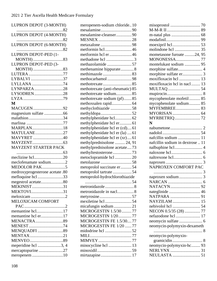| LUPRON DEPOT (3-MONTH)                  |
|-----------------------------------------|
| 82                                      |
|                                         |
| LUPRON DEPOT (6-MONTH)                  |
|                                         |
| LUPRON DEPOT-PED (1-                    |
| LUPRON DEPOT-PED (3-                    |
| MONTH)83                                |
| LUTERA77                                |
| LYBALVI 37                              |
| LYLLANA 74                              |
| LYNPARZA28                              |
| LYSODREN28                              |
|                                         |
| M                                       |
| MACUGEN92                               |
| magnesium sulfate 66                    |
| malathion34                             |
|                                         |
| MARPLAN18                               |
| MATULANE27                              |
| MAVYRET 40                              |
|                                         |
|                                         |
|                                         |
| <b>MAYZENT STARTER PACK</b>             |
|                                         |
| meclizine hcl20                         |
| meclofenamate sodium2                   |
| MEDOLOR PAK5                            |
| medroxyprogesterone acetate .80         |
| mefloquine hcl 33                       |
| megestrol acetate80                     |
| MEKINIST31                              |
| MEKTOVI31                               |
| <b>MELOXICAM COMFORT</b>                |
|                                         |
|                                         |
| memantine hcl17<br>memantine hcl er17   |
| <b>MENACTRA</b> 89                      |
|                                         |
| MENEST74<br><b>MENQUADFI</b> 89         |
| MENTAX21                                |
|                                         |
|                                         |
| meperidine hcl 3, 4<br>mercaptopurine27 |

| meropenem-sodium chloride10      |            |
|----------------------------------|------------|
|                                  |            |
| mesalamine-cleanser90            |            |
| MESNEX 28                        |            |
| metaxalone 98                    |            |
| metformin hcl46                  |            |
| metformin hcl er 46              |            |
| methadone hcl 3                  |            |
| methazolamide 57                 |            |
| methenamine hippurate8           |            |
|                                  |            |
| methocarbamol98                  |            |
|                                  |            |
| methotrexate (anti-rheumatic) 85 |            |
| methotrexate sodium85            |            |
| methotrexate sodium (pf)85       |            |
|                                  |            |
| methyclothiazide 58              |            |
|                                  |            |
| methylphenidate hcl 62           |            |
| methylphenidate hcl er 61        |            |
| methylphenidate hcl er (cd)61    |            |
| methylphenidate hcl er (la)  61  |            |
| methylphenidate hcl er (xr)61    |            |
| methylprednisolone  24, 91       |            |
| methylprednisolone acetate73     |            |
| methyltestosterone73             |            |
| metoclopramide hcl 20            |            |
|                                  |            |
| metoprolol succinate er54        |            |
| metoprolol tartrate 54           |            |
| metoprolol-hydrochlorothiazide   |            |
|                                  | $\dots$ 54 |
|                                  |            |
| metronidazole in nacl8           |            |
|                                  |            |
| mexiletine hcl 54                |            |
| micafungin sodium21              |            |
| MICROGESTIN 1.5/3077             |            |
| MICROGESTIN 1/2077               |            |
| MICROGESTIN FE 1.5/3077          |            |
| MICROGESTIN FE 1/20 77           |            |
| midodrine hcl 52                 |            |
|                                  |            |
| MIMVEY77                         |            |
| minocycline hcl  13              |            |
|                                  |            |
|                                  |            |
| mirtazapine 17                   |            |

| mometasone furoate 24, 95        |
|----------------------------------|
|                                  |
| montelukast sodium  95           |
|                                  |
|                                  |
|                                  |
| moxifloxacin hcl in nacl 13      |
|                                  |
|                                  |
| mycophenolate mofetil 85         |
| mycophenolate sodium 85          |
| MYFEMBREE 83                     |
|                                  |
| MYRBETRIQ 72                     |
| N                                |
|                                  |
|                                  |
| nafcillin sodium  11             |
| nafcillin sodium in dextrose  11 |
|                                  |
|                                  |
|                                  |
|                                  |
| NAPROXEN COMFORT PAC             |
|                                  |
|                                  |
|                                  |
|                                  |
|                                  |
|                                  |
|                                  |
|                                  |
| NECON 0.5/35 (28)  77            |
| nefazodone hcl  17               |
|                                  |
| neomycin-polymyxin-dexameth      |
|                                  |
| neomycin-polymyxin-              |
|                                  |
| neomycin-polymyxin-hc 93         |
|                                  |
|                                  |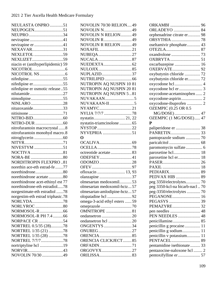## 2021 2 Tier Ascella Health Medicare Formulary

| NEULASTA ONPRO 51                 |  |
|-----------------------------------|--|
| NEUPOGEN51                        |  |
| NEUPRO 34                         |  |
| nevirapine41                      |  |
| nevirapine er 41                  |  |
| NEXAVAR31                         |  |
| NEXLETOL 59                       |  |
| NEXLIZET59                        |  |
| niacin er (antihyperlipidemic) 59 |  |
|                                   |  |
|                                   |  |
|                                   |  |
| nifedipine er55                   |  |
| nifedipine er osmotic release55   |  |
| nilutamide27                      |  |
| nimodipine55                      |  |
| NINLARO 28                        |  |
| nitazoxanide33                    |  |
|                                   |  |
|                                   |  |
|                                   |  |
| nitrofurantoin macrocrystal 8     |  |
| nitrofurantoin monohyd macro.8    |  |
|                                   |  |
|                                   |  |
| NIVESTYM 51                       |  |
| NOCTIVA81                         |  |
|                                   |  |
| <b>NORDITROPIN FLEXPRO81</b>      |  |
| norethin ace-eth estrad-fe 77     |  |
| norethindrone80                   |  |
| norethindrone acetate80           |  |
| norethindrone acet-ethinyl est 77 |  |
| norethindrone-eth estradiol78     |  |
| norgestimate-eth estradiol 78     |  |
| norgestim-eth estrad triphasic.78 |  |
| NORLYDA78                         |  |
| NORLYROC 80                       |  |
|                                   |  |
| NORMOSOL-R PH 7.4 66              |  |
| NORPACE CR 54                     |  |
| NORTREL 0.5/35 (28)78             |  |
| NORTREL 1/35 (21) 78              |  |
| NORTREL 1/35 (28) 78              |  |
| NORTREL 7/7/778                   |  |
| nortriptyline hcl 19              |  |
|                                   |  |
| NOVOLIN 70/30 49                  |  |

| NOVOLIN 70/30 RELION 49      |  |
|------------------------------|--|
| <b>NOVOLIN N49</b>           |  |
| <b>NOVOLIN N RELION 49</b>   |  |
| NOVOLIN R49                  |  |
| <b>NOVOLIN R RELION 49</b>   |  |
| NOXAFIL 21                   |  |
| NUBEQA27                     |  |
|                              |  |
|                              |  |
| NUPLAZID37                   |  |
|                              |  |
| NUTROPIN AQ NUSPIN 10 81     |  |
| NUTROPIN AQ NUSPIN 20 81     |  |
| NUTROPIN AQ NUSPIN 5.81      |  |
|                              |  |
|                              |  |
| NYAMYC21                     |  |
| NYLIA 7/7/7 78               |  |
| nystatin 21, 22              |  |
| nystatin-triamcinolone  65   |  |
|                              |  |
| NYVEPRIA 51                  |  |
| O                            |  |
|                              |  |
|                              |  |
|                              |  |
| octreotide acetate83         |  |
| ODEFSEY41                    |  |
|                              |  |
|                              |  |
| ofloxacin  13, 93            |  |
|                              |  |
| olmesartan medoxomil53       |  |
| olmesartan medoxomil-hctz57  |  |
| olmesartan-amlodipine-hctz57 |  |
|                              |  |
| omega-3-acid ethyl esters 59 |  |
|                              |  |
| <b>OMNITROPE</b> 81          |  |
|                              |  |
| ondansetron hcl 20           |  |
| <b>ONGENTYS</b> 34           |  |
| ONUREG27                     |  |
|                              |  |
| ORENCIA CLICKJECT85          |  |
| ORFADIN71<br>ORGOVYX27       |  |

| ORKAMBI  96                    |    |
|--------------------------------|----|
| <b>ORLADEYO</b> 84             |    |
| orphenadrine citrate er        | 98 |
| <b>ORSYTHIA</b>                | 78 |
| oseltamivir phosphate 43       |    |
|                                | 87 |
|                                |    |
|                                |    |
| oxcarbazepine  16              |    |
| <b>OXERVATE 92</b>             |    |
| oxybutynin chloride  72        |    |
| oxybutynin chloride er 72      |    |
| oxycodone hcl  4               |    |
| oxycodone-acetaminophen  2     |    |
|                                |    |
| oxycodone-ibuprofen  2         |    |
| <b>OZEMPIC (0.25 OR 0.5</b>    |    |
| MG/DOSE)  47                   |    |
| OZEMPIC (1 MG/DOSE) 47         |    |
| $\mathbf{P}$                   |    |
| paliperidone er  38            |    |
| PANRETIN 33                    |    |
|                                |    |
|                                |    |
| paromomycin sulfate 6          |    |
|                                |    |
| paroxetine hcl er 18           |    |
|                                |    |
|                                |    |
|                                |    |
| PEDVAX HIB  89                 |    |
| peg 3350/electrolytes 70       |    |
| peg 3350-kcl-na bicarb-nacl 70 |    |
| peg-3350/electrolytes  70      |    |
| PEGANONE 16                    |    |
|                                |    |
|                                |    |
| pen needles  48                |    |
| PEN NEEDLES  48                |    |
|                                |    |
| penicillin g procaine 11       |    |
| penicillin g sodium 11         |    |
| penicillin v potassium 11      |    |
|                                |    |
| pentamidine isethionate 33     |    |
| pentazocine-naloxone hcl2      |    |
|                                |    |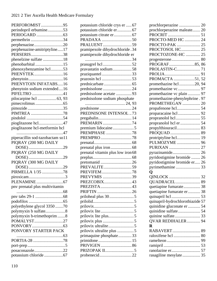## 2021 2 Tier Ascella Health Medicare Formulary

| PERFOROMIST95                    |
|----------------------------------|
| perindopril erbumine53           |
|                                  |
| permethrin 34                    |
| perphenazine20                   |
| perphenazine-amitriptyline17     |
| PERSERIS38                       |
| phenelzine sulfate 18            |
| phenobarbital 15                 |
| phenoxybenzamine hcl53           |
| PHENYTEK16                       |
|                                  |
| PHENYTOIN INFATABS16             |
| phenytoin sodium extended16      |
| PIFELTRO 41                      |
| pilocarpine hcl  63, 93          |
|                                  |
|                                  |
| PIMTREA 78                       |
|                                  |
| pioglitazone hcl47               |
| pioglitazone hcl-metformin hcl   |
|                                  |
| piperacillin sod-tazobactam so11 |
| PIQRAY (200 MG DAILY             |
| DOSE)<br>29                      |
|                                  |
| PIQRAY (250 MG DAILY             |
| DOSE) 29                         |
| PIQRAY (300 MG DAILY             |
| DOSE) 29                         |
| PIRMELLA 1/35 78                 |
|                                  |
|                                  |
| pny prenatal plus multivitamin   |
|                                  |
|                                  |
|                                  |
| polyethylene glycol 3350 70      |
| polymyxin b sulfate8             |
| polymyxin b-trimethoprim 8       |
| POMALYST27                       |
|                                  |
| PONVORY STARTER PACK             |
|                                  |
| PORTIA-28 78                     |
| posaconazole22                   |

| potassium chloride crys er  67    |  |
|-----------------------------------|--|
| potassium chloride er 67          |  |
|                                   |  |
| PRADAXA 50                        |  |
| PRALUENT59                        |  |
| pramipexole dihydrochloride. 34   |  |
| pramipexole dihydrochloride er    |  |
|                                   |  |
| prasugrel hcl 52                  |  |
| pravastatin sodium58              |  |
| praziquantel33                    |  |
| prazosin hcl 53                   |  |
|                                   |  |
|                                   |  |
| prednisolone acetate  93          |  |
| prednisolone sodium phosphate     |  |
|                                   |  |
| prednisone 24                     |  |
| PREDNISONE INTENSOL73             |  |
|                                   |  |
| pregabalin 14                     |  |
| PREMARIN 74                       |  |
| premium lidocaine5                |  |
| PREMPHASE 78                      |  |
| PREMPRO 78                        |  |
|                                   |  |
|                                   |  |
| prenatal vitamin plus low iron 68 |  |
|                                   |  |
| pretomanid 26                     |  |
| PREVALITE59                       |  |
| PREVIFEM78                        |  |
| PREVYMIS 39                       |  |
| PREZCOBIX43                       |  |
|                                   |  |
| PRIFTIN 26                        |  |
|                                   |  |
|                                   |  |
|                                   |  |
|                                   |  |
| prilovix lite plus5               |  |
|                                   |  |
| prilovix ultralite5               |  |
| prilovix ultralite plus 5         |  |
| primaquine phosphate33            |  |
| primidone 15                      |  |
|                                   |  |
|                                   |  |
|                                   |  |
|                                   |  |

| prochlorperazine  20             |  |
|----------------------------------|--|
| prochlorperazine maleate 20      |  |
|                                  |  |
| PROCTO-MED HC  24                |  |
| PROCTO-PAK  25                   |  |
| PROCTOSOL HC 25                  |  |
| PROCTOZONE-HC  25                |  |
|                                  |  |
| PROGRAF85,86                     |  |
| PROLASTIN-C 71                   |  |
|                                  |  |
| PROMACTA 51, 52                  |  |
| promethazine hcl20, 94           |  |
|                                  |  |
| promethazine vc plain  97        |  |
| promethazine-phenylephrine. 97   |  |
| PROMETHEGAN  20                  |  |
|                                  |  |
|                                  |  |
|                                  |  |
|                                  |  |
| propylthiouracil 83              |  |
| PROQUAD  89                      |  |
| protriptyline hcl 19             |  |
| PULMOZYME  96                    |  |
| PURIXAN  27                      |  |
| pyrazinamide 26                  |  |
| pyridostigmine bromide  26       |  |
| pyridostigmine bromide er 26     |  |
|                                  |  |
| O                                |  |
|                                  |  |
|                                  |  |
| quetiapine fumarate 38           |  |
| quetiapine fumarate er 38        |  |
|                                  |  |
| quinapril-hydrochlorothiazide 57 |  |
| quinidine gluconate er  54       |  |
|                                  |  |
|                                  |  |
| QVAR REDIHALER 94                |  |
| $\bf R$                          |  |
| RABAVERT 89                      |  |
| raloxifene hcl  80               |  |
|                                  |  |
|                                  |  |
|                                  |  |
| rasagiline mesylate 35           |  |
|                                  |  |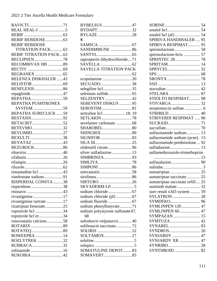| <b>REBIF REBIDOSE</b>         |
|-------------------------------|
| TITRATION PACK63              |
| <b>REBIF TITRATION PACK63</b> |
| RECLIPSEN78                   |
| RECOMBIVAX HB 89              |
|                               |
|                               |
| RELENZA DISKHALER43           |
|                               |
|                               |
| repaglinide47                 |
|                               |
| REPATHA PUSHTRONEX            |
| SYSTEM 59                     |
| REPATHA SURECLICK 59          |
|                               |
| RETACRIT52                    |
| RETEVMO32                     |
| REVLIMID27                    |
| REXULTI38                     |
| REYATAZ 43                    |
|                               |
|                               |
|                               |
|                               |
|                               |
| rimantadine hcl 43            |
| risedronate sodium91          |
| RISPERDAL CONSTA 38           |
| risperidone38                 |
|                               |
| rivastigmine17                |
| rivastigmine tartrate17       |
| rizatriptan benzoate25        |
| ropinirole hcl 34             |
| ropinirole hcl er34           |
| rosuvastatin calcium58        |
|                               |
|                               |
| ROWEEPRA 14                   |
| ROZLYTREK 32                  |
| RUBRACA32                     |
| rufinamide 16                 |
| RUKOBIA42                     |

| RYBELSUS 47                            |  |
|----------------------------------------|--|
| RYDAPT32                               |  |
|                                        |  |
| S                                      |  |
|                                        |  |
| SANDIMMUNE 86                          |  |
|                                        |  |
| sapropterin dihydrochloride  71        |  |
|                                        |  |
| SAVELLA TITRATION PACK                 |  |
|                                        |  |
| scopolamine 20                         |  |
| SECUADO38                              |  |
| selegiline hcl35                       |  |
|                                        |  |
| SELZENTRY42                            |  |
| SEREVENT DISKUS  95                    |  |
|                                        |  |
| sertraline hcl  18, 19                 |  |
| SETLAKIN 78                            |  |
| sevelamer carbonate  68                |  |
| SHAROBEL80                             |  |
| SHINGRIX89                             |  |
|                                        |  |
|                                        |  |
| sildenafil citrate96                   |  |
| silver sulfadiazine 13                 |  |
|                                        |  |
|                                        |  |
|                                        |  |
|                                        |  |
|                                        |  |
| SIRTURO 26                             |  |
| <b>SKYADERM-LP5</b>                    |  |
|                                        |  |
| sodium chloride (pf)  67               |  |
|                                        |  |
| sodium phenylbutyrate71                |  |
| sodium polystyrene sulfonate 67,<br>68 |  |
| sofosbuvir-velpatasvir 40              |  |
| solifenacin succinate72                |  |
|                                        |  |
| SOLTAMOX27                             |  |
|                                        |  |
|                                        |  |
| <b>SOMATULINE DEPOT 83</b>             |  |
| SOMAVERT83                             |  |

| <b>SPIRIVA HANDIHALER  95</b>   |    |
|---------------------------------|----|
| SPIRIVA RESPIMAT 95             |    |
|                                 |    |
| spironolactone-hctz 57          |    |
| SPRINTEC 28 78                  |    |
|                                 |    |
|                                 |    |
|                                 |    |
|                                 |    |
|                                 | 13 |
|                                 |    |
|                                 |    |
| STIOLTO RESPIMAT 98             |    |
|                                 |    |
| streptomycin sulfate  6         |    |
|                                 |    |
| STRIVERDI RESPIMAT  96          |    |
|                                 |    |
|                                 |    |
| sulfacetamide sodium 13         |    |
| sulfacetamide sodium (acne). 13 |    |
| sulfacetamide-prednisolone  92  |    |
| sulfadiazine                    | 13 |
| sulfamethoxazole-trimethoprim   |    |
|                                 |    |
|                                 |    |
|                                 |    |
|                                 |    |
| sumatriptan succinate  25       |    |
| sumatriptan succinate refill 25 |    |
|                                 |    |
| sure result o3d3 system  59     |    |
|                                 |    |
|                                 |    |
| <b>SYMLINPEN 120 47</b>         |    |
| SYMLINPEN 60 47                 |    |
| SYMPAZAN  15                    |    |
|                                 |    |
|                                 |    |
|                                 |    |
| <b>SYNJARDY</b> 47              |    |
| <b>SYNJARDY XR  47</b>          |    |
|                                 |    |
| <b>SYNTHROID</b> 82             |    |
|                                 |    |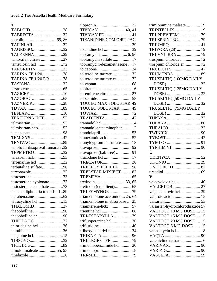**T**

| TABLOID 28                       |  |
|----------------------------------|--|
| TABRECTA32                       |  |
|                                  |  |
| TAFINLAR 32                      |  |
| TAGRISSO32                       |  |
| TALZENNA29                       |  |
| tamoxifen citrate27              |  |
| tamsulosin hcl 72                |  |
| TARGRETIN33                      |  |
| TARINA FE 1/2078                 |  |
| TARINA FE 1/20 EQ 78             |  |
| TASIGNA 32                       |  |
|                                  |  |
| TAZICEF 10                       |  |
|                                  |  |
| TAZVERIK28                       |  |
|                                  |  |
| TEFLARO10                        |  |
| TEKTURNA HCT57                   |  |
|                                  |  |
| telmisartan-hctz57               |  |
| temazepam98                      |  |
| TEMIXYS 42                       |  |
|                                  |  |
| tenofovir disoproxil fumarate.39 |  |
| TEPMETKO32                       |  |
|                                  |  |
| terbinafine hcl22                |  |
| terbutaline sulfate96            |  |
| terconazole22                    |  |
|                                  |  |
| testosterone cypionate 73        |  |
| testosterone enanthate 73        |  |
| tetanus-diphtheria toxoids td89  |  |
|                                  |  |
| tetracycline hcl13               |  |
| THALOMID27                       |  |
| theophylline96                   |  |
| theophylline er96                |  |
| THIOLA EC72                      |  |
| thioridazine hcl 36              |  |
| thiothixene36                    |  |
| tiagabine hcl15                  |  |
| TIBSOVO32                        |  |
|                                  |  |
| timolol maleate 55, 93           |  |
|                                  |  |
|                                  |  |

| TIVICAY PD 41                  |  |
|--------------------------------|--|
| TIZANIDINE COMFORT PAC         |  |
|                                |  |
| tizanidine hcl 39              |  |
|                                |  |
|                                |  |
| tobramycin-dexamethasone 7     |  |
| tolcapone34                    |  |
| tolterodine tartrate 72        |  |
| tolterodine tartrate er 72     |  |
|                                |  |
|                                |  |
| toremifene citrate27           |  |
|                                |  |
| TOUJEO MAX SOLOSTAR.49         |  |
| TOUJEO SOLOSTAR49              |  |
|                                |  |
| TRADJENTA 47                   |  |
| tramadol hcl4                  |  |
| tramadol-acetaminophen2        |  |
| trandolapril53                 |  |
| tranexamic acid 52             |  |
| tranylcypromine sulfate  18    |  |
|                                |  |
| travoprost (bak free) 91       |  |
|                                |  |
| TRECATOR26                     |  |
| TRELEGY ELLIPTA98              |  |
| TRELSTAR MIXJECT 83            |  |
|                                |  |
|                                |  |
|                                |  |
| TRI FEMYNOR 79                 |  |
| triamcinolone acetonide 25, 64 |  |
| triamcinolone in absorbase  25 |  |
| triamterene-hctz57             |  |
|                                |  |
| TRI-ESTARYLLA 79               |  |
| trifluoperazine hcl36          |  |
| trifluridine 40                |  |
| trihexyphenidyl hcl34          |  |
| TRIKAFTA96                     |  |
| TRI-LEGEST FE79                |  |
| trimethobenzamide hcl20        |  |
|                                |  |
| TRI-MILI 79                    |  |
|                                |  |

| trimipramine maleate 19          |    |
|----------------------------------|----|
| TRINTELLIX  19                   |    |
| TRI-PREVIFEM 79                  |    |
| TRI-SPRINTEC 79                  |    |
|                                  |    |
| TRIVORA (28)                     | 79 |
| TRI-VYLIBRA  79                  |    |
| trospium chloride  72            |    |
| trospium chloride er  72         |    |
| TRULICITY  47                    |    |
|                                  |    |
| TRUSELTIQ (100MG DAILY           |    |
|                                  |    |
|                                  |    |
|                                  |    |
| TRUSELTIQ (50MG DAILY            |    |
|                                  |    |
|                                  |    |
|                                  |    |
|                                  |    |
|                                  |    |
|                                  |    |
|                                  |    |
|                                  |    |
|                                  |    |
|                                  |    |
| $\mathbf{U}$                     |    |
|                                  |    |
|                                  |    |
|                                  |    |
|                                  |    |
| $\overline{\mathbf{V}}$          |    |
| valacyclovir hcl 40              |    |
| <b>VALCHLOR</b> 27               |    |
| valganciclovir hcl 39            |    |
| valproic acid 15                 |    |
|                                  |    |
| valsartan-hydrochlorothiazide 57 |    |
| VALTOCO 10 MG DOSE  15           |    |
| VALTOCO 15 MG DOSE  15           |    |
| VALTOCO 20 MG DOSE  15           |    |
| VALTOCO 5 MG DOSE  15            |    |
| vancomycin hcl  8                |    |
|                                  |    |
|                                  |    |
|                                  |    |
|                                  |    |
|                                  |    |